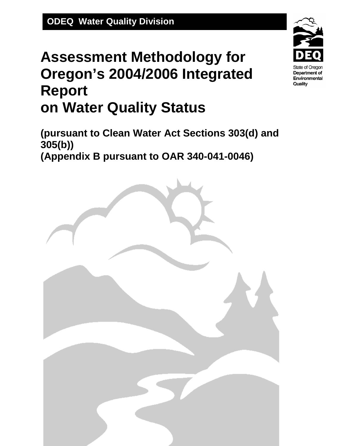# **Assessment Methodology for Oregon's 2004/2006 Integrated Report on Water Quality Status**

**(pursuant to Clean Water Act Sections 303(d) and 305(b)) (Appendix B pursuant to OAR 340-041-0046)** 



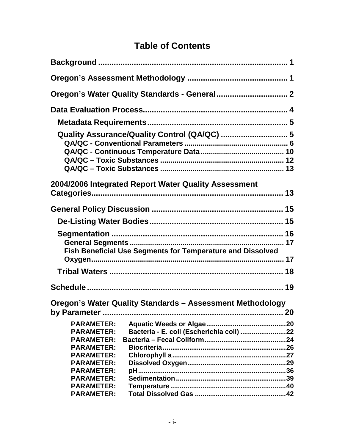### **Table of Contents**

|                                                                                                                                                                      | Quality Assurance/Quality Control (QA/QC)  5                      |  |
|----------------------------------------------------------------------------------------------------------------------------------------------------------------------|-------------------------------------------------------------------|--|
|                                                                                                                                                                      | 2004/2006 Integrated Report Water Quality Assessment              |  |
|                                                                                                                                                                      |                                                                   |  |
|                                                                                                                                                                      |                                                                   |  |
|                                                                                                                                                                      | <b>Fish Beneficial Use Segments for Temperature and Dissolved</b> |  |
|                                                                                                                                                                      |                                                                   |  |
|                                                                                                                                                                      |                                                                   |  |
|                                                                                                                                                                      | Oregon's Water Quality Standards - Assessment Methodology         |  |
| <b>PARAMETER:</b><br><b>PARAMETER:</b><br><b>PARAMETER:</b><br><b>PARAMETER:</b><br><b>PARAMETER:</b><br><b>PARAMETER:</b><br><b>PARAMETER:</b><br><b>PARAMETER:</b> | Bacteria - E. coli (Escherichia coli) 22                          |  |
| <b>PARAMETER:</b><br><b>PARAMETER:</b>                                                                                                                               |                                                                   |  |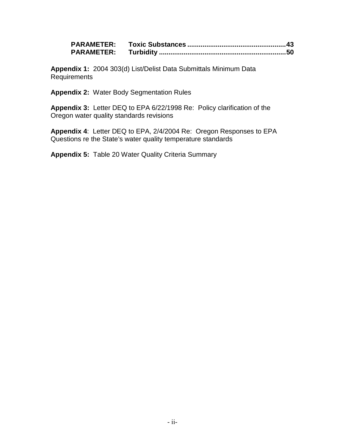**Appendix 1:** 2004 303(d) List/Delist Data Submittals Minimum Data Requirements

**Appendix 2:** Water Body Segmentation Rules

**Appendix 3:** Letter DEQ to EPA 6/22/1998 Re: Policy clarification of the Oregon water quality standards revisions

**Appendix 4**: Letter DEQ to EPA, 2/4/2004 Re: Oregon Responses to EPA Questions re the State's water quality temperature standards

**Appendix 5:** Table 20 Water Quality Criteria Summary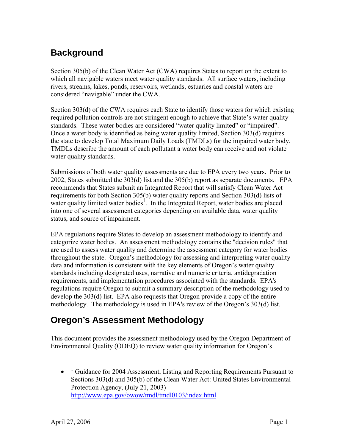### <span id="page-3-0"></span>**Background**

Section 305(b) of the Clean Water Act (CWA) requires States to report on the extent to which all navigable waters meet water quality standards. All surface waters, including rivers, streams, lakes, ponds, reservoirs, wetlands, estuaries and coastal waters are considered "navigable" under the CWA.

Section 303(d) of the CWA requires each State to identify those waters for which existing required pollution controls are not stringent enough to achieve that State's water quality standards. These water bodies are considered "water quality limited" or "impaired". Once a water body is identified as being water quality limited, Section 303(d) requires the state to develop Total Maximum Daily Loads (TMDLs) for the impaired water body. TMDLs describe the amount of each pollutant a water body can receive and not violate water quality standards.

Submissions of both water quality assessments are due to EPA every two years. Prior to 2002, States submitted the 303(d) list and the 305(b) report as separate documents. EPA recommends that States submit an Integrated Report that will satisfy Clean Water Act requirements for both Section 305(b) water quality reports and Section 303(d) lists of water quality limited water bodies<sup>[1](#page-3-2)</sup>. In the Integrated Report, water bodies are placed into one of several assessment categories depending on available data, water quality status, and source of impairment.

EPA regulations require States to develop an assessment methodology to identify and categorize water bodies. An assessment methodology contains the "decision rules" that are used to assess water quality and determine the assessment category for water bodies throughout the state. Oregon's methodology for assessing and interpreting water quality data and information is consistent with the key elements of Oregon's water quality standards including designated uses, narrative and numeric criteria, antidegradation requirements, and implementation procedures associated with the standards. EPA's regulations require Oregon to submit a summary description of the methodology used to develop the 303(d) list. EPA also requests that Oregon provide a copy of the entire methodology. The methodology is used in EPA's review of the Oregon's 303(d) list.

### <span id="page-3-1"></span>**Oregon's Assessment Methodology**

This document provides the assessment methodology used by the Oregon Department of Environmental Quality (ODEQ) to review water quality information for Oregon's

 $\overline{a}$ 

<span id="page-3-2"></span> $\bullet$  <sup>1</sup> Guidance for 2004 Assessment, Listing and Reporting Requirements Pursuant to Sections 303(d) and 305(b) of the Clean Water Act: United States Environmental Protection Agency, (July 21, 2003) http://www.epa.gov/owow/tmdl/tmdl0103/index.html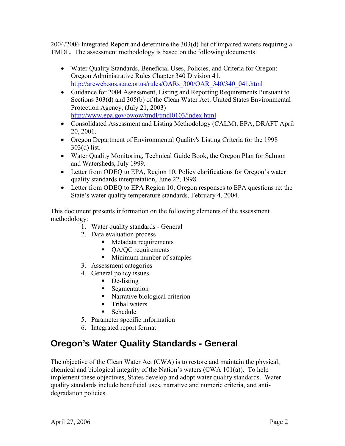2004/2006 Integrated Report and determine the 303(d) list of impaired waters requiring a TMDL. The assessment methodology is based on the following documents:

- Water Quality Standards, Beneficial Uses, Policies, and Criteria for Oregon: Oregon Administrative Rules Chapter 340 Division 41. [http://arcweb.sos.state.or.us/rules/OARs\\_300/OAR\\_340/340\\_041.html](http://arcweb.sos.state.or.us/rules/OARs_300/OAR_340/340_041.html)
- Guidance for 2004 Assessment, Listing and Reporting Requirements Pursuant to Sections 303(d) and 305(b) of the Clean Water Act: United States Environmental Protection Agency, (July 21, 2003) <http://www.epa.gov/owow/tmdl/tmdl0103/index.html>
- Consolidated Assessment and Listing Methodology (CALM), EPA, DRAFT April 20, 2001.
- Oregon Department of Environmental Quality's Listing Criteria for the 1998 303(d) list.
- Water Quality Monitoring, Technical Guide Book, the Oregon Plan for Salmon and Watersheds, July 1999.
- Letter from ODEQ to EPA, Region 10, Policy clarifications for Oregon's water quality standards interpretation, June 22, 1998.
- Letter from ODEQ to EPA Region 10, Oregon responses to EPA questions re: the State's water quality temperature standards, February 4, 2004.

This document presents information on the following elements of the assessment methodology:

- 1. Water quality standards General
- 2. Data evaluation process
	- Metadata requirements
	- QA/QC requirements
	- **Minimum number of samples**
- 3. Assessment categories
- 4. General policy issues
	- De-listing
	- Segmentation
	- Narrative biological criterion
	- **Tribal waters**
	- **Schedule**
- 5. Parameter specific information
- 6. Integrated report format

### <span id="page-4-0"></span>**Oregon's Water Quality Standards - General**

The objective of the Clean Water Act (CWA) is to restore and maintain the physical, chemical and biological integrity of the Nation's waters (CWA 101(a)). To help implement these objectives, States develop and adopt water quality standards. Water quality standards include beneficial uses, narrative and numeric criteria, and antidegradation policies.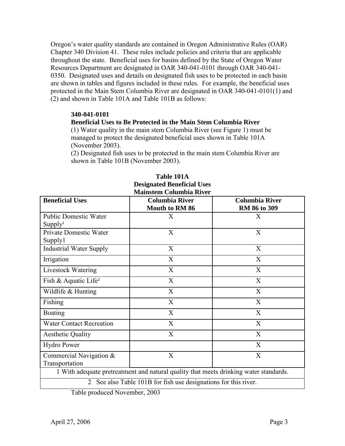Oregon's water quality standards are contained in Oregon Administrative Rules (OAR) Chapter 340 Division 41. These rules include policies and criteria that are applicable throughout the state. Beneficial uses for basins defined by the State of Oregon Water Resources Department are designated in OAR 340-041-0101 through OAR 340-041- 0350. Designated uses and details on designated fish uses to be protected in each basin are shown in tables and figures included in these rules. For example, the beneficial uses protected in the Main Stem Columbia River are designated in OAR 340-041-0101(1) and (2) and shown in Table 101A and Table 101B as follows:

#### **340-041-0101**

#### **Beneficial Uses to Be Protected in the Main Stem Columbia River**

(1) Water quality in the main stem Columbia River (see Figure 1) must be managed to protect the designated beneficial uses shown in Table 101A (November 2003).

(2) Designated fish uses to be protected in the main stem Columbia River are shown in Table 101B (November 2003).

|                                  | <b>Mainstem Columbia River</b>                                                        |                       |  |
|----------------------------------|---------------------------------------------------------------------------------------|-----------------------|--|
| <b>Beneficial Uses</b>           | <b>Columbia River</b>                                                                 | <b>Columbia River</b> |  |
|                                  | <b>Mouth to RM 86</b>                                                                 | RM 86 to 309          |  |
| <b>Public Domestic Water</b>     | X                                                                                     | X                     |  |
| Supply <sup>1</sup>              |                                                                                       |                       |  |
| Private Domestic Water           | X                                                                                     | X                     |  |
| Supply1                          |                                                                                       |                       |  |
| <b>Industrial Water Supply</b>   | X                                                                                     | X                     |  |
| Irrigation                       | X                                                                                     | X                     |  |
| Livestock Watering               | X                                                                                     | X                     |  |
| Fish & Aquatic Life <sup>2</sup> | X                                                                                     | X                     |  |
| Wildlife & Hunting               | X                                                                                     | X                     |  |
| Fishing                          | X                                                                                     | X                     |  |
| <b>Boating</b>                   | X                                                                                     | X                     |  |
| <b>Water Contact Recreation</b>  | X                                                                                     | X                     |  |
| <b>Aesthetic Quality</b>         | X                                                                                     | X                     |  |
| Hydro Power                      |                                                                                       | X                     |  |
| Commercial Navigation &          | X                                                                                     | X                     |  |
| Transportation                   |                                                                                       |                       |  |
|                                  | 1 With adequate pretreatment and natural quality that meets drinking water standards. |                       |  |
|                                  | 2 See also Table 101B for fish use designations for this river.                       |                       |  |

### **Table 101A Designated Beneficial Uses**

Table produced November, 2003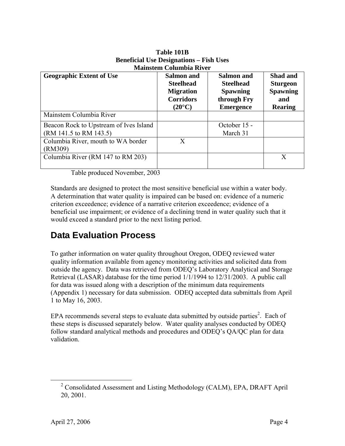| <b>Geographic Extent of Use</b>                                  | <b>Salmon</b> and<br><b>Steelhead</b><br><b>Migration</b><br><b>Corridors</b><br>$(20^{\circ}C)$ | <b>Salmon</b> and<br><b>Steelhead</b><br><b>Spawning</b><br>through Fry<br><b>Emergence</b> | Shad and<br><b>Sturgeon</b><br><b>Spawning</b><br>and<br><b>Rearing</b> |
|------------------------------------------------------------------|--------------------------------------------------------------------------------------------------|---------------------------------------------------------------------------------------------|-------------------------------------------------------------------------|
| Mainstem Columbia River                                          |                                                                                                  |                                                                                             |                                                                         |
| Beacon Rock to Upstream of Ives Island<br>(RM 141.5 to RM 143.5) |                                                                                                  | October 15 -<br>March 31                                                                    |                                                                         |
| Columbia River, mouth to WA border<br>(RM309)                    | X                                                                                                |                                                                                             |                                                                         |
| Columbia River (RM 147 to RM 203)                                |                                                                                                  |                                                                                             | X                                                                       |

#### **Table 101B Beneficial Use Designations – Fish Uses Mainstem Columbia River**

Table produced November, 2003

Standards are designed to protect the most sensitive beneficial use within a water body. A determination that water quality is impaired can be based on: evidence of a numeric criterion exceedence; evidence of a narrative criterion exceedence; evidence of a beneficial use impairment; or evidence of a declining trend in water quality such that it would exceed a standard prior to the next listing period.

### <span id="page-6-0"></span>**Data Evaluation Process**

To gather information on water quality throughout Oregon, ODEQ reviewed water quality information available from agency monitoring activities and solicited data from outside the agency. Data was retrieved from ODEQ's Laboratory Analytical and Storage Retrieval (LASAR) database for the time period 1/1/1994 to 12/31/2003. A public call for data was issued along with a description of the minimum data requirements (Appendix 1) necessary for data submission. ODEQ accepted data submittals from April 1 to May 16, 2003.

EPA recommends several steps to evaluate data submitted by outside parties<sup>2</sup>[.](#page-6-1) Each of these steps is discussed separately below. Water quality analyses conducted by ODEQ follow standard analytical methods and procedures and ODEQ's QA/QC plan for data validation.

<span id="page-6-1"></span> <sup>2</sup> <sup>2</sup> Consolidated Assessment and Listing Methodology (CALM), EPA, DRAFT April 20, 2001.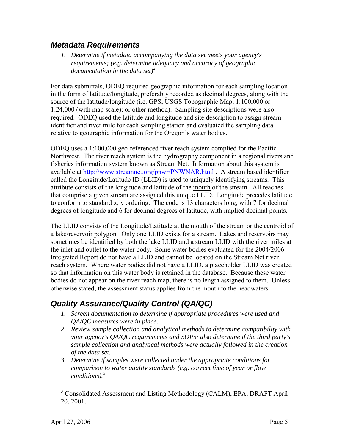#### <span id="page-7-0"></span>*Metadata Requirements*

*1. Determine if metadata accompanying the data set meets your agency's requirements; (e.g. determine adequacy and accuracy of geographic documentation in the data set)2*

For data submittals, ODEQ required geographic information for each sampling location in the form of latitude/longitude, preferably recorded as decimal degrees, along with the source of the latitude/longitude (i.e. GPS; USGS Topographic Map, 1:100,000 or 1:24,000 (with map scale); or other method). Sampling site descriptions were also required. ODEQ used the latitude and longitude and site description to assign stream identifier and river mile for each sampling station and evaluated the sampling data relative to geographic information for the Oregon's water bodies.

ODEQ uses a 1:100,000 geo-referenced river reach system complied for the Pacific Northwest. The river reach system is the hydrography component in a regional rivers and fisheries information system known as Stream Net. Information about this system is available at <http://www.streamnet.org/pnwr/PNWNAR.html>. A stream based identifier called the Longitude/Latitude ID (LLID) is used to uniquely identifying streams*.* This attribute consists of the longitude and latitude of the mouth of the stream. All reaches that comprise a given stream are assigned this unique LLID. Longitude precedes latitude to conform to standard x, y ordering. The code is 13 characters long, with 7 for decimal degrees of longitude and 6 for decimal degrees of latitude, with implied decimal points.

The LLID consists of the Longitude/Latitude at the mouth of the stream or the centroid of a lake/reservoir polygon. Only one LLID exists for a stream. Lakes and reservoirs may sometimes be identified by both the lake LLID and a stream LLID with the river miles at the inlet and outlet to the water body. Some water bodies evaluated for the 2004/2006 Integrated Report do not have a LLID and cannot be located on the Stream Net river reach system. Where water bodies did not have a LLID, a placeholder LLID was created so that information on this water body is retained in the database. Because these water bodies do not appear on the river reach map, there is no length assigned to them. Unless otherwise stated, the assessment status applies from the mouth to the headwaters.

### <span id="page-7-1"></span>*Quality Assurance/Quality Control (QA/QC)*

- *1. Screen documentation to determine if appropriate procedures were used and QA/QC measures were in place.*
- *2. Review sample collection and analytical methods to determine compatibility with your agency's QA/QC requirements and SOPs; also determine if the third party's sample collection and analytical methods were actually followed in the creation of the data set.*
- *3. Determine if samples were collected under the appropriate conditions for comparison to water quality standards (e.g. correct time of year or flow conditions).[3](#page-7-2)*

<span id="page-7-2"></span><sup>&</sup>lt;sup>3</sup> Consolidated Assessment and Listing Methodology (CALM), EPA, DRAFT April 20, 2001.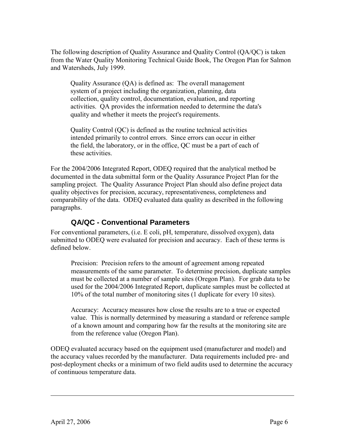The following description of Quality Assurance and Quality Control (QA/QC) is taken from the Water Quality Monitoring Technical Guide Book, The Oregon Plan for Salmon and Watersheds, July 1999.

Quality Assurance (QA) is defined as: The overall management system of a project including the organization, planning, data collection, quality control, documentation, evaluation, and reporting activities. QA provides the information needed to determine the data's quality and whether it meets the project's requirements.

Quality Control (QC) is defined as the routine technical activities intended primarily to control errors. Since errors can occur in either the field, the laboratory, or in the office, QC must be a part of each of these activities.

For the 2004/2006 Integrated Report, ODEQ required that the analytical method be documented in the data submittal form or the Quality Assurance Project Plan for the sampling project. The Quality Assurance Project Plan should also define project data quality objectives for precision, accuracy, representativeness, completeness and comparability of the data. ODEQ evaluated data quality as described in the following paragraphs.

#### <span id="page-8-0"></span>**QA/QC - Conventional Parameters**

For conventional parameters, (i.e. E coli, pH, temperature, dissolved oxygen), data submitted to ODEQ were evaluated for precision and accuracy. Each of these terms is defined below.

Precision: Precision refers to the amount of agreement among repeated measurements of the same parameter. To determine precision, duplicate samples must be collected at a number of sample sites (Oregon Plan). For grab data to be used for the 2004/2006 Integrated Report, duplicate samples must be collected at 10% of the total number of monitoring sites (1 duplicate for every 10 sites).

Accuracy: Accuracy measures how close the results are to a true or expected value. This is normally determined by measuring a standard or reference sample of a known amount and comparing how far the results at the monitoring site are from the reference value (Oregon Plan).

ODEQ evaluated accuracy based on the equipment used (manufacturer and model) and the accuracy values recorded by the manufacturer. Data requirements included pre- and post-deployment checks or a minimum of two field audits used to determine the accuracy of continuous temperature data.

1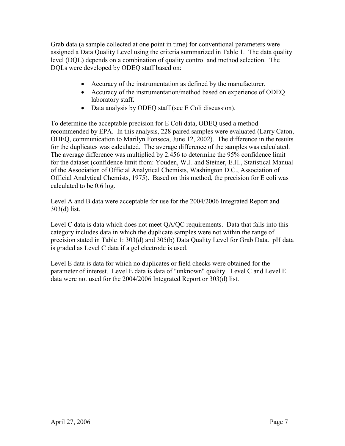Grab data (a sample collected at one point in time) for conventional parameters were assigned a Data Quality Level using the criteria summarized in Table 1. The data quality level (DQL) depends on a combination of quality control and method selection. The DQLs were developed by ODEQ staff based on:

- Accuracy of the instrumentation as defined by the manufacturer.
- Accuracy of the instrumentation/method based on experience of ODEQ laboratory staff.
- Data analysis by ODEQ staff (see E Coli discussion).

To determine the acceptable precision for E Coli data, ODEQ used a method recommended by EPA. In this analysis, 228 paired samples were evaluated (Larry Caton, ODEQ, communication to Marilyn Fonseca, June 12, 2002). The difference in the results for the duplicates was calculated. The average difference of the samples was calculated. The average difference was multiplied by 2.456 to determine the 95% confidence limit for the dataset (confidence limit from: Youden, W.J. and Steiner, E.H., Statistical Manual of the Association of Official Analytical Chemists, Washington D.C., Association of Official Analytical Chemists, 1975). Based on this method, the precision for E coli was calculated to be 0.6 log.

Level A and B data were acceptable for use for the 2004/2006 Integrated Report and 303(d) list.

Level C data is data which does not meet QA/QC requirements. Data that falls into this category includes data in which the duplicate samples were not within the range of precision stated in Table 1: 303(d) and 305(b) Data Quality Level for Grab Data. pH data is graded as Level C data if a gel electrode is used.

Level E data is data for which no duplicates or field checks were obtained for the parameter of interest. Level E data is data of "unknown" quality. Level C and Level E data were not used for the 2004/2006 Integrated Report or 303(d) list.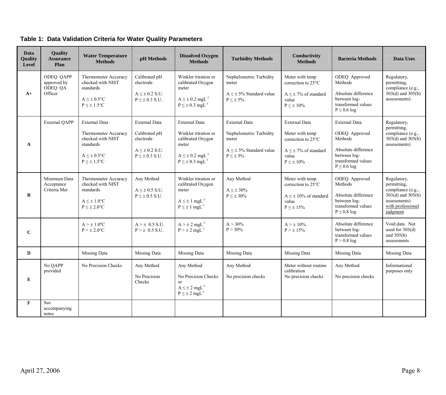|  |  | Table 1: Data Validation Criteria for Water Quality Parameters |
|--|--|----------------------------------------------------------------|
|--|--|----------------------------------------------------------------|

| <b>Data</b><br>Quality<br>Level | Quality<br><b>Assurance</b><br>Plan            | <b>Water Temperature</b><br><b>Methods</b>                                                                              | pH Methods                                                                                           | <b>Dissolved Oxygen</b><br><b>Methods</b>                                                                                                              | <b>Turbidity Methods</b>                                                                                        | Conductivity<br><b>Methods</b>                                                                                              | <b>Bacteria Methods</b>                                                                                                    | Data Uses                                                                                                                 |
|---------------------------------|------------------------------------------------|-------------------------------------------------------------------------------------------------------------------------|------------------------------------------------------------------------------------------------------|--------------------------------------------------------------------------------------------------------------------------------------------------------|-----------------------------------------------------------------------------------------------------------------|-----------------------------------------------------------------------------------------------------------------------------|----------------------------------------------------------------------------------------------------------------------------|---------------------------------------------------------------------------------------------------------------------------|
| $A+$                            | ODEQ QAPP<br>approved by<br>ODEQ QA<br>Officer | <b>Thermometer Accuracy</b><br>checked with NIST<br>standards<br>$A \leq \pm 0.5^{\circ}C$<br>$P \leq \pm$ 1.5°C        | Calibrated pH<br>electrode<br>$A \leq \pm 0.2$ S.U.<br>$P \leq \pm 0.3$ S.U.                         | Winkler titration or<br>calibrated Oxygen<br>meter<br>$A \leq \pm 0.2$ mgL <sup>-1</sup><br>$P \leq \pm 0.3$ mgL <sup>-1</sup>                         | Nephelometric Turbidity<br>meter<br>$A \leq \pm 5\%$ Standard value<br>$P \leq \pm 5\%$                         | Meter with temp<br>correction to 25°C<br>$A \leq \pm 7\%$ of standard<br>value<br>$P \leq \pm 10\%$                         | ODEQ Approved<br>Methods<br>Absolute difference<br>between log-<br>transformed values<br>$P \leq 0.6$ log                  | Regulatory,<br>permitting.<br>compliance (e.g.,<br>$303(d)$ and $305(b)$<br>assessments)                                  |
| $\mathbf{A}$                    | <b>External QAPP</b>                           | External Data<br>Thermometer Accuracy<br>checked with NIST<br>standards<br>$A \leq \pm 0.5$ °C<br>$P \leq \pm 1.5$ °C   | <b>External Data</b><br>Calibrated pH<br>electrode<br>$A \leq \pm 0.2$ S.U.<br>$P \leq \pm 0.3$ S.U. | <b>External Data</b><br>Winkler titration or<br>calibrated Oxygen<br>meter<br>$A \leq \pm 0.2$ mgL <sup>-1</sup><br>$P \leq \pm 0.3$ mgL <sup>-1</sup> | <b>External Data</b><br>Nephelometric Turbidity<br>meter<br>$A \leq \pm 5\%$ Standard value<br>$P \leq \pm 5\%$ | <b>External Data</b><br>Meter with temp<br>correction to 25°C<br>$A \leq \pm 7\%$ of standard<br>value<br>$P \leq \pm 10\%$ | External Data<br>ODEQ Approved<br>Methods<br>Absolute difference<br>between log-<br>transformed values<br>$P \leq 0.6$ log | Regulatory,<br>permitting,<br>compliance (e.g.,<br>$303(d)$ and $305(b)$<br>assessments)                                  |
| B                               | Minimum Data<br>Acceptance<br>Criteria Met     | <b>Thermometer Accuracy</b><br>checked with NIST<br>standards<br>$A \leq \pm 1.0$ <sup>o</sup> C<br>$P \leq \pm 2.0$ °C | Any Method<br>$A \leq \pm 0.5$ S.U.<br>$P \leq \pm 0.5$ S.U.                                         | Winkler titration or<br>calibrated Oxygen<br>meter<br>$A \leq \pm 1$ mgL <sup>-1</sup><br>$P \leq \pm 1$ mgL <sup>-1</sup>                             | Any Method<br>$A \leq \pm 30\%$<br>$P\leq\pm\,30\%$                                                             | Meter with temp<br>correction to 25°C<br>$A \leq \pm 10\%$ of standard<br>value<br>$P\leq\pm~15\%$                          | ODEQ Approved<br>Methods<br>Absolute difference<br>between log-<br>transformed values<br>$P \leq 0.8$ log                  | Regulatory,<br>permitting,<br>compliance (e.g.,<br>$303(d)$ and $305(b)$<br>assessments)<br>with professional<br>judgment |
| $\bf C$                         |                                                | $A > \pm 1.0$ <sup>o</sup> C<br>$P > \pm 2.0$ °C                                                                        | $A > \pm 0.5$ S.U.<br>$P > \pm 0.5$ S.U.                                                             | $A > \pm 2$ mgL <sup>-1</sup><br>$P > \pm 2$ mgL <sup>-1</sup>                                                                                         | $A > 30\%$<br>$P > 30\%$                                                                                        | $A > \pm 10\%$<br>$P > \pm 15\%$                                                                                            | Absolute difference<br>between log-<br>transformed values<br>$P > 0.8$ log                                                 | Void data. Not<br>used for $303(d)$<br>and $305(b)$<br>assessments                                                        |
| D                               |                                                | Missing Data                                                                                                            | Missing Data                                                                                         | Missing Data                                                                                                                                           | Missing Data                                                                                                    | Missing Data                                                                                                                | Missing Data                                                                                                               | Missing Data                                                                                                              |
| E                               | No QAPP<br>provided                            | No Precision Checks                                                                                                     | Any Method<br>No Precision<br>Checks                                                                 | Any Method<br>No Precision Checks<br><sub>or</sub><br>$A \leq \pm 2$ mgL <sup>-1</sup><br>$P \leq \pm 2$ mgL <sup>-1</sup>                             | Any Method<br>No precision checks                                                                               | Meter without routine<br>calibration<br>No precision checks                                                                 | Any Method<br>No precision checks                                                                                          | Informational<br>purposes only                                                                                            |
| $\overline{\mathbf{F}}$         | See<br>accompanying<br>notes                   |                                                                                                                         |                                                                                                      |                                                                                                                                                        |                                                                                                                 |                                                                                                                             |                                                                                                                            |                                                                                                                           |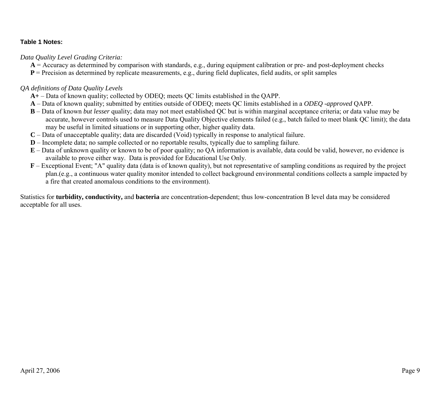#### **Table 1 Notes:**

*Data Quality Level Grading Criteria:* 

- **A** = Accuracy as determined by comparison with standards, e.g., during equipment calibration or pre- and post-deployment checks
- **P** = Precision as determined by replicate measurements, e.g., during field duplicates, field audits, or split samples

#### *QA definitions of Data Quality Levels*

- **A+**  Data of known quality; collected by ODEQ; meets QC limits established in the QAPP.
- **A**  Data of known quality; submitted by entities outside of ODEQ; meets QC limits established in a *ODEQ -approved* QAPP.
- **B**  Data of known *but lesser* quality; data may not meet established QC but is within marginal acceptance criteria; or data value may be accurate, however controls used to measure Data Quality Objective elements failed (e.g., batch failed to meet blank QC limit); the data may be useful in limited situations or in supporting other, higher quality data.
- **C**  Data of unacceptable quality; data are discarded (Void) typically in response to analytical failure.
- **D**  Incomplete data; no sample collected or no reportable results, typically due to sampling failure.
- **E**  Data of unknown quality or known to be of poor quality; no QA information is available, data could be valid, however, no evidence is available to prove either way. Data is provided for Educational Use Only.
- **F** Exceptional Event; "A" quality data (data is of known quality), but not representative of sampling conditions as required by the project plan.(e.g., a continuous water quality monitor intended to collect background environmental conditions collects a sample impacted by a fire that created anomalous conditions to the environment).

Statistics for **turbidity, conductivity,** and **bacteria** are concentration-dependent; thus low-concentration B level data may be considered acceptable for all uses.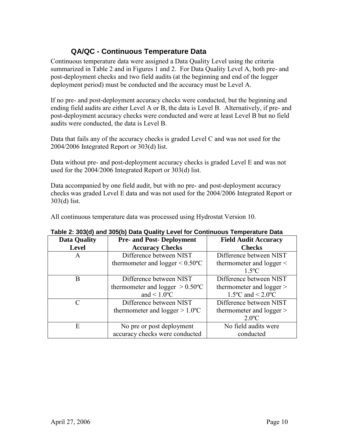### <span id="page-12-0"></span>**QA/QC - Continuous Temperature Data**

Continuous temperature data were assigned a Data Quality Level using the criteria summarized in Table 2 and in Figures 1 and 2. For Data Quality Level A, both pre- and post-deployment checks and two field audits (at the beginning and end of the logger deployment period) must be conducted and the accuracy must be Level A.

If no pre- and post-deployment accuracy checks were conducted, but the beginning and ending field audits are either Level A or B, the data is Level B. Alternatively, if pre- and post-deployment accuracy checks were conducted and were at least Level B but no field audits were conducted, the data is Level B.

Data that fails any of the accuracy checks is graded Level C and was not used for the 2004/2006 Integrated Report or 303(d) list.

Data without pre- and post-deployment accuracy checks is graded Level E and was not used for the 2004/2006 Integrated Report or 303(d) list.

Data accompanied by one field audit, but with no pre- and post-deployment accuracy checks was graded Level E data and was not used for the 2004/2006 Integrated Report or 303(d) list.

All continuous temperature data was processed using Hydrostat Version 10.

| <b>Data Quality</b> | <b>Pre- and Post-Deployment</b>       | <b>Field Audit Accuracy</b>           |
|---------------------|---------------------------------------|---------------------------------------|
| <b>Level</b>        | <b>Accuracy Checks</b>                | <b>Checks</b>                         |
| A                   | Difference between NIST               | Difference between NIST               |
|                     | thermometer and logger $\leq 0.50$ °C | thermometer and $logger <$            |
|                     |                                       | $1.5^{\circ}C$                        |
| B                   | Difference between NIST               | Difference between NIST               |
|                     | thermometer and logger $> 0.50$ °C    | thermometer and logger >              |
|                     | and $\leq 1.0$ <sup>o</sup> C         | $1.5^{\circ}$ C and < $2.0^{\circ}$ C |
|                     | Difference between NIST               | Difference between NIST               |
|                     | thermometer and logger $> 1.0$ °C     | thermometer and logger >              |
|                     |                                       | $2.0^{\circ}C$                        |
| E                   | No pre or post deployment             | No field audits were                  |
|                     | accuracy checks were conducted        | conducted                             |

| Table 2: 303(d) and 305(b) Data Quality Level for Continuous Temperature Data |  |  |
|-------------------------------------------------------------------------------|--|--|
|-------------------------------------------------------------------------------|--|--|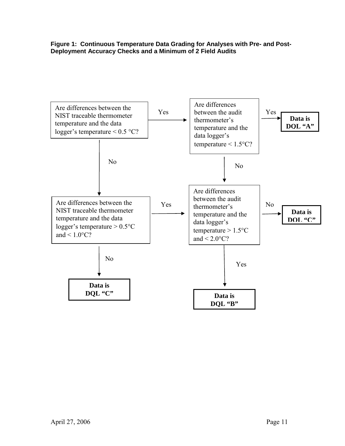**Figure 1: Continuous Temperature Data Grading for Analyses with Pre- and Post-Deployment Accuracy Checks and a Minimum of 2 Field Audits** 

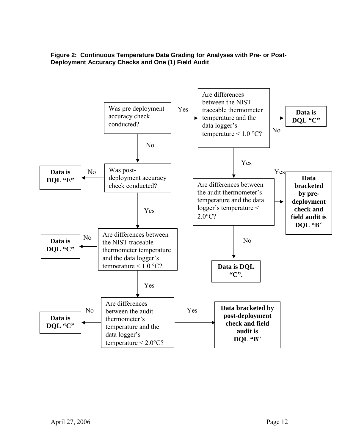

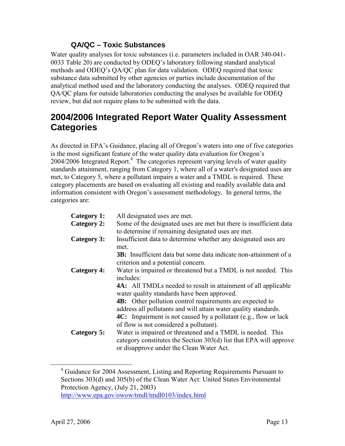#### <span id="page-15-1"></span>**QA/QC – Toxic Substances**

Water quality analyses for toxic substances (i.e. parameters included in OAR 340-041- 0033 Table 20) are conducted by ODEQ's laboratory following standard analytical methods and ODEQ's QA/QC plan for data validation. ODEQ required that toxic substance data submitted by other agencies or parties include documentation of the analytical method used and the laboratory conducting the analyses. ODEQ required that QA/QC plans for outside laboratories conducting the analyses be available for ODEQ review, but did not require plans to be submitted with the data.

### <span id="page-15-2"></span><span id="page-15-0"></span>**2004/2006 Integrated Report Water Quality Assessment Categories**

As directed in EPA's Guidance, placing all of Oregon's waters into one of five categories is the most significant feature of the water quality data evaluation for Oregon's  $2004/2006$  $2004/2006$  $2004/2006$  Integrated Report.<sup>4</sup> The categories represent varying levels of water quality standards attainment, ranging from Category 1, where all of a water's designated uses are met, to Category 5, where a pollutant impairs a water and a TMDL is required. These category placements are based on evaluating all existing and readily available data and information consistent with Oregon's assessment methodology. In general terms, the categories are:

| Category 1: | All designated uses are met.                                                                                                                                                                                                                                                                                                                                                                                        |
|-------------|---------------------------------------------------------------------------------------------------------------------------------------------------------------------------------------------------------------------------------------------------------------------------------------------------------------------------------------------------------------------------------------------------------------------|
| Category 2: | Some of the designated uses are met but there is insufficient data<br>to determine if remaining designated uses are met.                                                                                                                                                                                                                                                                                            |
| Category 3: | Insufficient data to determine whether any designated uses are<br>met.<br><b>3B:</b> Insufficient data but some data indicate non-attainment of a<br>criterion and a potential concern.                                                                                                                                                                                                                             |
| Category 4: | Water is impaired or threatened but a TMDL is not needed. This<br>includes:<br><b>4A:</b> All TMDLs needed to result in attainment of all applicable<br>water quality standards have been approved.<br><b>4B:</b> Other pollution control requirements are expected to<br>address all pollutants and will attain water quality standards.<br><b>4C:</b> Impairment is not caused by a pollutant (e.g., flow or lack |
| Category 5: | of flow is not considered a pollutant).<br>Water is impaired or threatened and a TMDL is needed. This<br>category constitutes the Section 303(d) list that EPA will approve<br>or disapprove under the Clean Water Act.                                                                                                                                                                                             |

<span id="page-15-3"></span> $\overline{4}$ <sup>4</sup> Guidance for 2004 Assessment, Listing and Reporting Requirements Pursuant to Sections 303(d) and 305(b) of the Clean Water Act: United States Environmental Protection Agency, (July 21, 2003)

http://www.epa.gov/owow/tmdl/tmdl0103/index.html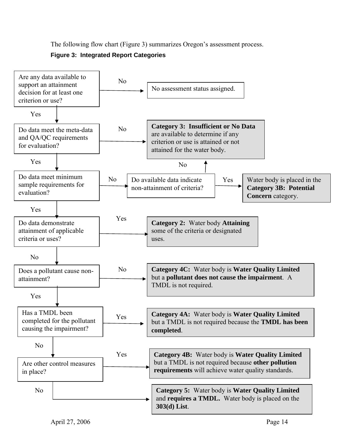The following flow chart (Figure 3) summarizes Oregon's assessment process.



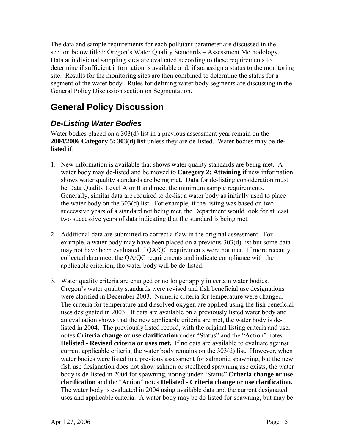The data and sample requirements for each pollutant parameter are discussed in the section below titled: Oregon's Water Quality Standards – Assessment Methodology. Data at individual sampling sites are evaluated according to these requirements to determine if sufficient information is available and, if so, assign a status to the monitoring site. Results for the monitoring sites are then combined to determine the status for a segment of the water body. Rules for defining water body segments are discussing in the General Policy Discussion section on Segmentation.

### <span id="page-17-0"></span>**General Policy Discussion**

### <span id="page-17-1"></span>*De-Listing Water Bodies*

Water bodies placed on a 303(d) list in a previous assessment year remain on the **2004/2006 Category 5: 303(d) list** unless they are de-listed. Water bodies may be **delisted** if:

- 1. New information is available that shows water quality standards are being met. A water body may de-listed and be moved to **Category 2: Attaining** if new information shows water quality standards are being met. Data for de-listing consideration must be Data Quality Level A or B and meet the minimum sample requirements. Generally, similar data are required to de-list a water body as initially used to place the water body on the 303(d) list. For example, if the listing was based on two successive years of a standard not being met, the Department would look for at least two successive years of data indicating that the standard is being met.
- 2. Additional data are submitted to correct a flaw in the original assessment. For example, a water body may have been placed on a previous 303(d) list but some data may not have been evaluated if QA/QC requirements were not met. If more recently collected data meet the QA/QC requirements and indicate compliance with the applicable criterion, the water body will be de-listed.
- 3. Water quality criteria are changed or no longer apply in certain water bodies. Oregon's water quality standards were revised and fish beneficial use designations were clarified in December 2003. Numeric criteria for temperature were changed. The criteria for temperature and dissolved oxygen are applied using the fish beneficial uses designated in 2003. If data are available on a previously listed water body and an evaluation shows that the new applicable criteria are met, the water body is delisted in 2004. The previously listed record, with the original listing criteria and use, notes **Criteria change or use clarification** under "Status" and the "Action" notes **Delisted - Revised criteria or uses met.** If no data are available to evaluate against current applicable criteria, the water body remains on the 303(d) list. However, when water bodies were listed in a previous assessment for salmonid spawning, but the new fish use designation does not show salmon or steelhead spawning use exists, the water body is de-listed in 2004 for spawning, noting under "Status" **Criteria change or use clarification** and the "Action" notes **Delisted - Criteria change or use clarification.** The water body is evaluated in 2004 using available data and the current designated uses and applicable criteria. A water body may be de-listed for spawning, but may be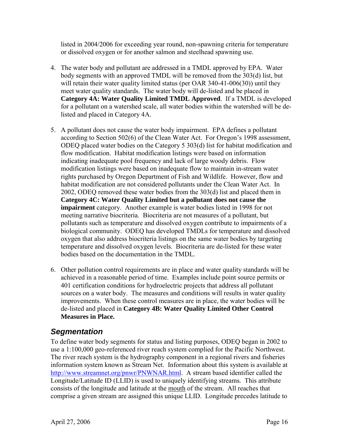listed in 2004/2006 for exceeding year round, non-spawning criteria for temperature or dissolved oxygen or for another salmon and steelhead spawning use.

- 4. The water body and pollutant are addressed in a TMDL approved by EPA. Water body segments with an approved TMDL will be removed from the 303(d) list, but will retain their water quality limited status (per OAR 340-41-006(30)) until they meet water quality standards. The water body will de-listed and be placed in **Category 4A: Water Quality Limited TMDL Approved**. If a TMDL is developed for a pollutant on a watershed scale, all water bodies within the watershed will be delisted and placed in Category 4A.
- 5. A pollutant does not cause the water body impairment. EPA defines a pollutant according to Section 502(6) of the Clean Water Act. For Oregon's 1998 assessment, ODEQ placed water bodies on the Category 5 303(d) list for habitat modification and flow modification. Habitat modification listings were based on information indicating inadequate pool frequency and lack of large woody debris. Flow modification listings were based on inadequate flow to maintain in-stream water rights purchased by Oregon Department of Fish and Wildlife. However, flow and habitat modification are not considered pollutants under the Clean Water Act. In 2002, ODEQ removed these water bodies from the 303(d) list and placed them in **Category 4C: Water Quality Limited but a pollutant does not cause the impairment** category. Another example is water bodies listed in 1998 for not meeting narrative biocriteria. Biocriteria are not measures of a pollutant, but pollutants such as temperature and dissolved oxygen contribute to impairments of a biological community. ODEQ has developed TMDLs for temperature and dissolved oxygen that also address biocriteria listings on the same water bodies by targeting temperature and dissolved oxygen levels. Biocriteria are de-listed for these water bodies based on the documentation in the TMDL.
- 6. Other pollution control requirements are in place and water quality standards will be achieved in a reasonable period of time. Examples include point source permits or 401 certification conditions for hydroelectric projects that address all pollutant sources on a water body. The measures and conditions will results in water quality improvements. When these control measures are in place, the water bodies will be de-listed and placed in **Category 4B: Water Quality Limited Other Control Measures in Place.**

### <span id="page-18-0"></span>*Segmentation*

To define water body segments for status and listing purposes, ODEQ began in 2002 to use a 1:100,000 geo-referenced river reach system complied for the Pacific Northwest. The river reach system is the hydrography component in a regional rivers and fisheries information system known as Stream Net. Information about this system is available at [http://www.streamnet.org/pnwr/PNWNAR.html.](http://www.streamnet.org/pnwr/PNWNAR.html) A stream based identifier called the Longitude/Latitude ID (LLID) is used to uniquely identifying streams*.* This attribute consists of the longitude and latitude at the mouth of the stream. All reaches that comprise a given stream are assigned this unique LLID. Longitude precedes latitude to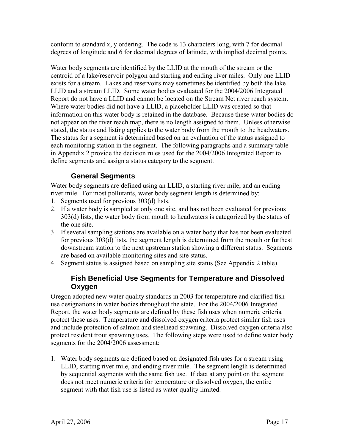conform to standard x, y ordering. The code is 13 characters long, with 7 for decimal degrees of longitude and 6 for decimal degrees of latitude, with implied decimal points.

Water body segments are identified by the LLID at the mouth of the stream or the centroid of a lake/reservoir polygon and starting and ending river miles. Only one LLID exists for a stream. Lakes and reservoirs may sometimes be identified by both the lake LLID and a stream LLID. Some water bodies evaluated for the 2004/2006 Integrated Report do not have a LLID and cannot be located on the Stream Net river reach system. Where water bodies did not have a LLID, a placeholder LLID was created so that information on this water body is retained in the database. Because these water bodies do not appear on the river reach map, there is no length assigned to them. Unless otherwise stated, the status and listing applies to the water body from the mouth to the headwaters. The status for a segment is determined based on an evaluation of the status assigned to each monitoring station in the segment. The following paragraphs and a summary table in Appendix 2 provide the decision rules used for the 2004/2006 Integrated Report to define segments and assign a status category to the segment.

### <span id="page-19-0"></span>**General Segments**

Water body segments are defined using an LLID, a starting river mile, and an ending river mile. For most pollutants, water body segment length is determined by:

- 1. Segments used for previous 303(d) lists.
- 2. If a water body is sampled at only one site, and has not been evaluated for previous 303(d) lists, the water body from mouth to headwaters is categorized by the status of the one site.
- 3. If several sampling stations are available on a water body that has not been evaluated for previous 303(d) lists, the segment length is determined from the mouth or furthest downstream station to the next upstream station showing a different status. Segments are based on available monitoring sites and site status.
- 4. Segment status is assigned based on sampling site status (See Appendix 2 table).

### <span id="page-19-1"></span>**Fish Beneficial Use Segments for Temperature and Dissolved Oxygen**

Oregon adopted new water quality standards in 2003 for temperature and clarified fish use designations in water bodies throughout the state. For the 2004/2006 Integrated Report, the water body segments are defined by these fish uses when numeric criteria protect these uses. Temperature and dissolved oxygen criteria protect similar fish uses and include protection of salmon and steelhead spawning. Dissolved oxygen criteria also protect resident trout spawning uses. The following steps were used to define water body segments for the 2004/2006 assessment:

1. Water body segments are defined based on designated fish uses for a stream using LLID, starting river mile, and ending river mile. The segment length is determined by sequential segments with the same fish use. If data at any point on the segment does not meet numeric criteria for temperature or dissolved oxygen, the entire segment with that fish use is listed as water quality limited.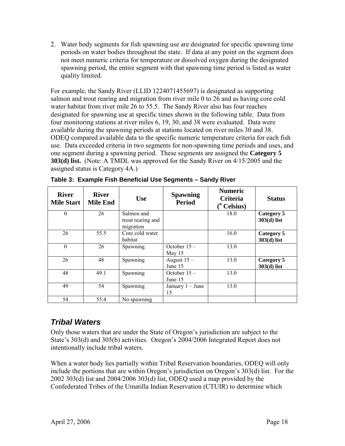2. Water body segments for fish spawning use are designated for specific spawning time periods on water bodies throughout the state. If data at any point on the segment does not meet numeric criteria for temperature or dissolved oxygen during the designated spawning period, the entire segment with that spawning time period is listed as water quality limited.

For example, the Sandy River (LLID 1224071455697) is designated as supporting salmon and trout rearing and migration from river mile 0 to 26 and as having core cold water habitat from river mile 26 to 55.5. The Sandy River also has four reaches designated for spawning use at specific times shown in the following table. Data from four monitoring stations at river miles 6, 19, 30, and 38 were evaluated. Data were available during the spawning periods at stations located on river miles 30 and 38. ODEQ compared available data to the specific numeric temperature criteria for each fish use. Data exceeded criteria in two segments for non-spawning time periods and uses, and one segment during a spawning period. These segments are assigned the **Category 5 303(d) list.** (Note: A TMDL was approved for the Sandy River on 4/15/2005 and the assigned status is Category 4A.)

| <b>River</b><br><b>Mile Start</b> | <b>River</b><br><b>Mile End</b> | <b>Use</b>                                   | <b>Spawning</b><br><b>Period</b> | <b>Numeric</b><br><b>Criteria</b><br>$(°$ Celsius) | <b>Status</b>               |
|-----------------------------------|---------------------------------|----------------------------------------------|----------------------------------|----------------------------------------------------|-----------------------------|
| $\theta$                          | 26                              | Salmon and<br>trout rearing and<br>migration |                                  | 18.0                                               | Category 5<br>$303(d)$ list |
| 26                                | 55.5                            | Core cold water<br>habitat                   |                                  | 16.0                                               | Category 5<br>$303(d)$ list |
| $\Omega$                          | 26                              | Spawning                                     | October $15-$<br>May 15          | 13.0                                               |                             |
| 26                                | 48                              | Spawning                                     | August $15 -$<br>June 15         | 13.0                                               | Category 5<br>$303(d)$ list |
| 48                                | 49.1                            | Spawning                                     | October 15-<br>June 15           | 13.0                                               |                             |
| 49                                | 54                              | Spawning                                     | January $1 -$ June<br>15         | 13.0                                               |                             |
| 54                                | 55.4                            | No spawning                                  |                                  |                                                    |                             |

|  |  |  | Table 3: Example Fish Beneficial Use Segments - Sandy River |
|--|--|--|-------------------------------------------------------------|
|  |  |  |                                                             |

### <span id="page-20-0"></span>*Tribal Waters*

Only those waters that are under the State of Oregon's jurisdiction are subject to the State's 303(d) and 305(b) activities. Oregon's 2004/2006 Integrated Report does not intentionally include tribal waters.

When a water body lies partially within Tribal Reservation boundaries, ODEQ will only include the portions that are within Oregon's jurisdiction on Oregon's 303(d) list. For the 2002 303(d) list and 2004/2006 303(d) list, ODEQ used a map provided by the Confederated Tribes of the Umatilla Indian Reservation (CTUIR) to determine which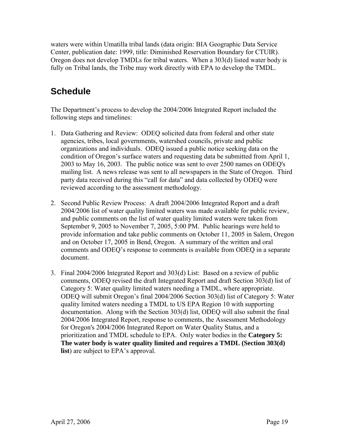waters were within Umatilla tribal lands (data origin: BIA Geographic Data Service Center, publication date: 1999, title: Diminished Reservation Boundary for CTUIR). Oregon does not develop TMDLs for tribal waters. When a 303(d) listed water body is fully on Tribal lands, the Tribe may work directly with EPA to develop the TMDL.

## <span id="page-21-0"></span>**Schedule**

The Department's process to develop the 2004/2006 Integrated Report included the following steps and timelines:

- 1. Data Gathering and Review: ODEQ solicited data from federal and other state agencies, tribes, local governments, watershed councils, private and public organizations and individuals. ODEQ issued a public notice seeking data on the condition of Oregon's surface waters and requesting data be submitted from April 1, 2003 to May 16, 2003. The public notice was sent to over 2500 names on ODEQ's mailing list. A news release was sent to all newspapers in the State of Oregon. Third party data received during this "call for data" and data collected by ODEQ were reviewed according to the assessment methodology.
- 2. Second Public Review Process: A draft 2004/2006 Integrated Report and a draft 2004/2006 list of water quality limited waters was made available for public review, and public comments on the list of water quality limited waters were taken from September 9, 2005 to November 7, 2005, 5:00 PM. Public hearings were held to provide information and take public comments on October 11, 2005 in Salem, Oregon and on October 17, 2005 in Bend, Oregon. A summary of the written and oral comments and ODEQ's response to comments is available from ODEQ in a separate document.
- 3. Final 2004/2006 Integrated Report and 303(d) List: Based on a review of public comments, ODEQ revised the draft Integrated Report and draft Section 303(d) list of Category 5: Water quality limited waters needing a TMDL, where appropriate. ODEQ will submit Oregon's final 2004/2006 Section 303(d) list of Category 5: Water quality limited waters needing a TMDL to US EPA Region 10 with supporting documentation. Along with the Section 303(d) list, ODEQ will also submit the final 2004/2006 Integrated Report, response to comments, the Assessment Methodology for Oregon's 2004/2006 Integrated Report on Water Quality Status, and a prioritization and TMDL schedule to EPA. Only water bodies in the **Category 5: The water body is water quality limited and requires a TMDL (Section 303(d) list**) are subject to EPA's approval.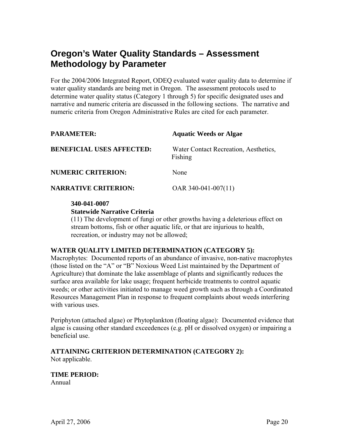### <span id="page-22-0"></span>**Oregon's Water Quality Standards – Assessment Methodology by Parameter**

For the 2004/2006 Integrated Report, ODEQ evaluated water quality data to determine if water quality standards are being met in Oregon. The assessment protocols used to determine water quality status (Category 1 through 5) for specific designated uses and narrative and numeric criteria are discussed in the following sections. The narrative and numeric criteria from Oregon Administrative Rules are cited for each parameter.

<span id="page-22-1"></span>

| <b>PARAMETER:</b>                | <b>Aquatic Weeds or Algae</b>                    |
|----------------------------------|--------------------------------------------------|
| <b>BENEFICIAL USES AFFECTED:</b> | Water Contact Recreation, Aesthetics,<br>Fishing |
| <b>NUMERIC CRITERION:</b>        | None                                             |
| <b>NARRATIVE CRITERION:</b>      | OAR $340-041-007(11)$                            |

#### **340-041-0007**

#### **Statewide Narrative Criteria**

(11) The development of fungi or other growths having a deleterious effect on stream bottoms, fish or other aquatic life, or that are injurious to health, recreation, or industry may not be allowed;

#### **WATER QUALITY LIMITED DETERMINATION (CATEGORY 5):**

Macrophytes: Documented reports of an abundance of invasive, non-native macrophytes (those listed on the "A" or "B" Noxious Weed List maintained by the Department of Agriculture) that dominate the lake assemblage of plants and significantly reduces the surface area available for lake usage; frequent herbicide treatments to control aquatic weeds; or other activities initiated to manage weed growth such as through a Coordinated Resources Management Plan in response to frequent complaints about weeds interfering with various uses.

Periphyton (attached algae) or Phytoplankton (floating algae): Documented evidence that algae is causing other standard exceedences (e.g. pH or dissolved oxygen) or impairing a beneficial use.

### **ATTAINING CRITERION DETERMINATION (CATEGORY 2):**

Not applicable.

### **TIME PERIOD:**

Annual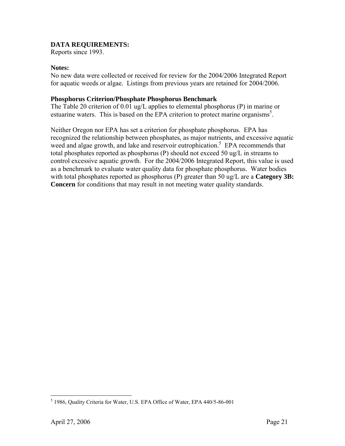#### **DATA REQUIREMENTS:**

Reports since 1993.

#### **Notes:**

No new data were collected or received for review for the 2004/2006 Integrated Report for aquatic weeds or algae. Listings from previous years are retained for 2004/2006.

#### **Phosphorus Criterion/Phosphate Phosphorus Benchmark**

The Table 20 criterion of 0.01 ug/L applies to elemental phosphorus (P) in marine or estuarine waters. This is based on the EPA criterion to protect marine organisms<sup>[5](#page-23-0)</sup>.

Neither Oregon nor EPA has set a criterion for phosphate phosphorus. EPA has recognized the relationship between phosphates, as major nutrients, and excessive aquatic weed and algae growth, and lake and reservoir eutrophication.<sup>5</sup> EPA recommends that total phosphates reported as phosphorus (P) should not exceed 50 ug/L in streams to control excessive aquatic growth. For the 2004/2006 Integrated Report, this value is used as a benchmark to evaluate water quality data for phosphate phosphorus. Water bodies with total phosphates reported as phosphorus (P) greater than 50 ug/L are a **Category 3B: Concern** for conditions that may result in not meeting water quality standards.

 $\overline{a}$ 

<span id="page-23-0"></span><sup>5</sup> 1986, Quality Criteria for Water, U.S. EPA Office of Water, EPA 440/5-86-001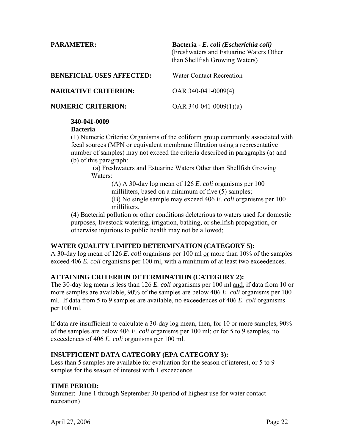<span id="page-24-0"></span>

| <b>PARAMETER:</b>                | Bacteria - E. coli (Escherichia coli)<br>(Freshwaters and Estuarine Waters Other<br>than Shellfish Growing Waters) |
|----------------------------------|--------------------------------------------------------------------------------------------------------------------|
| <b>BENEFICIAL USES AFFECTED:</b> | <b>Water Contact Recreation</b>                                                                                    |
| <b>NARRATIVE CRITERION:</b>      | OAR 340-041-0009(4)                                                                                                |
| <b>NUMERIC CRITERION:</b>        | OAR 340-041-0009(1)(a)                                                                                             |

#### **340-041-0009**

#### **Bacteria**

(1) Numeric Criteria: Organisms of the coliform group commonly associated with fecal sources (MPN or equivalent membrane filtration using a representative number of samples) may not exceed the criteria described in paragraphs (a) and (b) of this paragraph:

 (a) Freshwaters and Estuarine Waters Other than Shellfish Growing Waters:

(A) A 30-day log mean of 126 *E. coli* organisms per 100 milliliters, based on a minimum of five (5) samples; (B) No single sample may exceed 406 *E. coli* organisms per 100 milliliters.

(4) Bacterial pollution or other conditions deleterious to waters used for domestic purposes, livestock watering, irrigation, bathing, or shellfish propagation, or otherwise injurious to public health may not be allowed;

#### **WATER QUALITY LIMITED DETERMINATION (CATEGORY 5):**

A 30-day log mean of 126 *E. coli* organisms per 100 ml or more than 10% of the samples exceed 406 *E. coli* organisms per 100 ml, with a minimum of at least two exceedences.

#### **ATTAINING CRITERION DETERMINATION (CATEGORY 2):**

The 30-day log mean is less than 126 *E. coli* organisms per 100 ml and, if data from 10 or more samples are available, 90% of the samples are below 406 *E. coli* organisms per 100 ml. If data from 5 to 9 samples are available, no exceedences of 406 *E. coli* organisms per 100 ml.

If data are insufficient to calculate a 30-day log mean, then, for 10 or more samples, 90% of the samples are below 406 *E. coli* organisms per 100 ml; or for 5 to 9 samples, no exceedences of 406 *E. coli* organisms per 100 ml.

#### **INSUFFICIENT DATA CATEGORY (EPA CATEGORY 3):**

Less than 5 samples are available for evaluation for the season of interest, or 5 to 9 samples for the season of interest with 1 exceedence.

#### **TIME PERIOD:**

Summer: June 1 through September 30 (period of highest use for water contact recreation)

April 27, 2006 Page 22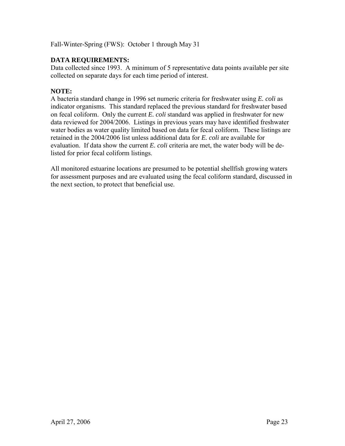Fall-Winter-Spring (FWS): October 1 through May 31

#### **DATA REQUIREMENTS:**

Data collected since 1993. A minimum of 5 representative data points available per site collected on separate days for each time period of interest.

#### **NOTE:**

A bacteria standard change in 1996 set numeric criteria for freshwater using *E. coli* as indicator organisms. This standard replaced the previous standard for freshwater based on fecal coliform. Only the current *E. coli* standard was applied in freshwater for new data reviewed for 2004/2006. Listings in previous years may have identified freshwater water bodies as water quality limited based on data for fecal coliform. These listings are retained in the 2004/2006 list unless additional data for *E. coli* are available for evaluation. If data show the current *E. coli* criteria are met, the water body will be delisted for prior fecal coliform listings.

All monitored estuarine locations are presumed to be potential shellfish growing waters for assessment purposes and are evaluated using the fecal coliform standard, discussed in the next section, to protect that beneficial use.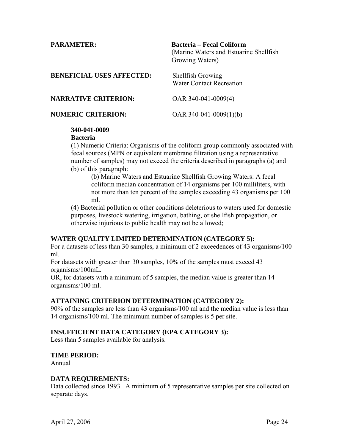<span id="page-26-0"></span>

| <b>PARAMETER:</b>                | <b>Bacteria - Fecal Coliform</b><br>(Marine Waters and Estuarine Shellfish)<br>Growing Waters) |
|----------------------------------|------------------------------------------------------------------------------------------------|
| <b>BENEFICIAL USES AFFECTED:</b> | <b>Shellfish Growing</b><br><b>Water Contact Recreation</b>                                    |
| <b>NARRATIVE CRITERION:</b>      | OAR $340-041-0009(4)$                                                                          |
| <b>NUMERIC CRITERION:</b>        | OAR $340-041-0009(1)(b)$                                                                       |

#### **340-041-0009**

#### **Bacteria**

(1) Numeric Criteria: Organisms of the coliform group commonly associated with fecal sources (MPN or equivalent membrane filtration using a representative number of samples) may not exceed the criteria described in paragraphs (a) and (b) of this paragraph:

(b) Marine Waters and Estuarine Shellfish Growing Waters: A fecal coliform median concentration of 14 organisms per 100 milliliters, with not more than ten percent of the samples exceeding 43 organisms per 100 ml.

(4) Bacterial pollution or other conditions deleterious to waters used for domestic purposes, livestock watering, irrigation, bathing, or shellfish propagation, or otherwise injurious to public health may not be allowed;

#### **WATER QUALITY LIMITED DETERMINATION (CATEGORY 5):**

For a datasets of less than 30 samples, a minimum of 2 exceedences of 43 organisms/100 ml.

For datasets with greater than 30 samples, 10% of the samples must exceed 43 organisms/100mL.

OR, for datasets with a minimum of 5 samples, the median value is greater than 14 organisms/100 ml.

#### **ATTAINING CRITERION DETERMINATION (CATEGORY 2):**

90% of the samples are less than 43 organisms/100 ml and the median value is less than 14 organisms/100 ml. The minimum number of samples is 5 per site.

#### **INSUFFICIENT DATA CATEGORY (EPA CATEGORY 3):**

Less than 5 samples available for analysis.

#### **TIME PERIOD:**

Annual

#### **DATA REQUIREMENTS:**

Data collected since 1993. A minimum of 5 representative samples per site collected on separate days.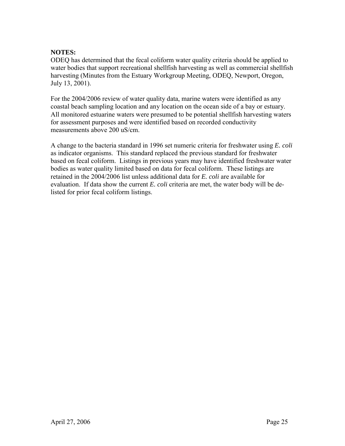#### **NOTES:**

ODEQ has determined that the fecal coliform water quality criteria should be applied to water bodies that support recreational shellfish harvesting as well as commercial shellfish harvesting (Minutes from the Estuary Workgroup Meeting, ODEQ, Newport, Oregon, July 13, 2001).

For the 2004/2006 review of water quality data, marine waters were identified as any coastal beach sampling location and any location on the ocean side of a bay or estuary. All monitored estuarine waters were presumed to be potential shellfish harvesting waters for assessment purposes and were identified based on recorded conductivity measurements above 200 uS/cm.

A change to the bacteria standard in 1996 set numeric criteria for freshwater using *E. coli* as indicator organisms. This standard replaced the previous standard for freshwater based on fecal coliform. Listings in previous years may have identified freshwater water bodies as water quality limited based on data for fecal coliform. These listings are retained in the 2004/2006 list unless additional data for *E. coli* are available for evaluation. If data show the current *E. coli* criteria are met, the water body will be delisted for prior fecal coliform listings.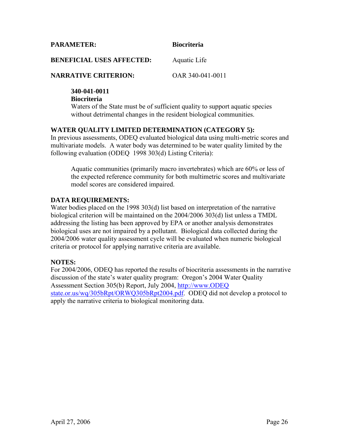<span id="page-28-0"></span>**PARAMETER: Biocriteria** 

#### **BENEFICIAL USES AFFECTED:** Aquatic Life

#### **NARRATIVE CRITERION:** OAR 340-041-0011

#### **340-041-0011**

#### **Biocriteria**

Waters of the State must be of sufficient quality to support aquatic species without detrimental changes in the resident biological communities.

#### **WATER QUALITY LIMITED DETERMINATION (CATEGORY 5):**

In previous assessments, ODEQ evaluated biological data using multi-metric scores and multivariate models. A water body was determined to be water quality limited by the following evaluation (ODEQ 1998 303(d) Listing Criteria):

Aquatic communities (primarily macro invertebrates) which are 60% or less of the expected reference community for both multimetric scores and multivariate model scores are considered impaired.

#### **DATA REQUIREMENTS:**

Water bodies placed on the 1998 303(d) list based on interpretation of the narrative biological criterion will be maintained on the 2004/2006 303(d) list unless a TMDL addressing the listing has been approved by EPA or another analysis demonstrates biological uses are not impaired by a pollutant. Biological data collected during the 2004/2006 water quality assessment cycle will be evaluated when numeric biological criteria or protocol for applying narrative criteria are available.

#### **NOTES:**

For 2004/2006, ODEQ has reported the results of biocriteria assessments in the narrative discussion of the state's water quality program: Oregon's 2004 Water Quality Assessment Section 305(b) Report, July 2004, [http://www.ODEQ](http://www.deq.state.or.us/wq/305bRpt/ORWQ305bRpt2004.pdf)  [state.or.us/wq/305bRpt/ORWQ305bRpt2004.pdf.](http://www.deq.state.or.us/wq/305bRpt/ORWQ305bRpt2004.pdf) ODEQ did not develop a protocol to apply the narrative criteria to biological monitoring data.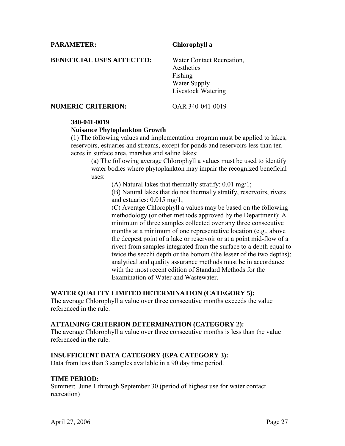<span id="page-29-0"></span>**PARAMETER: Chlorophyll a** 

**BENEFICIAL USES AFFECTED:** Water Contact Recreation,

 Aesthetics Fishing Water Supply Livestock Watering

**NUMERIC CRITERION:** OAR 340-041-0019

#### **340-041-0019**

#### **Nuisance Phytoplankton Growth**

(1) The following values and implementation program must be applied to lakes, reservoirs, estuaries and streams, except for ponds and reservoirs less than ten acres in surface area, marshes and saline lakes:

(a) The following average Chlorophyll a values must be used to identify water bodies where phytoplankton may impair the recognized beneficial uses:

(A) Natural lakes that thermally stratify: 0.01 mg/1;

(B) Natural lakes that do not thermally stratify, reservoirs, rivers and estuaries: 0.015 mg/1;

(C) Average Chlorophyll a values may be based on the following methodology (or other methods approved by the Department): A minimum of three samples collected over any three consecutive months at a minimum of one representative location (e.g., above the deepest point of a lake or reservoir or at a point mid-flow of a river) from samples integrated from the surface to a depth equal to twice the secchi depth or the bottom (the lesser of the two depths); analytical and quality assurance methods must be in accordance with the most recent edition of Standard Methods for the Examination of Water and Wastewater.

#### **WATER QUALITY LIMITED DETERMINATION (CATEGORY 5):**

The average Chlorophyll a value over three consecutive months exceeds the value referenced in the rule.

#### **ATTAINING CRITERION DETERMINATION (CATEGORY 2):**

The average Chlorophyll a value over three consecutive months is less than the value referenced in the rule.

#### **INSUFFICIENT DATA CATEGORY (EPA CATEGORY 3):**

Data from less than 3 samples available in a 90 day time period.

#### **TIME PERIOD:**

Summer: June 1 through September 30 (period of highest use for water contact recreation)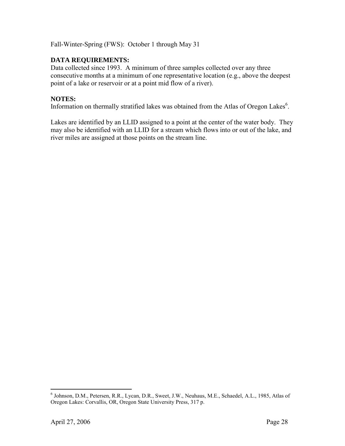Fall-Winter-Spring (FWS): October 1 through May 31

#### **DATA REQUIREMENTS:**

Data collected since 1993. A minimum of three samples collected over any three consecutive months at a minimum of one representative location (e.g., above the deepest point of a lake or reservoir or at a point mid flow of a river).

#### **NOTES:**

Information on thermally stratified lakes was obtained from the Atlas of Oregon Lakes<sup>6</sup>.

Lakes are identified by an LLID assigned to a point at the center of the water body. They may also be identified with an LLID for a stream which flows into or out of the lake, and river miles are assigned at those points on the stream line.

<span id="page-30-0"></span> 6 Johnson, D.M., Petersen, R.R., Lycan, D.R., Sweet, J.W., Neuhaus, M.E., Schaedel, A.L., 1985, Atlas of Oregon Lakes: Corvallis, OR, Oregon State University Press, 317 p.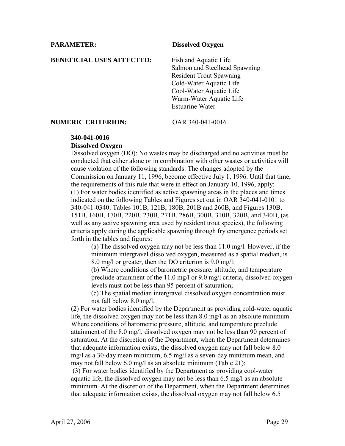#### <span id="page-31-0"></span>**PARAMETER: Dissolved Oxygen**

**BENEFICIAL USES AFFECTED:** Fish and Aquatic Life

Salmon and Steelhead Spawning Resident Trout Spawning Cold-Water Aquatic Life Cool-Water Aquatic Life Warm-Water Aquatic Life Estuarine Water

#### **NUMERIC CRITERION:** OAR 340-041-0016

#### **340-041-0016**

#### **Dissolved Oxygen**

Dissolved oxygen (DO): No wastes may be discharged and no activities must be conducted that either alone or in combination with other wastes or activities will cause violation of the following standards: The changes adopted by the Commission on January 11, 1996, become effective July 1, 1996. Until that time, the requirements of this rule that were in effect on January 10, 1996, apply: (1) For water bodies identified as active spawning areas in the places and times indicated on the following Tables and Figures set out in OAR 340-041-0101 to 340-041-0340: Tables 101B, 121B, 180B, 201B and 260B, and Figures 130B, 151B, 160B, 170B, 220B, 230B, 271B, 286B, 300B, 310B, 320B, and 340B, (as well as any active spawning area used by resident trout species), the following criteria apply during the applicable spawning through fry emergence periods set forth in the tables and figures:

(a) The dissolved oxygen may not be less than 11.0 mg/l. However, if the minimum intergravel dissolved oxygen, measured as a spatial median, is 8.0 mg/l or greater, then the DO criterion is 9.0 mg/l;

(b) Where conditions of barometric pressure, altitude, and temperature preclude attainment of the 11.0 mg/l or 9.0 mg/l criteria, dissolved oxygen levels must not be less than 95 percent of saturation;

(c) The spatial median intergravel dissolved oxygen concentration must not fall below 8.0 mg/l.

(2) For water bodies identified by the Department as providing cold-water aquatic life, the dissolved oxygen may not be less than 8.0 mg/l as an absolute minimum. Where conditions of barometric pressure, altitude, and temperature preclude attainment of the 8.0 mg/l, dissolved oxygen may not be less than 90 percent of saturation. At the discretion of the Department, when the Department determines that adequate information exists, the dissolved oxygen may not fall below 8.0 mg/l as a 30-day mean minimum, 6.5 mg/l as a seven-day minimum mean, and may not fall below 6.0 mg/l as an absolute minimum (Table 21);

 (3) For water bodies identified by the Department as providing cool-water aquatic life, the dissolved oxygen may not be less than 6.5 mg/l as an absolute minimum. At the discretion of the Department, when the Department determines that adequate information exists, the dissolved oxygen may not fall below 6.5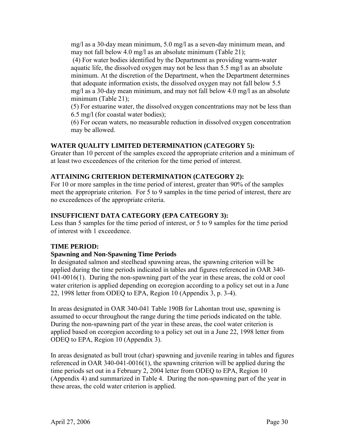mg/l as a 30-day mean minimum, 5.0 mg/l as a seven-day minimum mean, and may not fall below 4.0 mg/l as an absolute minimum (Table 21);

 (4) For water bodies identified by the Department as providing warm-water aquatic life, the dissolved oxygen may not be less than 5.5 mg/l as an absolute minimum. At the discretion of the Department, when the Department determines that adequate information exists, the dissolved oxygen may not fall below 5.5 mg/l as a 30-day mean minimum, and may not fall below 4.0 mg/l as an absolute minimum (Table 21);

(5) For estuarine water, the dissolved oxygen concentrations may not be less than 6.5 mg/l (for coastal water bodies);

(6) For ocean waters, no measurable reduction in dissolved oxygen concentration may be allowed.

#### **WATER QUALITY LIMITED DETERMINATION (CATEGORY 5):**

Greater than 10 percent of the samples exceed the appropriate criterion and a minimum of at least two exceedences of the criterion for the time period of interest.

#### **ATTAINING CRITERION DETERMINATION (CATEGORY 2):**

For 10 or more samples in the time period of interest, greater than 90% of the samples meet the appropriate criterion. For 5 to 9 samples in the time period of interest, there are no exceedences of the appropriate criteria.

#### **INSUFFICIENT DATA CATEGORY (EPA CATEGORY 3):**

Less than 5 samples for the time period of interest, or 5 to 9 samples for the time period of interest with 1 exceedence.

#### **TIME PERIOD:**

#### **Spawning and Non-Spawning Time Periods**

In designated salmon and steelhead spawning areas, the spawning criterion will be applied during the time periods indicated in tables and figures referenced in OAR 340- 041-0016(1). During the non-spawning part of the year in these areas, the cold or cool water criterion is applied depending on ecoregion according to a policy set out in a June 22, 1998 letter from ODEQ to EPA, Region 10 (Appendix 3, p. 3-4).

In areas designated in OAR 340-041 Table 190B for Lahontan trout use, spawning is assumed to occur throughout the range during the time periods indicated on the table. During the non-spawning part of the year in these areas, the cool water criterion is applied based on ecoregion according to a policy set out in a June 22, 1998 letter from ODEQ to EPA, Region 10 (Appendix 3).

In areas designated as bull trout (char) spawning and juvenile rearing in tables and figures referenced in OAR 340-041-0016(1), the spawning criterion will be applied during the time periods set out in a February 2, 2004 letter from ODEQ to EPA, Region 10 (Appendix 4) and summarized in Table 4. During the non-spawning part of the year in these areas, the cold water criterion is applied.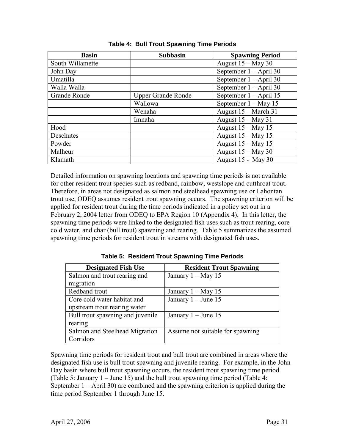| <b>Basin</b>     | <b>Subbasin</b>           | <b>Spawning Period</b>   |
|------------------|---------------------------|--------------------------|
| South Willamette |                           | August $15 -$ May 30     |
| John Day         |                           | September $1 - April 30$ |
| Umatilla         |                           | September $1 -$ April 30 |
| Walla Walla      |                           | September $1 - April 30$ |
| Grande Ronde     | <b>Upper Grande Ronde</b> | September $1 - April 15$ |
|                  | Wallowa                   | September $1 - May 15$   |
|                  | Wenaha                    | August 15 – March 31     |
|                  | Imnaha                    | August $15 -$ May 31     |
| Hood             |                           | August $15 -$ May 15     |
| Deschutes        |                           | August $15 -$ May 15     |
| Powder           |                           | August $15 -$ May 15     |
| Malheur          |                           | August $15 -$ May 30     |
| Klamath          |                           | August 15 - May 30       |

**Table 4: Bull Trout Spawning Time Periods** 

Detailed information on spawning locations and spawning time periods is not available for other resident trout species such as redband, rainbow, westslope and cutthroat trout. Therefore, in areas not designated as salmon and steelhead spawning use or Lahontan trout use, ODEQ assumes resident trout spawning occurs. The spawning criterion will be applied for resident trout during the time periods indicated in a policy set out in a February 2, 2004 letter from ODEQ to EPA Region 10 (Appendix 4). In this letter, the spawning time periods were linked to the designated fish uses such as trout rearing, core cold water, and char (bull trout) spawning and rearing. Table 5 summarizes the assumed spawning time periods for resident trout in streams with designated fish uses.

**Table 5: Resident Trout Spawning Time Periods** 

| <b>Designated Fish Use</b>       | <b>Resident Trout Spawning</b>   |
|----------------------------------|----------------------------------|
| Salmon and trout rearing and     | January $1 - May 15$             |
| migration                        |                                  |
| Redband trout                    | January $1 - May 15$             |
| Core cold water habitat and      | January $1 -$ June 15            |
| upstream trout rearing water     |                                  |
| Bull trout spawning and juvenile | January $1 -$ June 15            |
| rearing                          |                                  |
| Salmon and Steelhead Migration   | Assume not suitable for spawning |
| Corridors                        |                                  |

Spawning time periods for resident trout and bull trout are combined in areas where the designated fish use is bull trout spawning and juvenile rearing. For example, in the John Day basin where bull trout spawning occurs, the resident trout spawning time period (Table 5: January 1 – June 15) and the bull trout spawning time period (Table 4: September 1 – April 30) are combined and the spawning criterion is applied during the time period September 1 through June 15.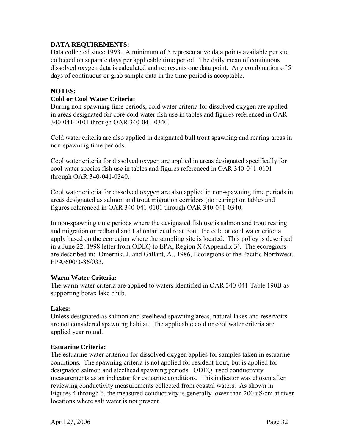#### **DATA REQUIREMENTS:**

Data collected since 1993. A minimum of 5 representative data points available per site collected on separate days per applicable time period. The daily mean of continuous dissolved oxygen data is calculated and represents one data point. Any combination of 5 days of continuous or grab sample data in the time period is acceptable.

#### **NOTES:**

#### **Cold or Cool Water Criteria:**

During non-spawning time periods, cold water criteria for dissolved oxygen are applied in areas designated for core cold water fish use in tables and figures referenced in OAR 340-041-0101 through OAR 340-041-0340.

Cold water criteria are also applied in designated bull trout spawning and rearing areas in non-spawning time periods.

Cool water criteria for dissolved oxygen are applied in areas designated specifically for cool water species fish use in tables and figures referenced in OAR 340-041-0101 through OAR 340-041-0340.

Cool water criteria for dissolved oxygen are also applied in non-spawning time periods in areas designated as salmon and trout migration corridors (no rearing) on tables and figures referenced in OAR 340-041-0101 through OAR 340-041-0340.

In non-spawning time periods where the designated fish use is salmon and trout rearing and migration or redband and Lahontan cutthroat trout, the cold or cool water criteria apply based on the ecoregion where the sampling site is located. This policy is described in a June 22, 1998 letter from ODEQ to EPA, Region X (Appendix 3). The ecoregions are described in: Omernik, J. and Gallant, A., 1986, Ecoregions of the Pacific Northwest, EPA/600/3-86/033.

#### **Warm Water Criteria:**

The warm water criteria are applied to waters identified in OAR 340-041 Table 190B as supporting borax lake chub.

#### **Lakes:**

Unless designated as salmon and steelhead spawning areas, natural lakes and reservoirs are not considered spawning habitat. The applicable cold or cool water criteria are applied year round.

#### **Estuarine Criteria:**

The estuarine water criterion for dissolved oxygen applies for samples taken in estuarine conditions. The spawning criteria is not applied for resident trout, but is applied for designated salmon and steelhead spawning periods. ODEQ used conductivity measurements as an indicator for estuarine conditions. This indicator was chosen after reviewing conductivity measurements collected from coastal waters. As shown in Figures 4 through 6, the measured conductivity is generally lower than 200 uS/cm at river locations where salt water is not present.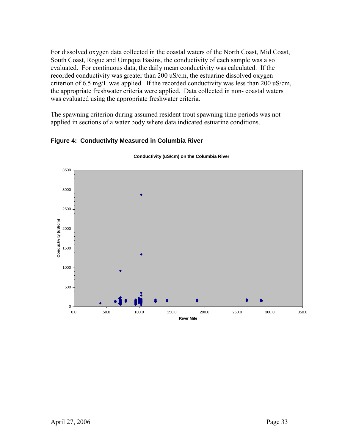For dissolved oxygen data collected in the coastal waters of the North Coast, Mid Coast, South Coast, Rogue and Umpqua Basins, the conductivity of each sample was also evaluated. For continuous data, the daily mean conductivity was calculated. If the recorded conductivity was greater than 200 uS/cm, the estuarine dissolved oxygen criterion of 6.5 mg/L was applied. If the recorded conductivity was less than 200 uS/cm, the appropriate freshwater criteria were applied. Data collected in non- coastal waters was evaluated using the appropriate freshwater criteria.

The spawning criterion during assumed resident trout spawning time periods was not applied in sections of a water body where data indicated estuarine conditions.



#### **Figure 4: Conductivity Measured in Columbia River**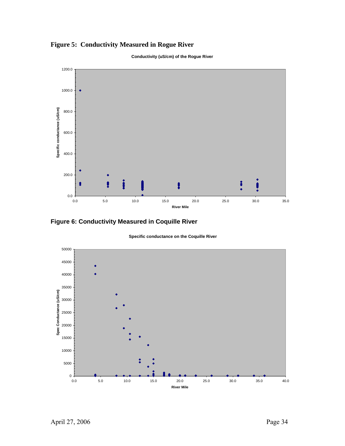



**Conductivity (uS/cm) of the Rogue River**

**Figure 6: Conductivity Measured in Coquille River** 



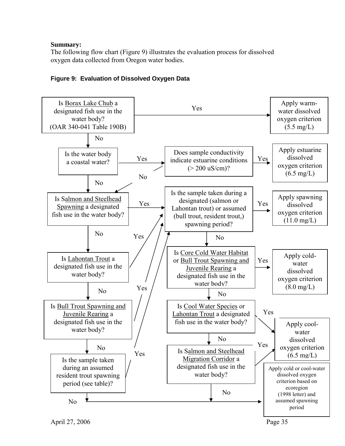## **Summary:**

The following flow chart (Figure 9) illustrates the evaluation process for dissolved oxygen data collected from Oregon water bodies.



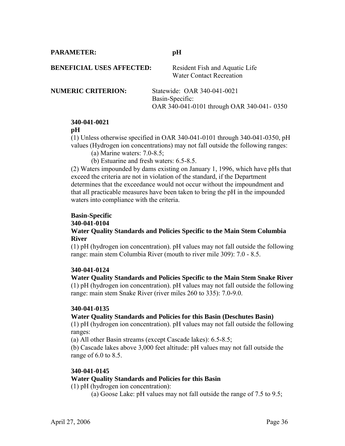**PARAMETER: pH** 

**BENEFICIAL USES AFFECTED:** Resident Fish and Aquatic Life

Water Contact Recreation

**NUMERIC CRITERION:** Statewide: OAR 340-041-0021 Basin-Specific: OAR 340-041-0101 through OAR 340-041- 0350

# **340-041-0021**

## **pH**

(1) Unless otherwise specified in OAR 340-041-0101 through 340-041-0350, pH values (Hydrogen ion concentrations) may not fall outside the following ranges:

- (a) Marine waters: 7.0-8.5;
- (b) Estuarine and fresh waters: 6.5-8.5.

(2) Waters impounded by dams existing on January 1, 1996, which have pHs that exceed the criteria are not in violation of the standard, if the Department determines that the exceedance would not occur without the impoundment and that all practicable measures have been taken to bring the pH in the impounded waters into compliance with the criteria.

#### **Basin-Specific 340-041-0104 Water Quality Standards and Policies Specific to the Main Stem Columbia River**

(1) pH (hydrogen ion concentration). pH values may not fall outside the following range: main stem Columbia River (mouth to river mile 309): 7.0 - 8.5.

## **340-041-0124**

**Water Quality Standards and Policies Specific to the Main Stem Snake River**  (1) pH (hydrogen ion concentration). pH values may not fall outside the following range: main stem Snake River (river miles 260 to 335): 7.0-9.0.

## **340-041-0135**

## **Water Quality Standards and Policies for this Basin (Deschutes Basin)**

(1) pH (hydrogen ion concentration). pH values may not fall outside the following ranges:

(a) All other Basin streams (except Cascade lakes): 6.5-8.5;

(b) Cascade lakes above 3,000 feet altitude: pH values may not fall outside the range of 6.0 to 8.5.

## **340-041-0145**

## **Water Quality Standards and Policies for this Basin**

(1) pH (hydrogen ion concentration):

(a) Goose Lake: pH values may not fall outside the range of 7.5 to 9.5;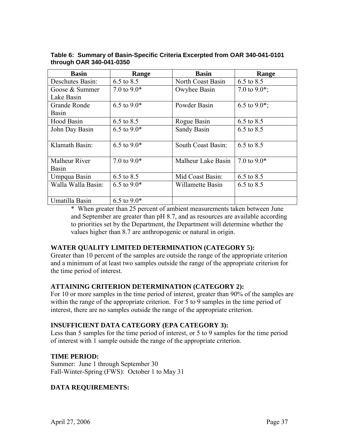| Basin                | Range         | <b>Basin</b>       | Range            |
|----------------------|---------------|--------------------|------------------|
| Deschutes Basin:     | 6.5 to 8.5    | North Coast Basin  | 6.5 to 8.5       |
| Goose & Summer       | 7.0 to $9.0*$ | Owyhee Basin       | 7.0 to $9.0^*$ ; |
| Lake Basin           |               |                    |                  |
| <b>Grande Ronde</b>  | 6.5 to $9.0*$ | Powder Basin       | 6.5 to 9.0 $*$ ; |
| Basin                |               |                    |                  |
| Hood Basin           | 6.5 to 8.5    | Rogue Basin        | 6.5 to 8.5       |
| John Day Basin       | 6.5 to $9.0*$ | <b>Sandy Basin</b> | 6.5 to 8.5       |
|                      |               |                    |                  |
| Klamath Basin:       | 6.5 to $9.0*$ | South Coast Basin: | 6.5 to 8.5       |
|                      |               |                    |                  |
| <b>Malheur River</b> | 7.0 to $9.0*$ | Malheur Lake Basin | 7.0 to $9.0*$    |
| Basin                |               |                    |                  |
| Umpqua Basin         | 6.5 to 8.5    | Mid Coast Basin:   | 6.5 to 8.5       |
| Walla Walla Basin:   | 6.5 to $9.0*$ | Willamette Basin   | 6.5 to 8.5       |
|                      |               |                    |                  |
| Umatilla Basin       | 6.5 to $9.0*$ |                    |                  |

**Table 6: Summary of Basin-Specific Criteria Excerpted from OAR 340-041-0101 through OAR 340-041-0350** 

\* When greater than 25 percent of ambient measurements taken between June and September are greater than pH 8.7, and as resources are available according to priorities set by the Department, the Department will determine whether the values higher than 8.7 are anthropogenic or natural in origin.

# **WATER QUALITY LIMITED DETERMINATION (CATEGORY 5):**

Greater than 10 percent of the samples are outside the range of the appropriate criterion and a minimum of at least two samples outside the range of the appropriate criterion for the time period of interest.

# **ATTAINING CRITERION DETERMINATION (CATEGORY 2):**

For 10 or more samples in the time period of interest, greater than 90% of the samples are within the range of the appropriate criterion. For 5 to 9 samples in the time period of interest, there are no samples outside the range of the appropriate criterion.

# **INSUFFICIENT DATA CATEGORY (EPA CATEGORY 3):**

Less than 5 samples for the time period of interest, or 5 to 9 samples for the time period of interest with 1 sample outside the range of the appropriate criterion.

# **TIME PERIOD:**

Summer: June 1 through September 30 Fall-Winter-Spring (FWS): October 1 to May 31

# **DATA REQUIREMENTS:**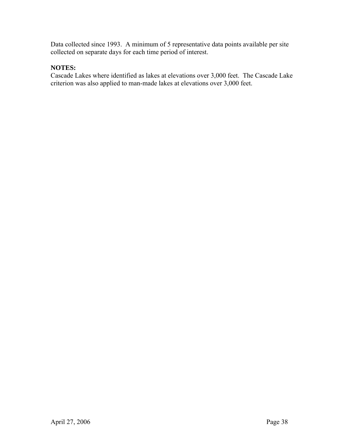Data collected since 1993. A minimum of 5 representative data points available per site collected on separate days for each time period of interest.

# **NOTES:**

Cascade Lakes where identified as lakes at elevations over 3,000 feet. The Cascade Lake criterion was also applied to man-made lakes at elevations over 3,000 feet.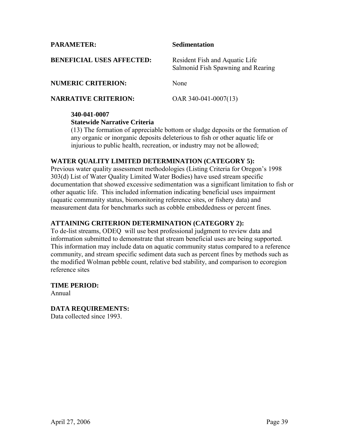**PARAMETER: Sedimentation** 

| <b>BENEFICIAL USES AFFECTED:</b> | Resident Fish and Aquatic Life<br>Salmonid Fish Spawning and Rearing |
|----------------------------------|----------------------------------------------------------------------|
| <b>NUMERIC CRITERION:</b>        | None                                                                 |

**NARRATIVE CRITERION:** OAR 340-041-0007(13)

# **340-041-0007**

**Statewide Narrative Criteria** 

(13) The formation of appreciable bottom or sludge deposits or the formation of any organic or inorganic deposits deleterious to fish or other aquatic life or injurious to public health, recreation, or industry may not be allowed;

# **WATER QUALITY LIMITED DETERMINATION (CATEGORY 5):**

Previous water quality assessment methodologies (Listing Criteria for Oregon's 1998 303(d) List of Water Quality Limited Water Bodies) have used stream specific documentation that showed excessive sedimentation was a significant limitation to fish or other aquatic life. This included information indicating beneficial uses impairment (aquatic community status, biomonitoring reference sites, or fishery data) and measurement data for benchmarks such as cobble embeddedness or percent fines.

# **ATTAINING CRITERION DETERMINATION (CATEGORY 2):**

To de-list streams, ODEQ will use best professional judgment to review data and information submitted to demonstrate that stream beneficial uses are being supported. This information may include data on aquatic community status compared to a reference community, and stream specific sediment data such as percent fines by methods such as the modified Wolman pebble count, relative bed stability, and comparison to ecoregion reference sites

# **TIME PERIOD:**

Annual

**DATA REQUIREMENTS:**  Data collected since 1993.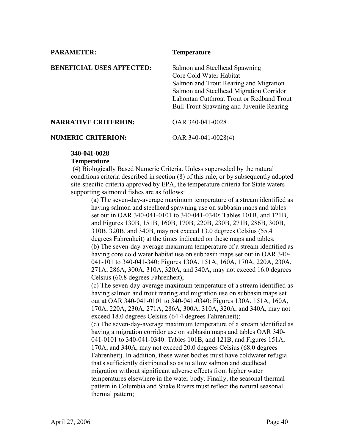**PARAMETER:** Temperature **BENEFICIAL USES AFFECTED:** Salmon and Steelhead Spawning Core Cold Water Habitat Salmon and Trout Rearing and Migration Salmon and Steelhead Migration Corridor Lahontan Cutthroat Trout or Redband Trout Bull Trout Spawning and Juvenile Rearing **NARRATIVE CRITERION:** OAR 340-041-0028 **NUMERIC CRITERION:** OAR 340-041-0028(4)

## **340-041-0028**

#### **Temperature**

 (4) Biologically Based Numeric Criteria. Unless superseded by the natural conditions criteria described in section (8) of this rule, or by subsequently adopted site-specific criteria approved by EPA, the temperature criteria for State waters supporting salmonid fishes are as follows:

(a) The seven-day-average maximum temperature of a stream identified as having salmon and steelhead spawning use on subbasin maps and tables set out in OAR 340-041-0101 to 340-041-0340: Tables 101B, and 121B, and Figures 130B, 151B, 160B, 170B, 220B, 230B, 271B, 286B, 300B, 310B, 320B, and 340B, may not exceed 13.0 degrees Celsius (55.4 degrees Fahrenheit) at the times indicated on these maps and tables; (b) The seven-day-average maximum temperature of a stream identified as having core cold water habitat use on subbasin maps set out in OAR 340- 041-101 to 340-041-340: Figures 130A, 151A, 160A, 170A, 220A, 230A, 271A, 286A, 300A, 310A, 320A, and 340A, may not exceed 16.0 degrees Celsius (60.8 degrees Fahrenheit);

(c) The seven-day-average maximum temperature of a stream identified as having salmon and trout rearing and migration use on subbasin maps set out at OAR 340-041-0101 to 340-041-0340: Figures 130A, 151A, 160A, 170A, 220A, 230A, 271A, 286A, 300A, 310A, 320A, and 340A, may not exceed 18.0 degrees Celsius (64.4 degrees Fahrenheit);

(d) The seven-day-average maximum temperature of a stream identified as having a migration corridor use on subbasin maps and tables OAR 340- 041-0101 to 340-041-0340: Tables 101B, and 121B, and Figures 151A, 170A, and 340A, may not exceed 20.0 degrees Celsius (68.0 degrees Fahrenheit). In addition, these water bodies must have coldwater refugia that's sufficiently distributed so as to allow salmon and steelhead migration without significant adverse effects from higher water temperatures elsewhere in the water body. Finally, the seasonal thermal pattern in Columbia and Snake Rivers must reflect the natural seasonal thermal pattern;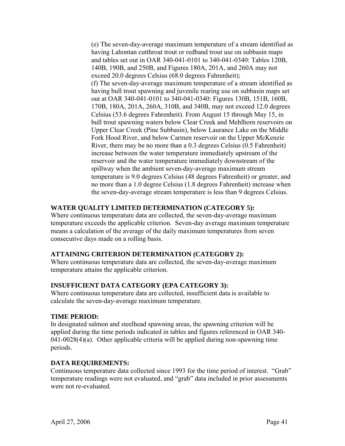(e) The seven-day-average maximum temperature of a stream identified as having Lahontan cutthroat trout or redband trout use on subbasin maps and tables set out in OAR 340-041-0101 to 340-041-0340: Tables 120B, 140B, 190B, and 250B, and Figures 180A, 201A, and 260A may not exceed 20.0 degrees Celsius (68.0 degrees Fahrenheit); (f) The seven-day-average maximum temperature of a stream identified as having bull trout spawning and juvenile rearing use on subbasin maps set out at OAR 340-041-0101 to 340-041-0340: Figures 130B, 151B, 160B, 170B, 180A, 201A, 260A, 310B, and 340B, may not exceed 12.0 degrees Celsius (53.6 degrees Fahrenheit). From August 15 through May 15, in bull trout spawning waters below Clear Creek and Mehlhorn reservoirs on Upper Clear Creek (Pine Subbasin), below Laurance Lake on the Middle Fork Hood River, and below Carmen reservoir on the Upper McKenzie River, there may be no more than a 0.3 degrees Celsius (0.5 Fahrenheit) increase between the water temperature immediately upstream of the reservoir and the water temperature immediately downstream of the spillway when the ambient seven-day-average maximum stream temperature is 9.0 degrees Celsius (48 degrees Fahrenheit) or greater, and no more than a 1.0 degree Celsius (1.8 degrees Fahrenheit) increase when the seven-day-average stream temperature is less than 9 degrees Celsius.

# **WATER QUALITY LIMITED DETERMINATION (CATEGORY 5):**

Where continuous temperature data are collected, the seven-day-average maximum temperature exceeds the applicable criterion. Seven-day average maximum temperature means a calculation of the average of the daily maximum temperatures from seven consecutive days made on a rolling basis.

# **ATTAINING CRITERION DETERMINATION (CATEGORY 2):**

Where continuous temperature data are collected, the seven-day-average maximum temperature attains the applicable criterion.

# **INSUFFICIENT DATA CATEGORY (EPA CATEGORY 3):**

Where continuous temperature data are collected, insufficient data is available to calculate the seven-day-average maximum temperature.

# **TIME PERIOD:**

In designated salmon and steelhead spawning areas, the spawning criterion will be applied during the time periods indicated in tables and figures referenced in OAR 340-  $041-0028(4)$ (a). Other applicable criteria will be applied during non-spawning time periods.

# **DATA REQUIREMENTS:**

Continuous temperature data collected since 1993 for the time period of interest. "Grab" temperature readings were not evaluated, and "grab" data included in prior assessments were not re-evaluated.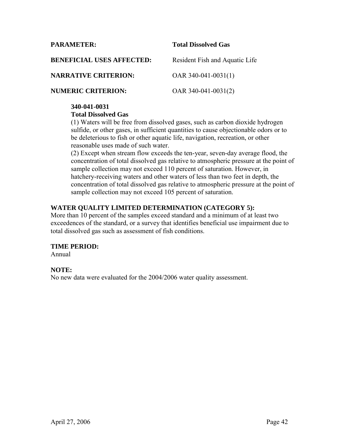## **PARAMETER: Total Dissolved Gas**

| <b>BENEFICIAL USES AFFECTED:</b> | Resident Fish and Aquatic Life |
|----------------------------------|--------------------------------|
| <b>NARRATIVE CRITERION:</b>      | OAR $340-041-0031(1)$          |
| <b>NUMERIC CRITERION:</b>        | OAR $340-041-0031(2)$          |

#### **340-041-0031**

## **Total Dissolved Gas**

(1) Waters will be free from dissolved gases, such as carbon dioxide hydrogen sulfide, or other gases, in sufficient quantities to cause objectionable odors or to be deleterious to fish or other aquatic life, navigation, recreation, or other reasonable uses made of such water.

(2) Except when stream flow exceeds the ten-year, seven-day average flood, the concentration of total dissolved gas relative to atmospheric pressure at the point of sample collection may not exceed 110 percent of saturation. However, in hatchery-receiving waters and other waters of less than two feet in depth, the concentration of total dissolved gas relative to atmospheric pressure at the point of sample collection may not exceed 105 percent of saturation.

# **WATER QUALITY LIMITED DETERMINATION (CATEGORY 5):**

More than 10 percent of the samples exceed standard and a minimum of at least two exceedences of the standard, or a survey that identifies beneficial use impairment due to total dissolved gas such as assessment of fish conditions.

## **TIME PERIOD:**

Annual

# **NOTE:**

No new data were evaluated for the 2004/2006 water quality assessment.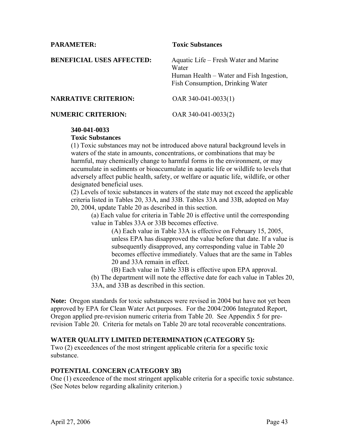## **PARAMETER:** Toxic Substances

| <b>BENEFICIAL USES AFFECTED:</b> | Aquatic Life – Fresh Water and Marine<br>Water<br>Human Health – Water and Fish Ingestion,<br>Fish Consumption, Drinking Water |  |  |
|----------------------------------|--------------------------------------------------------------------------------------------------------------------------------|--|--|
| <b>NARRATIVE CRITERION:</b>      | OAR $340-041-0033(1)$                                                                                                          |  |  |
| <b>NUMERIC CRITERION:</b>        | OAR 340-041-0033(2)                                                                                                            |  |  |

## **340-041-0033**

#### **Toxic Substances**

(1) Toxic substances may not be introduced above natural background levels in waters of the state in amounts, concentrations, or combinations that may be harmful, may chemically change to harmful forms in the environment, or may accumulate in sediments or bioaccumulate in aquatic life or wildlife to levels that adversely affect public health, safety, or welfare or aquatic life, wildlife, or other designated beneficial uses.

(2) Levels of toxic substances in waters of the state may not exceed the applicable criteria listed in Tables 20, 33A, and 33B. Tables 33A and 33B, adopted on May 20, 2004, update Table 20 as described in this section.

(a) Each value for criteria in Table 20 is effective until the corresponding value in Tables 33A or 33B becomes effective.

> (A) Each value in Table 33A is effective on February 15, 2005, unless EPA has disapproved the value before that date. If a value is subsequently disapproved, any corresponding value in Table 20 becomes effective immediately. Values that are the same in Tables 20 and 33A remain in effect.

(B) Each value in Table 33B is effective upon EPA approval. (b) The department will note the effective date for each value in Tables 20, 33A, and 33B as described in this section.

**Note:** Oregon standards for toxic substances were revised in 2004 but have not yet been approved by EPA for Clean Water Act purposes. For the 2004/2006 Integrated Report, Oregon applied pre-revision numeric criteria from Table 20. See Appendix 5 for prerevision Table 20. Criteria for metals on Table 20 are total recoverable concentrations.

## **WATER QUALITY LIMITED DETERMINATION (CATEGORY 5):**

Two (2) exceedences of the most stringent applicable criteria for a specific toxic substance.

#### **POTENTIAL CONCERN (CATEGORY 3B)**

One (1) exceedence of the most stringent applicable criteria for a specific toxic substance. (See Notes below regarding alkalinity criterion.)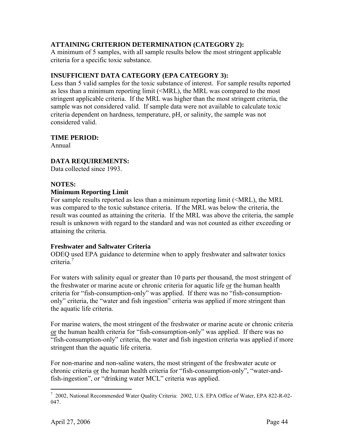# **ATTAINING CRITERION DETERMINATION (CATEGORY 2):**

A minimum of 5 samples, with all sample results below the most stringent applicable criteria for a specific toxic substance.

# **INSUFFICIENT DATA CATEGORY (EPA CATEGORY 3):**

Less than 5 valid samples for the toxic substance of interest. For sample results reported as less than a minimum reporting limit (<MRL), the MRL was compared to the most stringent applicable criteria. If the MRL was higher than the most stringent criteria, the sample was not considered valid. If sample data were not available to calculate toxic criteria dependent on hardness, temperature, pH, or salinity, the sample was not considered valid.

# **TIME PERIOD:**

Annual

# **DATA REQUIREMENTS:**

Data collected since 1993.

# **NOTES:**

## **Minimum Reporting Limit**

For sample results reported as less than a minimum reporting limit (<MRL), the MRL was compared to the toxic substance criteria. If the MRL was below the criteria, the result was counted as attaining the criteria. If the MRL was above the criteria, the sample result is unknown with regard to the standard and was not counted as either exceeding or attaining the criteria.

# **Freshwater and Saltwater Criteria**

ODEQ used EPA guidance to determine when to apply freshwater and saltwater toxics criteria<sup>[7](#page-46-0)</sup>

For waters with salinity equal or greater than 10 parts per thousand, the most stringent of the freshwater or marine acute or chronic criteria for aquatic life or the human health criteria for "fish-consumption-only" was applied. If there was no "fish-consumptiononly" criteria, the "water and fish ingestion" criteria was applied if more stringent than the aquatic life criteria.

For marine waters, the most stringent of the freshwater or marine acute or chronic criteria or the human health criteria for "fish-consumption-only" was applied. If there was no "fish-consumption-only" criteria, the water and fish ingestion criteria was applied if more stringent than the aquatic life criteria.

For non-marine and non-saline waters, the most stringent of the freshwater acute or chronic criteria or the human health criteria for "fish-consumption-only", "water-andfish-ingestion", or "drinking water MCL" criteria was applied.

<span id="page-46-0"></span> $\overline{a}$ <sup>7</sup> 2002, National Recommended Water Quality Criteria: 2002, U.S. EPA Office of Water, EPA 822-R-02-047.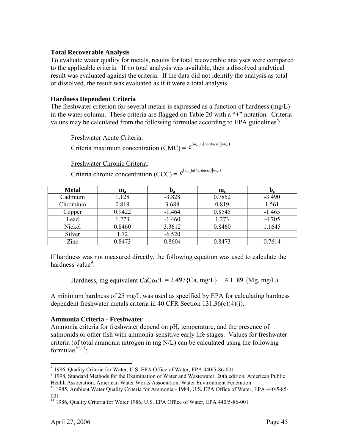## **Total Recoverable Analysis**

To evaluate water quality for metals, results for total recoverable analyses were compared to the applicable criteria. If no total analysis was available, then a dissolved analytical result was evaluated against the criteria. If the data did not identify the analysis as total or dissolved, the result was evaluated as if it were a total analysis.

## **Hardness Dependent Criteria**

The freshwater criterion for several metals is expressed as a function of hardness  $(mg/L)$ in the water column. These criteria are flagged on Table 20 with a "+" notation. Criteria values may be calculated from the following formulae according to EPA guidelines<sup>[8](#page-47-0)</sup>:

Freshwater Acute Criteria:

Criteria maximum concentration (CMC) =  $e^{(m_a [\ln(hardness)] + b_a)}$ 

Freshwater Chronic Criteria:

Criteria chronic concentration (CCC) =  $e^{(m_c \lfloor \ln (hardness) \rfloor + b_c)}$ 

| <b>Metal</b> | $\mathbf{m}_{\mathrm{a}}$ | $\mathbf{D}_{\mathbf{a}}$ | $\mathbf{m}_{\rm c}$ | $D_{c}$  |
|--------------|---------------------------|---------------------------|----------------------|----------|
| Cadmium      | 1.128                     | $-3.828$                  | 0.7852               | $-3.490$ |
| Chromium     | 0.819                     | 3.688                     | 0.819                | 1.561    |
| Copper       | 0.9422                    | $-1.464$                  | 0.8545               | $-1.465$ |
| Lead         | 1.273                     | $-1.460$                  | 1.273                | $-4.705$ |
| Nickel       | 0.8460                    | 3.3612                    | 0.8460               | 1.1645   |
| Silver       | 1.72                      | $-6.520$                  |                      |          |
| Zinc         | 0.8473                    | 0.8604                    | 0.8473               | 0.7614   |

If hardness was not measured directly, the following equation was used to calculate the hardness value<sup>9</sup>[:](#page-47-1)

Hardness, mg equivalent CaCo<sub>3</sub>/L = 2.497{Ca, mg/L} + 4.1189 {Mg, mg/L)

A minimum hardness of 25 mg/L was used as specified by EPA for calculating hardness dependent freshwater metals criteria in 40 CFR Section 131.36(c)(4)(i).

# **Ammonia Criteria - Freshwater**

Ammonia criteria for freshwater depend on pH, temperature, and the presence of salmonids or other fish with ammonia-sensitive early life stages. Values for freshwater criteria (of total ammonia nitrogen in mg N/L) can be calculated using the following  $formulae^{10,11}$  $formulae^{10,11}$  $formulae^{10,11}$ .

<span id="page-47-0"></span> $\overline{a}$ 8 1986, Quality Criteria for Water, U.S. EPA Office of Water, EPA 440/5-86-001

<span id="page-47-1"></span><sup>&</sup>lt;sup>9</sup> 1998, Standard Methods for the Examination of Water and Wastewater, 20th edition, American Public

<span id="page-47-2"></span>Health Association, American Water Works Association, Water Environment Federation <sup>10</sup> 1985, Ambient Water Quality Criteria for Ammonia - 1984, U.S. EPA Office of Water, EPA 440/5-85-001

<span id="page-47-3"></span><sup>&</sup>lt;sup>11</sup> 1986, Quality Criteria for Water 1986, U.S. EPA Office of Water, EPA 440/5-86-001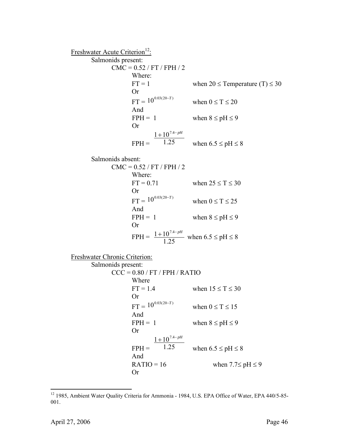Freshwater Acute Criterion<sup>12</sup>: Salmonids present:  $CMC = 0.52 / FT / FPH / 2$ Where: FT = 1 when  $20 \le$  Temperature (T)  $\le$  30 Or  $FT = 10^{0.03(20-T)}$ when  $0 \le T \le 20$ And FPH = 1 when  $8 \leq pH \leq 9$ Or  $FPH = 1.25$  $1 + 10^{7.4-pH}$ when  $6.5 \leq pH \leq 8$ Salmonids absent:  $CMC = 0.52 / FT / FPH / 2$ Where: FT =  $0.71$  when  $25 \le T \le 30$ Or  $FT = 10^{0.03(20-T)}$ when  $0 \le T \le 25$ And FPH = 1 when  $8 \leq pH \leq 9$ Or  $FPH =$ 1.25  $\frac{1 + 10^{7.4 - pH}}{1.25}$  when  $6.5 \leq pH \leq 8$ Freshwater Chronic Criterion: Salmonids present:  $CCC = 0.80 / FT / FPH / RATIO$ Where FT = 1.4 when  $15 \le T \le 30$ Or  $FT = 10^{0.03(20-T)}$ when  $0 \le T \le 15$ And FPH = 1 when  $8 \leq pH \leq 9$ Or  $FPH = 1.25$  $1 + 10^{7.4-pH}$ when  $6.5 \leq pH \leq 8$ And RATIO = 16 when  $7.7 \le pH \le 9$ Or

1

<span id="page-48-0"></span><sup>&</sup>lt;sup>12</sup> 1985, Ambient Water Quality Criteria for Ammonia - 1984, U.S. EPA Office of Water, EPA 440/5-85-001.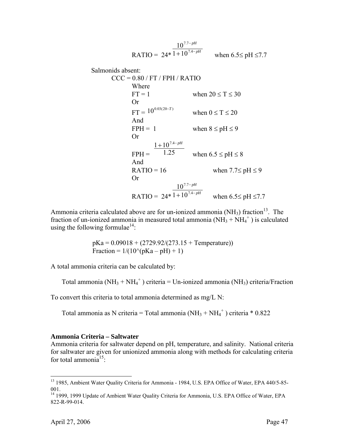$$
RATIO = 24 * 1 + 107.7-pH when 6.5≤ pH ≤7.7
$$

Salmonids absent:

 $CCC = 0.80 / FT / FPH / RATIO$ Where  $FT = 1$  when  $20 \le T \le 30$ Or  $FT = 10^{0.03(20-T)}$ when  $0 \le T \le 20$ And FPH = 1 when  $8 \leq pH \leq 9$ Or  $FPH = 1.25$  $1 + 10^{7.4-pH}$ when  $6.5 \leq pH \leq 8$ And RATIO = 16 when  $7.7 \le pH \le 9$ Or  $\text{RATIO} = 24 * 1 + 10^{7.4-pH}$ *pH* − −  $+10^{7.4}$ 7.7  $1 + 10$ 10 when  $6.5 \leq pH \leq 7.7$ 

Ammonia criteria calculated above are for un-ionized ammonia (NH<sub>3</sub>) fraction<sup>13</sup>. The fraction of un-ionized ammonia in measured total ammonia  $(NH_3 + NH_4^+)$  is calculated using the following formulae<sup>14</sup>:

> $pKa = 0.09018 + (2729.92/(273.15 + Temperature))$ Fraction =  $1/(10^{6}$ (pKa – pH) + 1)

A total ammonia criteria can be calculated by:

Total ammonia (NH<sub>3</sub> + NH<sub>4</sub><sup>+</sup>) criteria = Un-ionized ammonia (NH<sub>3</sub>) criteria/Fraction

To convert this criteria to total ammonia determined as mg/L N:

Total ammonia as N criteria = Total ammonia  $(NH_3 + NH_4^+)$  criteria \* 0.822

## **Ammonia Criteria – Saltwater**

Ammonia criteria for saltwater depend on pH, temperature, and salinity. National criteria for saltwater are given for unionized ammonia along with methods for calculating criteria for total ammonia<sup>15</sup>:

1

<span id="page-49-0"></span><sup>&</sup>lt;sup>13</sup> 1985, Ambient Water Quality Criteria for Ammonia - 1984, U.S. EPA Office of Water, EPA 440/5-85-001.

<span id="page-49-2"></span><span id="page-49-1"></span><sup>&</sup>lt;sup>14</sup> 1999, 1999 Update of Ambient Water Quality Criteria for Ammonia, U.S. EPA Office of Water, EPA 822-R-99-014.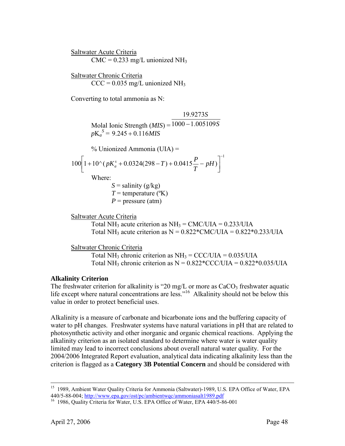Saltwater Acute Criteria  $CMC = 0.233$  mg/L unionized NH<sub>3</sub>

Saltwater Chronic Criteria  $CCC = 0.035$  mg/L unionized NH<sub>3</sub>

Converting to total ammonia as N:

Molal Ionic Strength  $(MIS) = 1000 - 1.005109S$ *S* 19.9273  $pK_a^S = 9.245 + 0.116MIS$  % Unionized Ammonia (UIA) = 1  $100 \left( 1 + 10^{x} \left( pK_a^s + 0.0324(298 - T) + 0.0415 - pH \right) \right)$ −  $\left[1+10\left(\rho K_a^s + 0.0324(298-T) + 0.0415\frac{P}{T} - pH\right)\right]$ Where:  $S =$  salinity ( $g/kg$ )  $T =$  temperature ( $(X)$ )  $P =$  pressure (atm)

Saltwater Acute Criteria Total NH<sub>3</sub> acute criterion as  $NH_3 = CMC/UIA = 0.233/UIA$ Total NH<sub>3</sub> acute criterion as  $N = 0.822 \text{*} CMC/UIA = 0.822 \text{*} 0.233/UIA$ 

Saltwater Chronic Criteria

Total NH<sub>3</sub> chronic criterion as  $NH_3 = CCC/UIA = 0.035/UIA$ Total NH<sub>3</sub> chronic criterion as  $N = 0.822 * CCC/UIA = 0.822 * 0.035/UIA$ 

# **Alkalinity Criterion**

The freshwater criterion for alkalinity is "20 mg/L or more as  $CaCO<sub>3</sub>$  freshwater aquatic life except where natural concentrations are less."<sup>16</sup> Alkalinity should not be below this value in order to protect beneficial uses.

Alkalinity is a measure of carbonate and bicarbonate ions and the buffering capacity of water to pH changes. Freshwater systems have natural variations in pH that are related to photosynthetic activity and other inorganic and organic chemical reactions. Applying the alkalinity criterion as an isolated standard to determine where water is water quality limited may lead to incorrect conclusions about overall natural water quality. For the 2004/2006 Integrated Report evaluation, analytical data indicating alkalinity less than the criterion is flagged as a **Category 3B Potential Concern** and should be considered with

<sup>&</sup>lt;sup>15</sup> 1989, Ambient Water Quality Criteria for Ammonia (Saltwater)-1989, U.S. EPA Office of Water, EPA 440/5-88-004; http://www.epa.gov/ost/pc/ambientwqc/ammoniasalt1989.pdf<br><sup>16</sup> 1986, Quality Criteria for Water, U.S. EPA Office of Water, EPA 440/5-86-001

<span id="page-50-0"></span>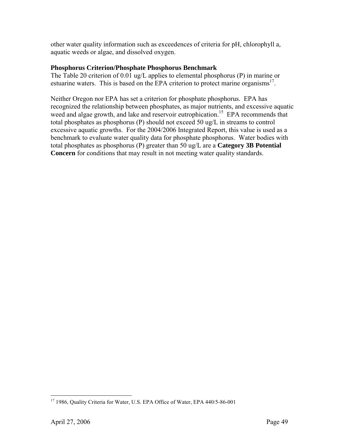other water quality information such as exceedences of criteria for pH, chlorophyll a, aquatic weeds or algae, and dissolved oxygen.

## **Phosphorus Criterion/Phosphate Phosphorus Benchmark**

The Table 20 criterion of 0.01 ug/L applies to elemental phosphorus (P) in marine or estuarine waters. This is based on the EPA criterion to protect marine organisms<sup>17</sup>.

Neither Oregon nor EPA has set a criterion for phosphate phosphorus. EPA has recognized the relationship between phosphates, as major nutrients, and excessive aquatic weed and algae growth, and lake and reservoir eutrophication.<sup>15</sup> EPA recommends that total phosphates as phosphorus (P) should not exceed 50 ug/L in streams to control excessive aquatic growths. For the 2004/2006 Integrated Report, this value is used as a benchmark to evaluate water quality data for phosphate phosphorus. Water bodies with total phosphates as phosphorus (P) greater than 50 ug/L are a **Category 3B Potential Concern** for conditions that may result in not meeting water quality standards.

 $\overline{a}$ 

<span id="page-51-0"></span><sup>&</sup>lt;sup>17</sup> 1986, Quality Criteria for Water, U.S. EPA Office of Water, EPA 440/5-86-001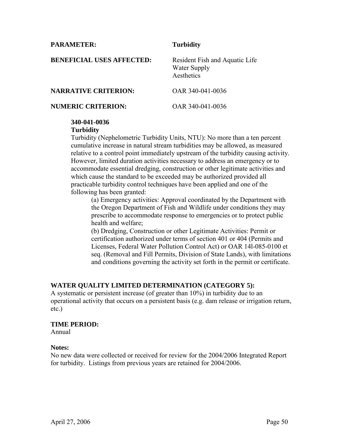| <b>PARAMETER:</b>                | <b>Turbidity</b>                                             |
|----------------------------------|--------------------------------------------------------------|
| <b>BENEFICIAL USES AFFECTED:</b> | Resident Fish and Aquatic Life<br>Water Supply<br>Aesthetics |
| <b>NARRATIVE CRITERION:</b>      | OAR 340-041-0036                                             |
| <b>NUMERIC CRITERION:</b>        | OAR 340-041-0036                                             |

#### **340-041-0036 Turbidity**

Turbidity (Nephelometric Turbidity Units, NTU): No more than a ten percent cumulative increase in natural stream turbidities may be allowed, as measured relative to a control point immediately upstream of the turbidity causing activity. However, limited duration activities necessary to address an emergency or to accommodate essential dredging, construction or other legitimate activities and which cause the standard to be exceeded may be authorized provided all practicable turbidity control techniques have been applied and one of the following has been granted:

(a) Emergency activities: Approval coordinated by the Department with the Oregon Department of Fish and Wildlife under conditions they may prescribe to accommodate response to emergencies or to protect public health and welfare;

(b) Dredging, Construction or other Legitimate Activities: Permit or certification authorized under terms of section 401 or 404 (Permits and Licenses, Federal Water Pollution Control Act) or OAR 14l-085-0100 et seq. (Removal and Fill Permits, Division of State Lands), with limitations and conditions governing the activity set forth in the permit or certificate.

# **WATER QUALITY LIMITED DETERMINATION (CATEGORY 5):**

A systematic or persistent increase (of greater than 10%) in turbidity due to an operational activity that occurs on a persistent basis (e.g. dam release or irrigation return, etc.)

#### **TIME PERIOD:**

Annual

## **Notes:**

No new data were collected or received for review for the 2004/2006 Integrated Report for turbidity. Listings from previous years are retained for 2004/2006.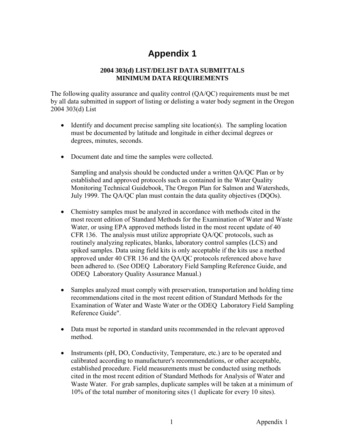# **Appendix 1**

# **2004 303(d) LIST/DELIST DATA SUBMITTALS MINIMUM DATA REQUIREMENTS**

The following quality assurance and quality control (QA/QC) requirements must be met by all data submitted in support of listing or delisting a water body segment in the Oregon 2004 303(d) List

- Identify and document precise sampling site location(s). The sampling location must be documented by latitude and longitude in either decimal degrees or degrees, minutes, seconds.
- Document date and time the samples were collected.

Sampling and analysis should be conducted under a written QA/QC Plan or by established and approved protocols such as contained in the Water Quality Monitoring Technical Guidebook, The Oregon Plan for Salmon and Watersheds, July 1999. The QA/QC plan must contain the data quality objectives (DQOs).

- Chemistry samples must be analyzed in accordance with methods cited in the most recent edition of Standard Methods for the Examination of Water and Waste Water, or using EPA approved methods listed in the most recent update of 40 CFR 136. The analysis must utilize appropriate QA/QC protocols, such as routinely analyzing replicates, blanks, laboratory control samples (LCS) and spiked samples. Data using field kits is only acceptable if the kits use a method approved under 40 CFR 136 and the QA/QC protocols referenced above have been adhered to. (See ODEQ Laboratory Field Sampling Reference Guide, and ODEQ Laboratory Quality Assurance Manual.)
- Samples analyzed must comply with preservation, transportation and holding time recommendations cited in the most recent edition of Standard Methods for the Examination of Water and Waste Water or the ODEQ Laboratory Field Sampling Reference Guide".
- Data must be reported in standard units recommended in the relevant approved method.
- Instruments (pH, DO, Conductivity, Temperature, etc.) are to be operated and calibrated according to manufacturer's recommendations, or other acceptable, established procedure. Field measurements must be conducted using methods cited in the most recent edition of Standard Methods for Analysis of Water and Waste Water. For grab samples, duplicate samples will be taken at a minimum of 10% of the total number of monitoring sites (1 duplicate for every 10 sites).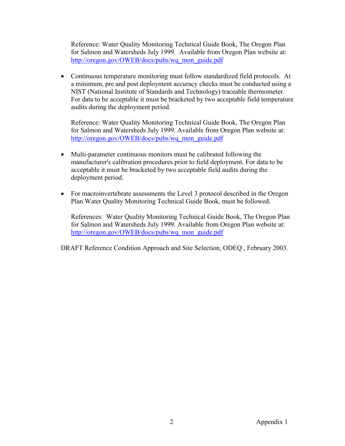Reference: Water Quality Monitoring Technical Guide Book, The Oregon Plan for Salmon and Watersheds July 1999. Available from Oregon Plan website at: [http://oregon.gov/OWEB/docs/pubs/wq\\_mon\\_guide.pdf](http://oregon.gov/OWEB/docs/pubs/wq_mon_guide.pdf)

• Continuous temperature monitoring must follow standardized field protocols. At a minimum, pre and post deployment accuracy checks must be conducted using a NIST (National Institute of Standards and Technology) traceable thermometer. For data to be acceptable it must be bracketed by two acceptable field temperature audits during the deployment period.

Reference: Water Quality Monitoring Technical Guide Book, The Oregon Plan for Salmon and Watersheds July 1999. Available from Oregon Plan website at: [http://oregon.gov/OWEB/docs/pubs/wq\\_mon\\_guide.pdf](http://oregon.gov/OWEB/docs/pubs/wq_mon_guide.pdf)

- Multi-parameter continuous monitors must be calibrated following the manufacturer's calibration procedures prior to field deployment. For data to be acceptable it must be bracketed by two acceptable field audits during the deployment period.
- For macroinvertebrate assessments the Level 3 protocol described in the Oregon Plan Water Quality Monitoring Technical Guide Book, must be followed.

References: Water Quality Monitoring Technical Guide Book, The Oregon Plan for Salmon and Watersheds July 1999. Available from Oregon Plan website at: [http://oregon.gov/OWEB/docs/pubs/wq\\_mon\\_guide.pdf](http://oregon.gov/OWEB/docs/pubs/wq_mon_guide.pdf)

DRAFT Reference Condition Approach and Site Selection, ODEQ , February 2003.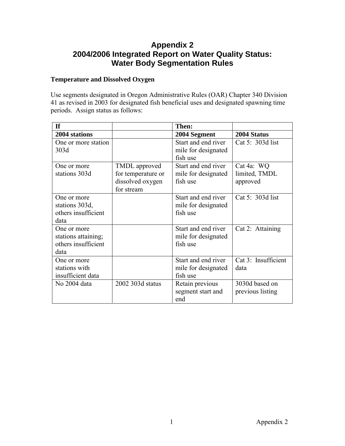# **Appendix 2 2004/2006 Integrated Report on Water Quality Status: Water Body Segmentation Rules**

# **Temperature and Dissolved Oxygen**

Use segments designated in Oregon Administrative Rules (OAR) Chapter 340 Division 41 as revised in 2003 for designated fish beneficial uses and designated spawning time periods. Assign status as follows:

| <b>If</b>           |                    | Then:               |                     |
|---------------------|--------------------|---------------------|---------------------|
| 2004 stations       |                    | 2004 Segment        | 2004 Status         |
| One or more station |                    | Start and end river | Cat 5: 303d list    |
| 303d                |                    | mile for designated |                     |
|                     |                    | fish use            |                     |
| One or more         | TMDL approved      | Start and end river | Cat 4a: WQ          |
| stations 303d       | for temperature or | mile for designated | limited, TMDL       |
|                     | dissolved oxygen   | fish use            | approved            |
|                     | for stream         |                     |                     |
| One or more         |                    | Start and end river | Cat 5: 303d list    |
| stations 303d,      |                    | mile for designated |                     |
| others insufficient |                    | fish use            |                     |
| data                |                    |                     |                     |
| One or more         |                    | Start and end river | Cat 2: Attaining    |
| stations attaining; |                    | mile for designated |                     |
| others insufficient |                    | fish use            |                     |
| data                |                    |                     |                     |
| One or more         |                    | Start and end river | Cat 3: Insufficient |
| stations with       |                    | mile for designated | data                |
| insufficient data   |                    | fish use            |                     |
| No 2004 data        | 2002 303d status   | Retain previous     | 3030d based on      |
|                     |                    | segment start and   | previous listing    |
|                     |                    | end                 |                     |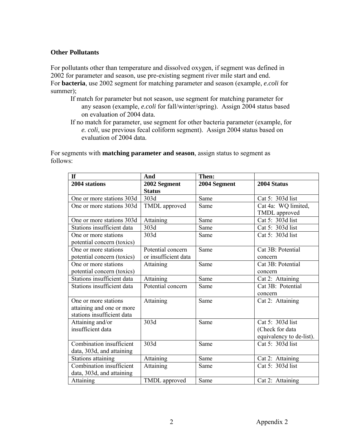## **Other Pollutants**

For pollutants other than temperature and dissolved oxygen, if segment was defined in 2002 for parameter and season, use pre-existing segment river mile start and end. For **bacteria**, use 2002 segment for matching parameter and season (example, *e.coli* for summer);

- If match for parameter but not season, use segment for matching parameter for any season (example, *e.coli* for fall/winter/spring). Assign 2004 status based on evaluation of 2004 data.
- If no match for parameter, use segment for other bacteria parameter (example, for *e. coli*, use previous fecal coliform segment). Assign 2004 status based on evaluation of 2004 data.

For segments with **matching parameter and season**, assign status to segment as follows:

| <b>If</b>                  | And                  | Then:        |                          |
|----------------------------|----------------------|--------------|--------------------------|
| 2004 stations              | 2002 Segment         | 2004 Segment | 2004 Status              |
|                            | <b>Status</b>        |              |                          |
| One or more stations 303d  | 303d                 | Same         | Cat 5: 303d list         |
| One or more stations 303d  | TMDL approved        | Same         | Cat 4a: WQ limited,      |
|                            |                      |              | TMDL approved            |
| One or more stations 303d  | Attaining            | Same         | Cat 5: 303d list         |
| Stations insufficient data | 303d                 | Same         | Cat 5: 303d list         |
| One or more stations       | 303d                 | Same         | Cat 5: 303d list         |
| potential concern (toxics) |                      |              |                          |
| One or more stations       | Potential concern    | Same         | Cat 3B: Potential        |
| potential concern (toxics) | or insufficient data |              | concern                  |
| One or more stations       | Attaining            | Same         | Cat 3B: Potential        |
| potential concern (toxics) |                      |              | concern                  |
| Stations insufficient data | Attaining            | Same         | Cat 2: Attaining         |
| Stations insufficient data | Potential concern    | Same         | Cat 3B: Potential        |
|                            |                      |              | concern                  |
| One or more stations       | Attaining            | Same         | Cat 2: Attaining         |
| attaining and one or more  |                      |              |                          |
| stations insufficient data |                      |              |                          |
| Attaining and/or           | 303d                 | Same         | Cat 5: 303d list         |
| insufficient data          |                      |              | (Check for data          |
|                            |                      |              | equivalency to de-list). |
| Combination insufficient   | 303d                 | Same         | Cat 5: 303d list         |
| data, 303d, and attaining  |                      |              |                          |
| Stations attaining         | Attaining            | Same         | Cat 2: Attaining         |
| Combination insufficient   | Attaining            | Same         | Cat 5: 303d list         |
| data, 303d, and attaining  |                      |              |                          |
| Attaining                  | TMDL approved        | Same         | Cat 2: Attaining         |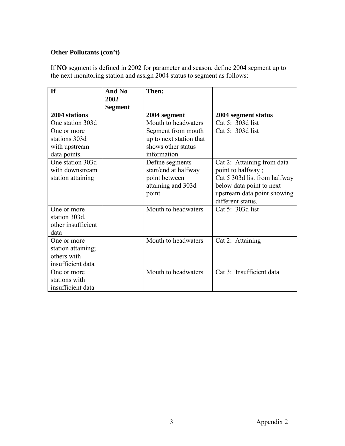# **Other Pollutants (con't)**

If **NO** segment is defined in 2002 for parameter and season, define 2004 segment up to the next monitoring station and assign 2004 status to segment as follows:

| <b>If</b>          | And No<br>2002 | Then:                   |                              |
|--------------------|----------------|-------------------------|------------------------------|
|                    | <b>Segment</b> |                         |                              |
| 2004 stations      |                | 2004 segment            | 2004 segment status          |
| One station 303d   |                | Mouth to headwaters     | Cat 5: 303d list             |
| One or more        |                | Segment from mouth      | Cat 5: 303d list             |
| stations 303d      |                | up to next station that |                              |
| with upstream      |                | shows other status      |                              |
| data points.       |                | information             |                              |
| One station 303d   |                | Define segments         | Cat 2: Attaining from data   |
| with downstream    |                | start/end at halfway    | point to halfway;            |
| station attaining  |                | point between           | Cat 5 303d list from halfway |
|                    |                | attaining and 303d      | below data point to next     |
|                    |                | point                   | upstream data point showing  |
|                    |                |                         | different status.            |
| One or more        |                | Mouth to headwaters     | Cat 5: 303d list             |
| station 303d,      |                |                         |                              |
| other insufficient |                |                         |                              |
| data               |                |                         |                              |
| One or more        |                | Mouth to headwaters     | Cat 2: Attaining             |
| station attaining; |                |                         |                              |
| others with        |                |                         |                              |
| insufficient data  |                |                         |                              |
| One or more        |                | Mouth to headwaters     | Cat 3: Insufficient data     |
| stations with      |                |                         |                              |
| insufficient data  |                |                         |                              |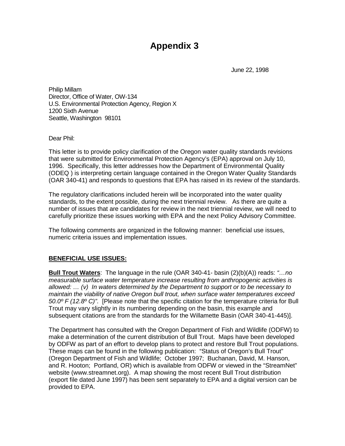# **Appendix 3**

June 22, 1998

Philip Millam Director, Office of Water, OW-134 U.S. Environmental Protection Agency, Region X 1200 Sixth Avenue Seattle, Washington 98101

Dear Phil:

This letter is to provide policy clarification of the Oregon water quality standards revisions that were submitted for Environmental Protection Agency's (EPA) approval on July 10, 1996. Specifically, this letter addresses how the Department of Environmental Quality (ODEQ ) is interpreting certain language contained in the Oregon Water Quality Standards (OAR 340-41) and responds to questions that EPA has raised in its review of the standards.

The regulatory clarifications included herein will be incorporated into the water quality standards, to the extent possible, during the next triennial review. As there are quite a number of issues that are candidates for review in the next triennial review, we will need to carefully prioritize these issues working with EPA and the next Policy Advisory Committee.

The following comments are organized in the following manner: beneficial use issues, numeric criteria issues and implementation issues.

## **BENEFICIAL USE ISSUES:**

**Bull Trout Waters**: The language in the rule (OAR 340-41- basin (2)(b)(A)) reads: *"…no measurable surface water temperature increase resulting from anthropogenic activities is allowed: … (v) In waters determined by the Department to support or to be necessary to maintain the viability of native Oregon bull trout, when surface water temperatures exceed 50.0º F (12.8º C)"*. [Please note that the specific citation for the temperature criteria for Bull Trout may vary slightly in its numbering depending on the basin, this example and subsequent citations are from the standards for the Willamette Basin (OAR 340-41-445)].

The Department has consulted with the Oregon Department of Fish and Wildlife (ODFW) to make a determination of the current distribution of Bull Trout. Maps have been developed by ODFW as part of an effort to develop plans to protect and restore Bull Trout populations. These maps can be found in the following publication: "Status of Oregon's Bull Trout" (Oregon Department of Fish and Wildlife; October 1997; Buchanan, David, M. Hanson, and R. Hooton; Portland, OR) which is available from ODFW or viewed in the "StreamNet" website (www.streamnet.org). A map showing the most recent Bull Trout distribution (export file dated June 1997) has been sent separately to EPA and a digital version can be provided to EPA.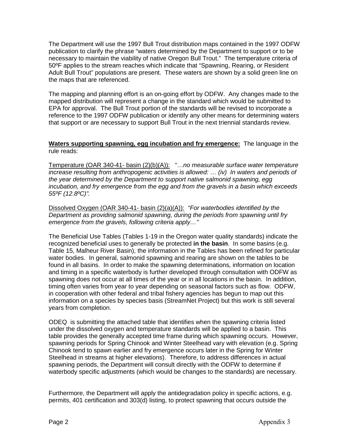The Department will use the 1997 Bull Trout distribution maps contained in the 1997 ODFW publication to clarify the phrase "waters determined by the Department to support or to be necessary to maintain the viability of native Oregon Bull Trout." The temperature criteria of 50ºF applies to the stream reaches which indicate that "Spawning, Rearing, or Resident Adult Bull Trout" populations are present. These waters are shown by a solid green line on the maps that are referenced.

The mapping and planning effort is an on-going effort by ODFW. Any changes made to the mapped distribution will represent a change in the standard which would be submitted to EPA for approval. The Bull Trout portion of the standards will be revised to incorporate a reference to the 1997 ODFW publication or identify any other means for determining waters that support or are necessary to support Bull Trout in the next triennial standards review.

#### **Waters supporting spawning, egg incubation and fry emergence:** The language in the rule reads:

Temperature (OAR 340-41- basin (2)(b)(A)): "…*no measurable surface water temperature increase resulting from anthropogenic activities is allowed: … (iv) In waters and periods of the year determined by the Department to support native salmonid spawning, egg incubation, and fry emergence from the egg and from the gravels in a basin which exceeds 55ºF (12.8ºC)".*

Dissolved Oxygen (OAR 340-41- basin (2)(a)(A)): *"For waterbodies identified by the Department as providing salmonid spawning, during the periods from spawning until fry emergence from the gravels, following criteria apply…"* 

The Beneficial Use Tables (Tables 1-19 in the Oregon water quality standards) indicate the recognized beneficial uses to generally be protected **in the basin**. In some basins (e.g. Table 15, Malheur River Basin), the information in the Tables has been refined for particular water bodies. In general, salmonid spawning and rearing are shown on the tables to be found in all basins. In order to make the spawning determinations, information on location and timing in a specific waterbody is further developed through consultation with ODFW as spawning does not occur at all times of the year or in all locations in the basin. In addition, timing often varies from year to year depending on seasonal factors such as flow. ODFW, in cooperation with other federal and tribal fishery agencies has begun to map out this information on a species by species basis (StreamNet Project) but this work is still several years from completion.

ODEQ is submitting the attached table that identifies when the spawning criteria listed under the dissolved oxygen and temperature standards will be applied to a basin. This table provides the generally accepted time frame during which spawning occurs. However, spawning periods for Spring Chinook and Winter Steelhead vary with elevation (e.g. Spring Chinook tend to spawn earlier and fry emergence occurs later in the Spring for Winter Steelhead in streams at higher elevations). Therefore, to address differences in actual spawning periods, the Department will consult directly with the ODFW to determine if waterbody specific adjustments (which would be changes to the standards) are necessary.

Furthermore, the Department will apply the antidegradation policy in specific actions, e.g. permits, 401 certification and 303(d) listing, to protect spawning that occurs outside the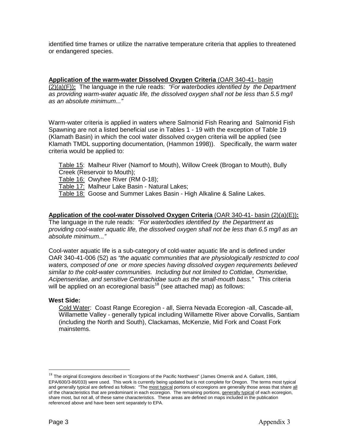identified time frames or utilize the narrative temperature criteria that applies to threatened or endangered species.

**Application of the warm-water Dissolved Oxygen Criteria** (OAR 340-41- basin (2)(a)(F))**:** The language in the rule reads: *"For waterbodies identified by the Department as providing warm-water aquatic life, the dissolved oxygen shall not be less than 5.5 mg/l as an absolute minimum..."*

Warm-water criteria is applied in waters where Salmonid Fish Rearing and Salmonid Fish Spawning are not a listed beneficial use in Tables 1 - 19 with the exception of Table 19 (Klamath Basin) in which the cool water dissolved oxygen criteria will be applied (see Klamath TMDL supporting documentation, (Hammon 1998)). Specifically, the warm water criteria would be applied to:

Table 15: Malheur River (Namorf to Mouth), Willow Creek (Brogan to Mouth), Bully Creek (Reservoir to Mouth);

Table 16: Owyhee River (RM 0-18);

Table 17: Malheur Lake Basin - Natural Lakes;

Table 18: Goose and Summer Lakes Basin - High Alkaline & Saline Lakes.

**Application of the cool-water Dissolved Oxygen Criteria** (OAR 340-41- basin (2)(a)(E))**:** The language in the rule reads: *"For waterbodies identified by the Department as providing cool-water aquatic life, the dissolved oxygen shall not be less than 6.5 mg/l as an absolute minimum..."* 

Cool-water aquatic life is a sub-category of cold-water aquatic life and is defined under OAR 340-41-006 (52) as *"the aquatic communities that are physiologically restricted to cool waters, composed of one or more species having dissolved oxygen requirements believed similar to the cold-water communities. Including but not limited to Cottidae, Osmeridae, Acipenseridae, and sensitive Centrachidae such as the small-mouth bass."* This criteria will be applied on an ecoregional basis<sup>18</sup> (see attached map) as follows:

## **West Side:**

Cold Water: Coast Range Ecoregion - all, Sierra Nevada Ecoregion -all, Cascade-all, Willamette Valley - generally typical including Willamette River above Corvallis, Santiam (including the North and South), Clackamas, McKenzie, Mid Fork and Coast Fork mainstems.

 $\overline{a}$ 

<span id="page-60-0"></span> $^{18}$  The original Ecoregions described in "Ecorgions of the Pacific Northwest" (James Omernik and A. Gallant, 1986, EPA/600/3-86/033) were used. This work is currently being updated but is not complete for Oregon. The terms most typical and generally typical are defined as follows: "The most typical portions of ecoregions are generally those areas that share all of the characteristics that are predominant in each ecoregion. The remaining portions, generally typical of each ecoregion, share most, but not all, of these same characteristics. These areas are defined on maps included in the publication referenced above and have been sent separately to EPA.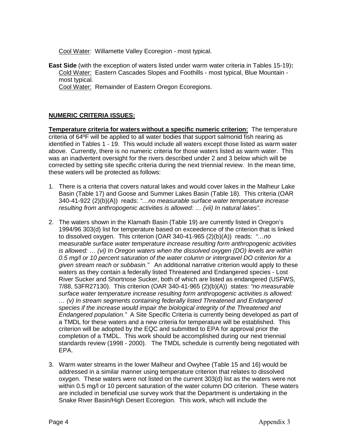Cool Water: Willamette Valley Ecoregion - most typical.

**East Side** (with the exception of waters listed under warm water criteria in Tables 15-19)**:**  Cold Water: Eastern Cascades Slopes and Foothills - most typical, Blue Mountain most typical.

Cool Water: Remainder of Eastern Oregon Ecoregions.

## **NUMERIC CRITERIA ISSUES:**

**Temperature criteria for waters without a specific numeric criterion:** The temperature criteria of 64ºF will be applied to all water bodies that support salmonid fish rearing as identified in Tables 1 - 19. This would include all waters except those listed as warm water above. Currently, there is no numeric criteria for those waters listed as warm water. This was an inadvertent oversight for the rivers described under 2 and 3 below which will be corrected by setting site specific criteria during the next triennial review. In the mean time, these waters will be protected as follows:

- 1. There is a criteria that covers natural lakes and would cover lakes in the Malheur Lake Basin (Table 17) and Goose and Summer Lakes Basin (Table 18). This criteria (OAR 340-41-922 (2)(b)(A)) reads: *"…no measurable surface water temperature increase resulting from anthropogenic activities is allowed: … (vii) In natural lakes"*.
- 2. The waters shown in the Klamath Basin (Table 19) are currently listed in Oregon's 1994/96 303(d) list for temperature based on exceedence of the criterion that is linked to dissolved oxygen. This criterion (OAR 340-41-965 (2)(b)(A)) reads: *"…no measurable surface water temperature increase resulting form anthropogenic activities is allowed: ... (vi) In Oregon waters when the dissolved oxygen (DO) levels are within 0.5 mg/l or 10 percent saturation of the water column or intergravel DO criterion for a given stream reach or subbasin."* An additional narrative criterion would apply to these waters as they contain a federally listed Threatened and Endangered species - Lost River Sucker and Shortnose Sucker, both of which are listed as endangered (USFWS, 7/88, 53FR27130). This criterion (OAR 340-41-965 (2)(b)(A)) states: *"no measurable surface water temperature increase resulting form anthropogenic activities is allowed: … (v) In stream segments containing federally listed Threatened and Endangered species if the increase would impair the biological integrity of the Threatened and Endangered population."* A Site Specific Criteria is currently being developed as part of a TMDL for these waters and a new criteria for temperature will be established. This criterion will be adopted by the EQC and submitted to EPA for approval prior the completion of a TMDL. This work should be accomplished during our next triennial standards review (1998 - 2000). The TMDL schedule is currently being negotiated with EPA.
- 3. Warm water streams in the lower Malheur and Owyhee (Table 15 and 16) would be addressed in a similar manner using temperature criterion that relates to dissolved oxygen. These waters were not listed on the current 303(d) list as the waters were not within 0.5 mg/l or 10 percent saturation of the water column DO criterion. These waters are included in beneficial use survey work that the Department is undertaking in the Snake River Basin/High Desert Ecoregion. This work, which will include the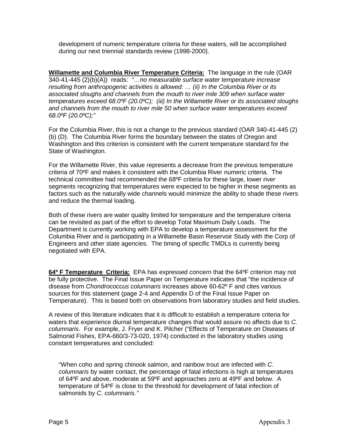development of numeric temperature criteria for these waters, will be accomplished during our next triennial standards review (1998-2000).

**Willamette and Columbia River Temperature Criteria:** The language in the rule (OAR 340-41-445 (2)(b)(A)) reads: *"…no measurable surface water temperature increase resulting from anthropogenic activities is allowed: … (ii) In the Columbia River or its associated sloughs and channels from the mouth to river mile 309 when surface water temperatures exceed 68.0ºF (20.0ºC); (iii) In the Willamette River or its associated sloughs and channels from the mouth to river mile 50 when surface water temperatures exceed 68.0ºF (20.0ºC);"*

For the Columbia River, this is not a change to the previous standard (OAR 340-41-445 (2) (b) (D). The Columbia River forms the boundary between the states of Oregon and Washington and this criterion is consistent with the current temperature standard for the State of Washington.

For the Willamette River, this value represents a decrease from the previous temperature criteria of 70ºF and makes it consistent with the Columbia River numeric criteria. The technical committee had recommended the 68ºF criteria for these large, lower river segments recognizing that temperatures were expected to be higher in these segments as factors such as the naturally wide channels would minimize the ability to shade these rivers and reduce the thermal loading.

Both of these rivers are water quality limited for temperature and the temperature criteria can be revisited as part of the effort to develop Total Maximum Daily Loads. The Department is currently working with EPA to develop a temperature assessment for the Columbia River and is participating in a Willamette Basin Reservoir Study with the Corp of Engineers and other state agencies. The timing of specific TMDLs is currently being negotiated with EPA.

**64º F Temperature Criteria:** EPA has expressed concern that the 64ºF criterion may not be fully protective. The Final Issue Paper on Temperature indicates that "the incidence of disease from *Chondrococcus columnaris* increases above 60-62º F and cites various sources for this statement (page 2-4 and Appendix D of the Final Issue Paper on Temperature). This is based both on observations from laboratory studies and field studies.

A review of this literature indicates that it is difficult to establish a temperature criteria for waters that experience diurnal temperature changes that would assure no affects due to *C. columnaris*. For example, J. Fryer and K. Pilcher ("Effects of Temperature on Diseases of Salmonid Fishes, EPA-660/3-73-020, 1974) conducted in the laboratory studies using constant temperatures and concluded:

"When coho and spring chinook salmon, and rainbow trout are infected with *C. columnaris* by water contact, the percentage of fatal infections is high at temperatures of 64ºF and above, moderate at 59ºF and approaches zero at 49ºF and below. A temperature of 54ºF is close to the threshold for development of fatal infection of salmonids by *C. columnaris."*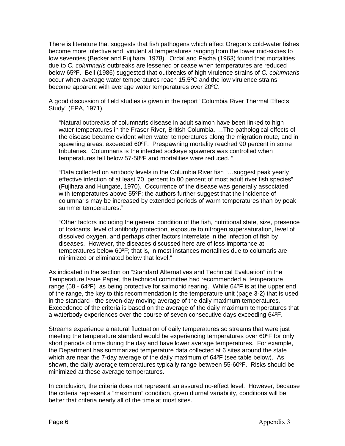There is literature that suggests that fish pathogens which affect Oregon's cold-water fishes become more infective and virulent at temperatures ranging from the lower mid-sixties to low seventies (Becker and Fujihara, 1978). Ordal and Pacha (1963) found that mortalities due to *C. columnaris* outbreaks are lessened or cease when temperatures are reduced below 65ºF. Bell (1986) suggested that outbreaks of high virulence strains of *C. columnaris*  occur when average water temperatures reach 15.5ºC and the low virulence strains become apparent with average water temperatures over 20ºC.

A good discussion of field studies is given in the report "Columbia River Thermal Effects Study" (EPA, 1971).

"Natural outbreaks of columnaris disease in adult salmon have been linked to high water temperatures in the Fraser River, British Columbia. …The pathological effects of the disease became evident when water temperatures along the migration route, and in spawning areas, exceeded 60ºF. Prespawning mortality reached 90 percent in some tributaries. Columnaris is the infected sockeye spawners was controlled when temperatures fell below 57-58ºF and mortalities were reduced. "

"Data collected on antibody levels in the Columbia River fish "…suggest peak yearly effective infection of at least 70 percent to 80 percent of most adult river fish species" (Fujihara and Hungate, 1970). Occurrence of the disease was generally associated with temperatures above 55ºF; the authors further suggest that the incidence of columnaris may be increased by extended periods of warm temperatures than by peak summer temperatures."

"Other factors including the general condition of the fish, nutritional state, size, presence of toxicants, level of antibody protection, exposure to nitrogen supersaturation, level of dissolved oxygen, and perhaps other factors interrelate in the infection of fish by diseases. However, the diseases discussed here are of less importance at temperatures below 60ºF; that is, in most instances mortalities due to columaris are minimized or eliminated below that level."

As indicated in the section on "Standard Alternatives and Technical Evaluation" in the Temperature Issue Paper, the technical committee had recommended a temperature range (58 - 64ºF) as being protective for salmonid rearing. While 64ºF is at the upper end of the range, the key to this recommendation is the temperature unit (page 3-2) that is used in the standard - the seven-day moving average of the daily maximum temperatures. Exceedence of the criteria is based on the average of the daily maximum temperatures that a waterbody experiences over the course of seven consecutive days exceeding 64ºF.

Streams experience a natural fluctuation of daily temperatures so streams that were just meeting the temperature standard would be experiencing temperatures over 60ºF for only short periods of time during the day and have lower average temperatures. For example, the Department has summarized temperature data collected at 6 sites around the state which are near the 7-day average of the daily maximum of 64ºF (see table below). As shown, the daily average temperatures typically range between 55-60ºF. Risks should be minimized at these average temperatures.

In conclusion, the criteria does not represent an assured no-effect level. However, because the criteria represent a "maximum" condition, given diurnal variability, conditions will be better that criteria nearly all of the time at most sites.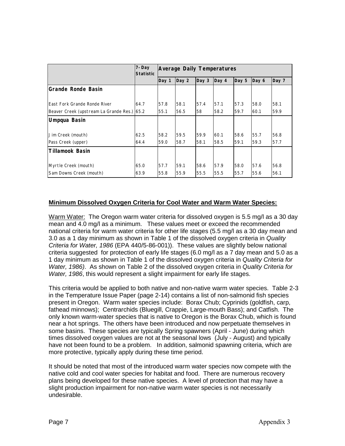|                                             | 7-Day<br><b>Statistic</b> | <b>Average Daily Temperatures</b> |       |                  |       |       |       |       |
|---------------------------------------------|---------------------------|-----------------------------------|-------|------------------|-------|-------|-------|-------|
|                                             |                           | Day 1                             | Day 2 | Day <sub>3</sub> | Day 4 | Day 5 | Day 6 | Day 7 |
| lGrande Ronde Basin                         |                           |                                   |       |                  |       |       |       |       |
|                                             |                           |                                   |       |                  |       |       |       |       |
| East Fork Grande Ronde River                | 64.7                      | 57.8                              | 58.1  | 57.4             | 57.1  | 57.3  | 58.0  | 58.1  |
| Beaver Creek (upstream La Grande Res.) 65.2 |                           | 55.1                              | 56.5  | 58               | 58.2  | 59.7  | 60.1  | 59.9  |
| Umpqua Basin                                |                           |                                   |       |                  |       |       |       |       |
|                                             |                           |                                   |       |                  |       |       |       |       |
| Jim Creek (mouth)                           | 62.5                      | 58.2                              | 59.5  | 59.9             | 60.1  | 58.6  | 55.7  | 56.8  |
| Pass Creek (upper)                          | 64.4                      | 59.0                              | 58.7  | 58.1             | 58.5  | 59.1  | 59.3  | 57.7  |
| lTillamook Basin                            |                           |                                   |       |                  |       |       |       |       |
|                                             |                           |                                   |       |                  |       |       |       |       |
| Myrtle Creek (mouth)                        | 65.0                      | 57.7                              | 59.1  | 58.6             | 57.9  | 58.0  | 57.6  | 56.8  |
| Sam Downs Creek (mouth)                     | 63.9                      | 55.8                              | 55.9  | 55.5             | 55.5  | 55.7  | 55.6  | 56.1  |

## **Minimum Dissolved Oxygen Criteria for Cool Water and Warm Water Species:**

Warm Water: The Oregon warm water criteria for dissolved oxygen is 5.5 mg/l as a 30 day mean and 4.0 mg/l as a minimum. These values meet or exceed the recommended national criteria for warm water criteria for other life stages (5.5 mg/l as a 30 day mean and 3.0 as a 1 day minimum as shown in Table 1 of the dissolved oxygen criteria in *Quality Criteria for Water, 1986* (EPA 440/5-86-001)). These values are slightly below national criteria suggested for protection of early life stages (6.0 mg/l as a 7 day mean and 5.0 as a 1 day minimum as shown in Table 1 of the dissolved oxygen criteria in *Quality Criteria for Water, 1986)*. As shown on Table 2 of the dissolved oxygen criteria in *Quality Criteria for Water, 1986*, this would represent a slight impairment for early life stages.

This criteria would be applied to both native and non-native warm water species. Table 2-3 in the Temperature Issue Paper (page 2-14) contains a list of non-salmonid fish species present in Oregon. Warm water species include: Borax Chub; Cyprinids (goldfish, carp, fathead minnows); Centrarchids (Bluegill, Crappie, Large-mouth Bass); and Catfish. The only known warm-water species that is native to Oregon is the Borax Chub, which is found near a hot springs. The others have been introduced and now perpetuate themselves in some basins. These species are typically Spring spawners (April - June) during which times dissolved oxygen values are not at the seasonal lows (July - August) and typically have not been found to be a problem. In addition, salmonid spawning criteria, which are more protective, typically apply during these time period.

It should be noted that most of the introduced warm water species now compete with the native cold and cool water species for habitat and food. There are numerous recovery plans being developed for these native species. A level of protection that may have a slight production impairment for non-native warm water species is not necessarily undesirable.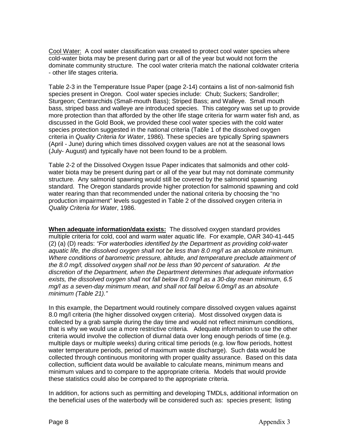Cool Water: A cool water classification was created to protect cool water species where cold-water biota may be present during part or all of the year but would not form the dominate community structure. The cool water criteria match the national coldwater criteria - other life stages criteria.

Table 2-3 in the Temperature Issue Paper (page 2-14) contains a list of non-salmonid fish species present in Oregon. Cool water species include: Chub; Suckers; Sandroller; Sturgeon; Centrarchids (Small-mouth Bass); Striped Bass; and Walleye. Small mouth bass, striped bass and walleye are introduced species. This category was set up to provide more protection than that afforded by the other life stage criteria for warm water fish and, as discussed in the Gold Book, we provided these cool water species with the cold water species protection suggested in the national criteria (Table 1 of the dissolved oxygen criteria in *Quality Criteria for Water*, 1986). These species are typically Spring spawners (April - June) during which times dissolved oxygen values are not at the seasonal lows (July- August) and typically have not been found to be a problem.

Table 2-2 of the Dissolved Oxygen Issue Paper indicates that salmonids and other coldwater biota may be present during part or all of the year but may not dominate community structure. Any salmonid spawning would still be covered by the salmonid spawning standard. The Oregon standards provide higher protection for salmonid spawning and cold water rearing than that recommended under the national criteria by choosing the "no production impairment" levels suggested in Table 2 of the dissolved oxygen criteria in *Quality Criteria for Water*, 1986.

**When adequate information/data exists:** The dissolved oxygen standard provides multiple criteria for cold, cool and warm water aquatic life. For example, OAR 340-41-445 (2) (a) (D) reads: *"For waterbodies identified by the Department as providing cold-water aquatic life, the dissolved oxygen shall not be less than 8.0 mg/l as an absolute minimum. Where conditions of barometric pressure, altitude, and temperature preclude attainment of the 8.0 mg/l, dissolved oxygen shall not be less than 90 percent of saturation. At the discretion of the Department, when the Department determines that adequate information exists, the dissolved oxygen shall not fall below 8.0 mg/l as a 30-day mean minimum, 6.5 mg/l as a seven-day minimum mean, and shall not fall below 6.0mg/l as an absolute minimum (Table 21)."*

In this example, the Department would routinely compare dissolved oxygen values against 8.0 mg/l criteria (the higher dissolved oxygen criteria). Most dissolved oxygen data is collected by a grab sample during the day time and would not reflect minimum conditions, that is why we would use a more restrictive criteria. Adequate information to use the other criteria would involve the collection of diurnal data over long enough periods of time (e.g. multiple days or multiple weeks) during critical time periods (e.g. low flow periods, hottest water temperature periods, period of maximum waste discharge). Such data would be collected through continuous monitoring with proper quality assurance. Based on this data collection, sufficient data would be available to calculate means, minimum means and minimum values and to compare to the appropriate criteria. Models that would provide these statistics could also be compared to the appropriate criteria.

In addition, for actions such as permitting and developing TMDLs, additional information on the beneficial uses of the waterbody will be considered such as: species present; listing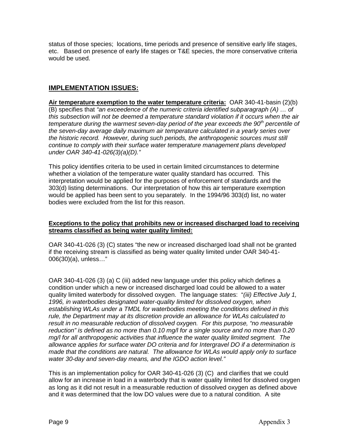status of those species; locations, time periods and presence of sensitive early life stages, etc. Based on presence of early life stages or T&E species, the more conservative criteria would be used.

# **IMPLEMENTATION ISSUES:**

**Air temperature exemption to the water temperature criteria:** OAR 340-41-basin (2)(b) (B) specifies that *"an exceedence of the numeric criteria identified subparagraph (A) … of this subsection will not be deemed a temperature standard violation if it occurs when the air temperature during the warmest seven-day period of the year exceeds the 90th percentile of the seven-day average daily maximum air temperature calculated in a yearly series over the historic record. However, during such periods, the anthropogenic sources must still continue to comply with their surface water temperature management plans developed under OAR 340-41-026(3)(a)(D)."*

This policy identifies criteria to be used in certain limited circumstances to determine whether a violation of the temperature water quality standard has occurred. This interpretation would be applied for the purposes of enforcement of standards and the 303(d) listing determinations. Our interpretation of how this air temperature exemption would be applied has been sent to you separately. In the 1994/96 303(d) list, no water bodies were excluded from the list for this reason.

## **Exceptions to the policy that prohibits new or increased discharged load to receiving streams classified as being water quality limited:**

OAR 340-41-026 (3) (C) states "the new or increased discharged load shall not be granted if the receiving stream is classified as being water quality limited under OAR 340-41- 006(30)(a), unless…"

OAR 340-41-026 (3) (a) C (iii) added new language under this policy which defines a condition under which a new or increased discharged load could be allowed to a water quality limited waterbody for dissolved oxygen. The language states: "*(iii) Effective July 1, 1996, in waterbodies designated water-quality limited for dissolved oxygen, when establishing WLAs under a TMDL for waterbodies meeting the conditions defined in this rule, the Department may at its discretion provide an allowance for WLAs calculated to result in no measurable reduction of dissolved oxygen. For this purpose, "no measurable reduction" is defined as no more than 0.10 mg/l for a single source and no more than 0.20 mg/l for all anthropogenic activities that influence the water quality limited segment. The allowance applies for surface water DO criteria and for Intergravel DO if a determination is made that the conditions are natural. The allowance for WLAs would apply only to surface water 30-day and seven-day means, and the IGDO action level."*

This is an implementation policy for OAR 340-41-026 (3) (C) and clarifies that we could allow for an increase in load in a waterbody that is water quality limited for dissolved oxygen as long as it did not result in a measurable reduction of dissolved oxygen as defined above and it was determined that the low DO values were due to a natural condition. A site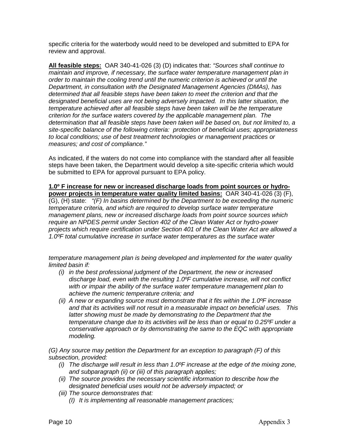specific criteria for the waterbody would need to be developed and submitted to EPA for review and approval.

**All feasible steps:** OAR 340-41-026 (3) (D) indicates that: *"Sources shall continue to maintain and improve, if necessary, the surface water temperature management plan in order to maintain the cooling trend until the numeric criterion is achieved or until the Department, in consultation with the Designated Management Agencies (DMAs), has determined that all feasible steps have been taken to meet the criterion and that the designated beneficial uses are not being adversely impacted. In this latter situation, the temperature achieved after all feasible steps have been taken will be the temperature criterion for the surface waters covered by the applicable management plan. The determination that all feasible steps have been taken will be based on, but not limited to, a site-specific balance of the following criteria: protection of beneficial uses; appropriateness to local conditions; use of best treatment technologies or management practices or measures; and cost of compliance."* 

As indicated, if the waters do not come into compliance with the standard after all feasible steps have been taken, the Department would develop a site-specific criteria which would be submitted to EPA for approval pursuant to EPA policy.

**1.0º F increase for new or increased discharge loads from point sources or hydropower projects in temperature water quality limited basins:** OAR 340-41-026 (3) (F), (G), (H) state: *"(F) In basins determined by the Department to be exceeding the numeric temperature criteria, and which are required to develop surface water temperature management plans, new or increased discharge loads from point source sources which require an NPDES permit under Section 402 of the Clean Water Act or hydro-power projects which require certification under Section 401 of the Clean Water Act are allowed a 1.0ºF total cumulative increase in surface water temperatures as the surface water* 

*temperature management plan is being developed and implemented for the water quality limited basin if:* 

- *(i) in the best professional judgment of the Department, the new or increased discharge load, even with the resulting 1.0ºF cumulative increase, will not conflict with or impair the ability of the surface water temperature management plan to achieve the numeric temperature criteria; and*
- *(ii) A new or expanding source must demonstrate that it fits within the 1.0ºF increase and that its activities will not result in a measurable impact on beneficial uses. This*  latter showing must be made by demonstrating to the Department that the *temperature change due to its activities will be less than or equal to 0.25ºF under a conservative approach or by demonstrating the same to the EQC with appropriate modeling.*

*(G) Any source may petition the Department for an exception to paragraph (F) of this subsection, provided:* 

- *(i) The discharge will result in less than 1.0ºF increase at the edge of the mixing zone, and subparagraph (ii) or (iii) of this paragraph applies;*
- *(ii) The source provides the necessary scientific information to describe how the designated beneficial uses would not be adversely impacted; or*
- *(iii) The source demonstrates that:*
	- *(I) It is implementing all reasonable management practices;*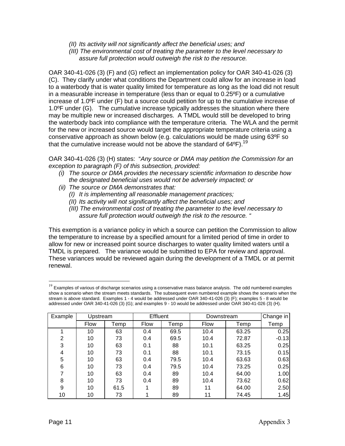*(II) Its activity will not significantly affect the beneficial uses; and*

*(III) The environmental cost of treating the parameter to the level necessary to assure full protection would outweigh the risk to the resource.* 

OAR 340-41-026 (3) (F) and (G) reflect an implementation policy for OAR 340-41-026 (3) (C). They clarify under what conditions the Department could allow for an increase in load to a waterbody that is water quality limited for temperature as long as the load did not result in a measurable increase in temperature (less than or equal to 0.25ºF) or a cumulative increase of 1.0ºF under (F) but a source could petition for up to the cumulative increase of 1.0ºF under (G). The cumulative increase typically addresses the situation where there may be multiple new or increased discharges. A TMDL would still be developed to bring the waterbody back into compliance with the temperature criteria. The WLA and the permit for the new or increased source would target the appropriate temperature criteria using a conservative approach as shown below (e.g. calculations would be made using 63ºF so that the cumulative increase would not be above the standard of  $64^{\circ}$ F).<sup>19</sup>

OAR 340-41-026 (3) (H) states: "*Any source or DMA may petition the Commission for an exception to paragraph (F) of this subsection, provided:* 

- *(i) The source or DMA provides the necessary scientific information to describe how the designated beneficial uses would not be adversely impacted; or*
- *(ii) The source or DMA demonstrates that:*
	- *(I) It is implementing all reasonable management practices;*
	- *(II) Its activity will not significantly affect the beneficial uses; and*
	- *(III) The environmental cost of treating the parameter to the level necessary to assure full protection would outweigh the risk to the resource. "*

This exemption is a variance policy in which a source can petition the Commission to allow the temperature to increase by a specified amount for a limited period of time in order to allow for new or increased point source discharges to water quality limited waters until a TMDL is prepared. The variance would be submitted to EPA for review and approval. These variances would be reviewed again during the development of a TMDL or at permit renewal.

<span id="page-68-0"></span> $19$  Examples of various of discharge scenarios using a conservative mass balance analysis. The odd numbered examples show a scenario when the stream meets standards. The subsequent even numbered example shows the scenario when the stream is above standard. Examples 1 - 4 would be addressed under OAR 340-41-026 (3) (F); examples 5 - 8 would be addressed under OAR 340-41-026 (3) (G); and examples 9 - 10 would be addressed under OAR 340-41-026 (3) (H).

| Example        | Upstream    |      | <b>Effluent</b> |      | Downstream  | Change in |         |
|----------------|-------------|------|-----------------|------|-------------|-----------|---------|
|                | <b>Flow</b> | Temp | <b>Flow</b>     | Temp | <b>Flow</b> | Temp      | Temp    |
|                | 10          | 63   | 0.4             | 69.5 | 10.4        | 63.25     | 0.25    |
| $\overline{2}$ | 10          | 73   | 0.4             | 69.5 | 10.4        | 72.87     | $-0.13$ |
| 3              | 10          | 63   | 0.1             | 88   | 10.1        | 63.25     | 0.25    |
| 4              | 10          | 73   | 0.1             | 88   | 10.1        | 73.15     | 0.15    |
| 5              | 10          | 63   | 0.4             | 79.5 | 10.4        | 63.63     | 0.63    |
| 6              | 10          | 73   | 0.4             | 79.5 | 10.4        | 73.25     | 0.25    |
| 7              | 10          | 63   | 0.4             | 89   | 10.4        | 64.00     | 1.00    |
| 8              | 10          | 73   | 0.4             | 89   | 10.4        | 73.62     | 0.62    |
| 9              | 10          | 61.5 |                 | 89   | 11          | 64.00     | 2.50    |
| 10             | 10          | 73   |                 | 89   | 11          | 74.45     | 1.45    |

 $\overline{a}$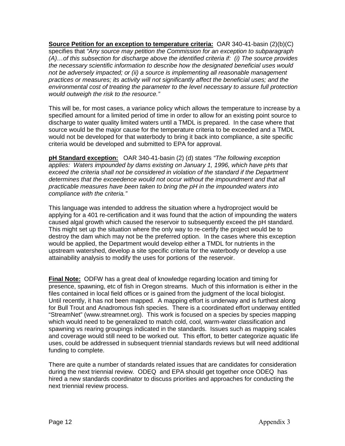**Source Petition for an exception to temperature criteria:** OAR 340-41-basin (2)(b)(C) specifies that *"Any source may petition the Commission for an exception to subparagraph (A)…of this subsection for discharge above the identified criteria if: (i) The source provides the necessary scientific information to describe how the designated beneficial uses would not be adversely impacted; or (ii) a source is implementing all reasonable management practices or measures; its activity will not significantly affect the beneficial uses; and the environmental cost of treating the parameter to the level necessary to assure full protection would outweigh the risk to the resource."*

This will be, for most cases, a variance policy which allows the temperature to increase by a specified amount for a limited period of time in order to allow for an existing point source to discharge to water quality limited waters until a TMDL is prepared. In the case where that source would be the major cause for the temperature criteria to be exceeded and a TMDL would not be developed for that waterbody to bring it back into compliance, a site specific criteria would be developed and submitted to EPA for approval.

**pH Standard exception:** OAR 340-41-basin (2) (d) states *"The following exception applies: Waters impounded by dams existing on January 1, 1996, which have pHs that exceed the criteria shall not be considered in violation of the standard if the Department determines that the exceedence would not occur without the impoundment and that all practicable measures have been taken to bring the pH in the impounded waters into compliance with the criteria."* 

This language was intended to address the situation where a hydroproject would be applying for a 401 re-certification and it was found that the action of impounding the waters caused algal growth which caused the reservoir to subsequently exceed the pH standard. This might set up the situation where the only way to re-certify the project would be to destroy the dam which may not be the preferred option. In the cases where this exception would be applied, the Department would develop either a TMDL for nutrients in the upstream watershed, develop a site specific criteria for the waterbody or develop a use attainability analysis to modify the uses for portions of the reservoir.

**Final Note:** ODFW has a great deal of knowledge regarding location and timing for presence, spawning, etc of fish in Oregon streams. Much of this information is either in the files contained in local field offices or is gained from the judgment of the local biologist. Until recently, it has not been mapped. A mapping effort is underway and is furthest along for Bull Trout and Anadromous fish species. There is a coordinated effort underway entitled "StreamNet" (www.streamnet.org). This work is focused on a species by species mapping which would need to be generalized to match cold, cool, warm-water classification and spawning vs rearing groupings indicated in the standards. Issues such as mapping scales and coverage would still need to be worked out. This effort, to better categorize aquatic life uses, could be addressed in subsequent triennial standards reviews but will need additional funding to complete.

There are quite a number of standards related issues that are candidates for consideration during the next triennial review. ODEQ and EPA should get together once ODEQ has hired a new standards coordinator to discuss priorities and approaches for conducting the next triennial review process.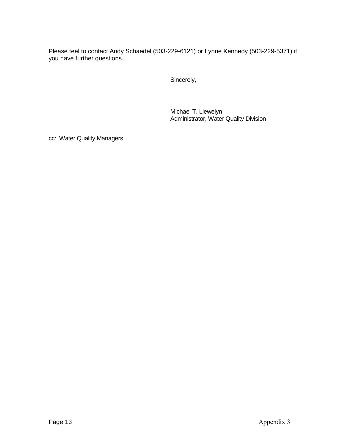Please feel to contact Andy Schaedel (503-229-6121) or Lynne Kennedy (503-229-5371) if you have further questions.

Sincerely,

Michael T. Llewelyn Administrator, Water Quality Division

cc: Water Quality Managers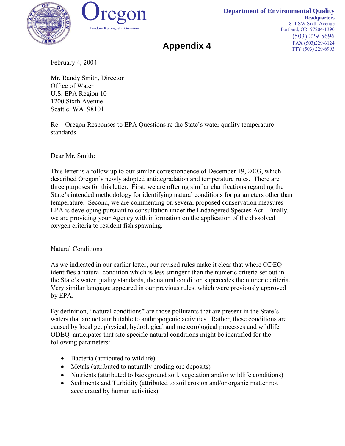



**Appendix 4** 

February 4, 2004

Mr. Randy Smith, Director Office of Water U.S. EPA Region 10 1200 Sixth Avenue Seattle, WA 98101

Re: Oregon Responses to EPA Questions re the State's water quality temperature standards

Dear Mr. Smith:

This letter is a follow up to our similar correspondence of December 19, 2003, which described Oregon's newly adopted antidegradation and temperature rules. There are three purposes for this letter. First, we are offering similar clarifications regarding the State's intended methodology for identifying natural conditions for parameters other than temperature. Second, we are commenting on several proposed conservation measures EPA is developing pursuant to consultation under the Endangered Species Act. Finally, we are providing your Agency with information on the application of the dissolved oxygen criteria to resident fish spawning.

# Natural Conditions

As we indicated in our earlier letter, our revised rules make it clear that where ODEQ identifies a natural condition which is less stringent than the numeric criteria set out in the State's water quality standards, the natural condition supercedes the numeric criteria. Very similar language appeared in our previous rules, which were previously approved by EPA.

By definition, "natural conditions" are those pollutants that are present in the State's waters that are not attributable to anthropogenic activities. Rather, these conditions are caused by local geophysical, hydrological and meteorological processes and wildlife. ODEQ anticipates that site-specific natural conditions might be identified for the following parameters:

- Bacteria (attributed to wildlife)
- Metals (attributed to naturally eroding ore deposits)
- Nutrients (attributed to background soil, vegetation and/or wildlife conditions)
- Sediments and Turbidity (attributed to soil erosion and/or organic matter not accelerated by human activities)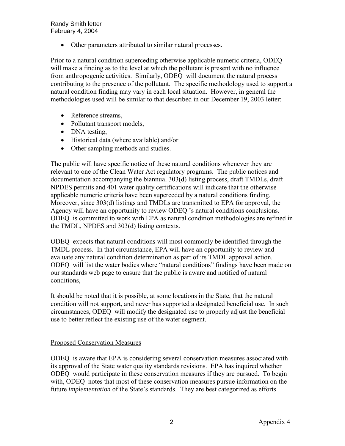Randy Smith letter February 4, 2004

• Other parameters attributed to similar natural processes.

Prior to a natural condition superceding otherwise applicable numeric criteria, ODEQ will make a finding as to the level at which the pollutant is present with no influence from anthropogenic activities. Similarly, ODEQ will document the natural process contributing to the presence of the pollutant. The specific methodology used to support a natural condition finding may vary in each local situation. However, in general the methodologies used will be similar to that described in our December 19, 2003 letter:

- Reference streams,
- Pollutant transport models,
- DNA testing,
- Historical data (where available) and/or
- Other sampling methods and studies.

The public will have specific notice of these natural conditions whenever they are relevant to one of the Clean Water Act regulatory programs. The public notices and documentation accompanying the biannual 303(d) listing process, draft TMDLs, draft NPDES permits and 401 water quality certifications will indicate that the otherwise applicable numeric criteria have been superceded by a natural conditions finding. Moreover, since 303(d) listings and TMDLs are transmitted to EPA for approval, the Agency will have an opportunity to review ODEQ 's natural conditions conclusions. ODEQ is committed to work with EPA as natural condition methodologies are refined in the TMDL, NPDES and 303(d) listing contexts.

ODEQ expects that natural conditions will most commonly be identified through the TMDL process. In that circumstance, EPA will have an opportunity to review and evaluate any natural condition determination as part of its TMDL approval action. ODEQ will list the water bodies where "natural conditions" findings have been made on our standards web page to ensure that the public is aware and notified of natural conditions,

It should be noted that it is possible, at some locations in the State, that the natural condition will not support, and never has supported a designated beneficial use. In such circumstances, ODEQ will modify the designated use to properly adjust the beneficial use to better reflect the existing use of the water segment.

### Proposed Conservation Measures

ODEQ is aware that EPA is considering several conservation measures associated with its approval of the State water quality standards revisions. EPA has inquired whether ODEQ would participate in these conservation measures if they are pursued. To begin with, ODEQ notes that most of these conservation measures pursue information on the future *implementation* of the State's standards. They are best categorized as efforts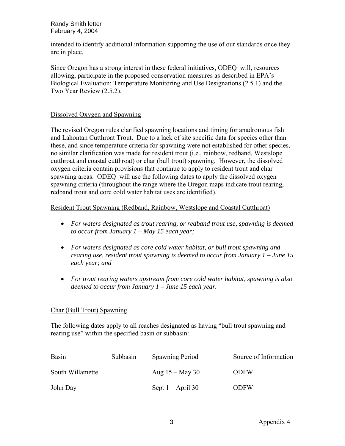Randy Smith letter February 4, 2004

intended to identify additional information supporting the use of our standards once they are in place.

Since Oregon has a strong interest in these federal initiatives, ODEQ will, resources allowing, participate in the proposed conservation measures as described in EPA's Biological Evaluation: Temperature Monitoring and Use Designations (2.5.1) and the Two Year Review (2.5.2).

### Dissolved Oxygen and Spawning

The revised Oregon rules clarified spawning locations and timing for anadromous fish and Lahontan Cutthroat Trout. Due to a lack of site specific data for species other than these, and since temperature criteria for spawning were not established for other species, no similar clarification was made for resident trout (i.e., rainbow, redband, Westslope cutthroat and coastal cutthroat) or char (bull trout) spawning. However, the dissolved oxygen criteria contain provisions that continue to apply to resident trout and char spawning areas. ODEQ will use the following dates to apply the dissolved oxygen spawning criteria (throughout the range where the Oregon maps indicate trout rearing, redband trout and core cold water habitat uses are identified).

### Resident Trout Spawning (Redband, Rainbow, Westslope and Coastal Cutthroat)

- *For waters designated as trout rearing, or redband trout use, spawning is deemed to occur from January 1 – May 15 each year;*
- *For waters designated as core cold water habitat, or bull trout spawning and rearing use, resident trout spawning is deemed to occur from January 1 – June 15 each year; and*
- *For trout rearing waters upstream from core cold water habitat, spawning is also deemed to occur from January 1 – June 15 each year.*

### Char (Bull Trout) Spawning

The following dates apply to all reaches designated as having "bull trout spawning and rearing use" within the specified basin or subbasin:

| <b>Basin</b>     | Subbasin | <b>Spawning Period</b> | Source of Information |
|------------------|----------|------------------------|-----------------------|
| South Willamette |          | Aug $15 -$ May 30      | <b>ODFW</b>           |
| John Day         |          | Sept $1 -$ April 30    | <b>ODFW</b>           |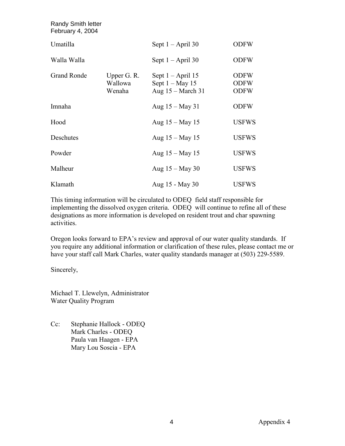| <b>Randy Smith letter</b><br>February 4, 2004 |                                  |                                                                 |                                           |
|-----------------------------------------------|----------------------------------|-----------------------------------------------------------------|-------------------------------------------|
| Umatilla                                      |                                  | Sept $1 -$ April 30                                             | <b>ODFW</b>                               |
| Walla Walla                                   |                                  | Sept $1 -$ April 30                                             | <b>ODFW</b>                               |
| <b>Grand Ronde</b>                            | Upper G. R.<br>Wallowa<br>Wenaha | Sept $1 -$ April 15<br>Sept $1 - May 15$<br>Aug $15 - March 31$ | <b>ODFW</b><br><b>ODFW</b><br><b>ODFW</b> |
| Imnaha                                        |                                  | Aug $15 -$ May 31                                               | <b>ODFW</b>                               |
| Hood                                          |                                  | Aug 15 – May 15                                                 | <b>USFWS</b>                              |
| Deschutes                                     |                                  | Aug 15 – May 15                                                 | <b>USFWS</b>                              |
| Powder                                        |                                  | Aug $15 -$ May 15                                               | <b>USFWS</b>                              |
| Malheur                                       |                                  | Aug $15 -$ May 30                                               | <b>USFWS</b>                              |
| Klamath                                       |                                  | Aug 15 - May 30                                                 | <b>USFWS</b>                              |

This timing information will be circulated to ODEQ field staff responsible for implementing the dissolved oxygen criteria. ODEQ will continue to refine all of these designations as more information is developed on resident trout and char spawning activities.

Oregon looks forward to EPA's review and approval of our water quality standards. If you require any additional information or clarification of these rules, please contact me or have your staff call Mark Charles, water quality standards manager at (503) 229-5589.

Sincerely,

Michael T. Llewelyn, Administrator Water Quality Program

Cc: Stephanie Hallock - ODEQ Mark Charles - ODEQ Paula van Haagen - EPA Mary Lou Soscia - EPA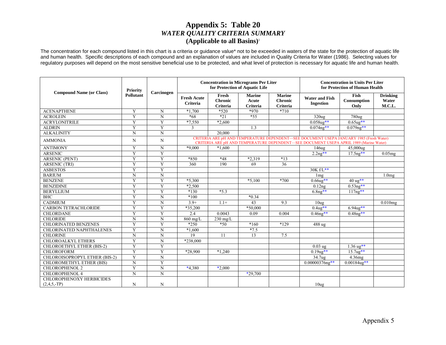## Appendix 5: Table 20 **WATER QUALITY CRITERIA SUMMARY** (Applicable to all Basins)<sup>1</sup>

The concentration for each compound listed in this chart is a criteria or guidance value\* not to be exceeded in waters of the state for the protection of aquatic life and human health. Specific descriptions of each compound and an explanation of values are included in Quality Criteria for Water (1986). Selecting values for regulatory purposes will depend on the most sensitive beneficial use to be protected, and what level of protection is necessary for aquatic life and human health.

|                                                  | <b>Priority</b>  |                | <b>Concentration in Micrograms Per Liter</b><br>for Protection of Aquatic Life |                                            |                                           |                                             | <b>Concentration in Units Per Liter</b><br>for Protection of Human Health                                                                                                         |                             |                                    |
|--------------------------------------------------|------------------|----------------|--------------------------------------------------------------------------------|--------------------------------------------|-------------------------------------------|---------------------------------------------|-----------------------------------------------------------------------------------------------------------------------------------------------------------------------------------|-----------------------------|------------------------------------|
| <b>Compound Name (or Class)</b>                  | <b>Pollutant</b> | Carcinogen     | <b>Fresh Acute</b><br>Criteria                                                 | Fresh<br><b>Chronic</b><br><b>Criteria</b> | <b>Marine</b><br>Acute<br><b>Criteria</b> | <b>Marine</b><br><b>Chronic</b><br>Criteria | <b>Water and Fish</b><br><b>Ingestion</b>                                                                                                                                         | Fish<br>Consumption<br>Only | <b>Drinking</b><br>Water<br>M.C.L. |
| <b>ACENAPTHENE</b>                               | Y                | N              | $*1.700$                                                                       | $*520$                                     | $*970$                                    | $*710$                                      |                                                                                                                                                                                   |                             |                                    |
| <b>ACROLEIN</b>                                  | Y                | $\mathbf N$    | $*68$                                                                          | $*21$                                      | $*55$                                     |                                             | 320 <sub>ug</sub>                                                                                                                                                                 | 780ug                       |                                    |
| <b>ACRYLONITRILE</b>                             | Y                | Y              | $*7,550$                                                                       | $*2,600$                                   |                                           |                                             | $0.058$ ug**                                                                                                                                                                      | $0.65$ ug**                 |                                    |
| <b>ALDRIN</b>                                    | Y                | Y              | 3                                                                              |                                            | 1.3                                       |                                             | $0.074$ ng**                                                                                                                                                                      | $0.079$ ng**                |                                    |
| <b>ALKALINITY</b>                                | $\mathbf N$      | $\mathbf N$    |                                                                                | 20.000                                     |                                           |                                             |                                                                                                                                                                                   |                             |                                    |
| <b>AMMONIA</b>                                   | N                | N              |                                                                                |                                            |                                           |                                             | CRITERIA ARE pH AND TEMPERATURE DEPENDENT-SEE DOCUMENT USEPA JANUARY 1985 (Fresh Water)<br>CRITERIA ARE pH AND TEMPERATURE DEPENDENT—SEE DOCUMENT USEPA APRIL 1989 (Marine Water) |                             |                                    |
| <b>ANTIMONY</b>                                  | Y                | $\mathbf N$    | $*9,000$                                                                       | $*1.600$                                   |                                           |                                             | 146 <sub>ug</sub>                                                                                                                                                                 | 45,000ug                    |                                    |
| <b>ARSENIC</b>                                   | $\overline{Y}$   | $\overline{Y}$ |                                                                                |                                            |                                           |                                             | $2.2ng**$                                                                                                                                                                         | $17.5$ ng**                 | $0.05$ mg                          |
| <b>ARSENIC (PENT)</b>                            | Y                | Y              | $*850$                                                                         | $*48$                                      | $*2,319$                                  | $*13$                                       |                                                                                                                                                                                   |                             |                                    |
| <b>ARSENIC (TRI)</b>                             | Y                | Y              | 360                                                                            | 190                                        | 69                                        | $\overline{36}$                             |                                                                                                                                                                                   |                             |                                    |
| <b>ASBESTOS</b>                                  | $\overline{Y}$   | Y              |                                                                                |                                            |                                           |                                             | $30K f/L**$                                                                                                                                                                       |                             |                                    |
| <b>BARIUM</b>                                    | N                | N              |                                                                                |                                            |                                           |                                             | 1 <sub>mg</sub>                                                                                                                                                                   |                             | 1.0 <sub>mg</sub>                  |
| <b>BENZENE</b>                                   | Y                | $\overline{Y}$ | $*5,300$                                                                       |                                            | $*5,100$                                  | $*700$                                      | $0.66u2**$                                                                                                                                                                        | $40 \text{ ug}$ **          |                                    |
| <b>BENZIDINE</b>                                 | $\overline{Y}$   | $\overline{Y}$ | $*2,500$                                                                       |                                            |                                           |                                             | 0.12ng                                                                                                                                                                            | $0.53$ ng**                 |                                    |
| <b>BERYLLIUM</b>                                 | Y                | Y              | $*130$                                                                         | $*5.3$                                     |                                           |                                             | $6.8ng**$                                                                                                                                                                         | $117ng**$                   |                                    |
| BHC                                              | Y                | N              | $*100$                                                                         |                                            | $*0.34$                                   |                                             |                                                                                                                                                                                   |                             |                                    |
| <b>CADMIUM</b>                                   | Ÿ                | $\overline{N}$ | $3.9+$                                                                         | $1.1+$                                     | 43                                        | 9.3                                         | 10 <sub>ug</sub>                                                                                                                                                                  |                             | 0.010mg                            |
| <b>CARBON TETRACHLORIDE</b>                      | Y                | Y              | $*35,200$                                                                      |                                            | *50,000                                   |                                             | $0.4$ ug**                                                                                                                                                                        | $6.94$ ug**                 |                                    |
| <b>CHLORDANE</b>                                 | Y                | Y              | 2.4                                                                            | 0.0043                                     | 0.09                                      | 0.004                                       | $0.46$ ng**                                                                                                                                                                       | $0.48ng**$                  |                                    |
| <b>CHLORIDE</b>                                  | N                | $\mathbf N$    | $860$ mg/L                                                                     | $230$ mg/L                                 |                                           |                                             |                                                                                                                                                                                   |                             |                                    |
| <b>CHLORINATED BENZENES</b>                      | $\overline{Y}$   | $\overline{Y}$ | $*250$                                                                         | $*50$                                      | $*160$                                    | $*129$                                      | $\overline{488}$ ug                                                                                                                                                               |                             |                                    |
| <b>CHLORINATED NAPHTHALENES</b>                  | Y                | N              | $*1,600$                                                                       |                                            | $*7.5$                                    |                                             |                                                                                                                                                                                   |                             |                                    |
| <b>CHLORINE</b>                                  | $\mathbf N$      | $\mathbf N$    | 19                                                                             | 11                                         | 13                                        | 7.5                                         |                                                                                                                                                                                   |                             |                                    |
| <b>CHLOROALKYL ETHERS</b>                        | Y                | N              | $*238,000$                                                                     |                                            |                                           |                                             |                                                                                                                                                                                   |                             |                                    |
| CHLOROETHYL ETHER (BIS-2)                        | Y                | Y              |                                                                                |                                            |                                           |                                             | $0.03$ ug                                                                                                                                                                         | $1.36 \text{ ug}$ **        |                                    |
| <b>CHLOROFORM</b>                                | Y                | Y              | *28.900                                                                        | $*1.240$                                   |                                           |                                             | $0.19$ ug**                                                                                                                                                                       | $15.7u2**$                  |                                    |
| CHLOROISOPROPYL ETHER (BIS-2)                    | Y                | $\mathbf N$    |                                                                                |                                            |                                           |                                             | 34.7ug                                                                                                                                                                            | 4.36mg                      |                                    |
| <b>CHLOROMETHYL ETHER (BIS)</b>                  | N                | Y              |                                                                                |                                            |                                           |                                             | $0.00000376$ ng**                                                                                                                                                                 | $0.00184$ ug**              |                                    |
| <b>CHLOROPHENOL 2</b>                            | Y                | $\mathbf N$    | $*4,380$                                                                       | $*2,000$                                   |                                           |                                             |                                                                                                                                                                                   |                             |                                    |
| <b>CHLOROPHENOL 4</b>                            | $\overline{N}$   | $\overline{N}$ |                                                                                |                                            | $*29.700$                                 |                                             |                                                                                                                                                                                   |                             |                                    |
| <b>CHLOROPHENOXY HERBICIDES</b><br>$(2,4,5,-TP)$ | N                | N              |                                                                                |                                            |                                           |                                             | 10 <sub>ug</sub>                                                                                                                                                                  |                             |                                    |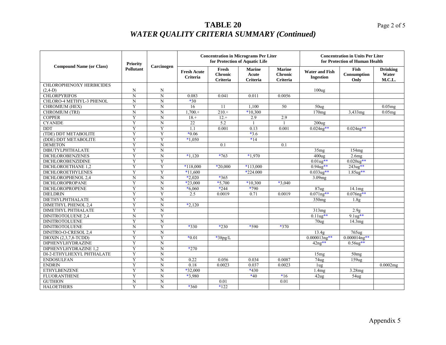|                                 | <b>Priority</b>    |                    |                                |                                     | <b>Concentration in Micrograms Per Liter</b><br>for Protection of Aquatic Life | <b>Concentration in Units Per Liter</b><br>for Protection of Human Health |                                           |                             |                                    |
|---------------------------------|--------------------|--------------------|--------------------------------|-------------------------------------|--------------------------------------------------------------------------------|---------------------------------------------------------------------------|-------------------------------------------|-----------------------------|------------------------------------|
| <b>Compound Name (or Class)</b> | <b>Pollutant</b>   | Carcinogen         | <b>Fresh Acute</b><br>Criteria | Fresh<br><b>Chronic</b><br>Criteria | <b>Marine</b><br>Acute<br>Criteria                                             | <b>Marine</b><br><b>Chronic</b><br>Criteria                               | <b>Water and Fish</b><br><b>Ingestion</b> | Fish<br>Consumption<br>Only | <b>Drinking</b><br>Water<br>M.C.L. |
| <b>CHLOROPHENOXY HERBICIDES</b> |                    |                    |                                |                                     |                                                                                |                                                                           |                                           |                             |                                    |
| $(2,4-D)$                       | N                  | N                  |                                |                                     |                                                                                |                                                                           | 100 <sub>ug</sub>                         |                             |                                    |
| <b>CHLORPYRIFOS</b>             | $\overline{\rm N}$ | $\overline{\rm N}$ | 0.083                          | 0.041                               | 0.011                                                                          | 0.0056                                                                    |                                           |                             |                                    |
| CHLORO-4 METHYL-3 PHENOL        | N                  | N                  | $*30$                          |                                     |                                                                                |                                                                           |                                           |                             |                                    |
| CHROMIUM (HEX)                  | Y                  | ${\bf N}$          | 16                             | 11                                  | 1,100                                                                          | 50                                                                        | $50u$ g                                   |                             | $0.05$ mg                          |
| CHROMIUM (TRI)                  | $\overline{N}$     | $\overline{N}$     | $1,700.+$                      | $210.+$                             | $*10,300$                                                                      |                                                                           | 170mg                                     | 3,433mg                     | 0.05mg                             |
| <b>COPPER</b>                   | Y                  | ${\bf N}$          | $18. +$                        | $12. +$                             | 2.9                                                                            | 2.9                                                                       |                                           |                             |                                    |
| <b>CYANIDE</b>                  | Y                  | ${\bf N}$          | 22                             | 5.2                                 |                                                                                |                                                                           | 200 <sub>ug</sub>                         |                             |                                    |
| <b>DDT</b>                      | Y                  | Y                  | 1.1                            | 0.001                               | 0.13                                                                           | 0.001                                                                     | $0.024$ ng**                              | $0.024$ ng**                |                                    |
| (TDE) DDT METABOLITE            | $\overline{Y}$     | $\overline{Y}$     | $*0.06$                        |                                     | $*3.6$                                                                         |                                                                           |                                           |                             |                                    |
| (DDE) DDT METABOLITE            | $\overline{Y}$     | $\overline{Y}$     | $*1,050$                       |                                     | $*14$                                                                          |                                                                           |                                           |                             |                                    |
| <b>DEMETON</b>                  | Y                  | $\mathbf N$        |                                | 0.1                                 |                                                                                | 0.1                                                                       |                                           |                             |                                    |
| <b>DIBUTYLPHTHALATE</b>         | Y                  | ${\bf N}$          |                                |                                     |                                                                                |                                                                           | 35mg                                      | 154mg                       |                                    |
| <b>DICHLOROBENZENES</b>         | Y                  | N                  | $*1.120$                       | $*763$                              | $*1,970$                                                                       |                                                                           | $400u$ g                                  | 2.6mg                       |                                    |
| <b>DICHLOROBENZIDINE</b>        | Y                  | Y                  |                                |                                     |                                                                                |                                                                           | $0.01$ ug**                               | $0.020$ ug**                |                                    |
| DICHLOROETHANE 1.2              | $\overline{Y}$     | $\overline{Y}$     | $*118,000$                     | $*20,000$                           | $*113,000$                                                                     |                                                                           | $0.94$ ug**                               | 243ug**                     |                                    |
| <b>DICHLOROETHYLENES</b>        | $\overline{Y}$     | $\overline{Y}$     | $*11,600$                      |                                     | *224.000                                                                       |                                                                           | $0.033$ ug**                              | $1.85$ ug**                 |                                    |
| DICHLOROPHENOL 2,4              | N                  | ${\bf N}$          | $*2.020$                       | $*365$                              |                                                                                |                                                                           | 3.09mg                                    |                             |                                    |
| DICHLOROPROPANE                 | Y                  | $\mathbf N$        | $*23,000$                      | $*5,700$                            | $*10,300$                                                                      | $*3,040$                                                                  |                                           |                             |                                    |
| <b>DICHLOROPROPENE</b>          | Y                  | ${\bf N}$          | $*6,060$                       | $*244$                              | *790                                                                           |                                                                           | 87 <sub>ug</sub>                          | 14.1mg                      |                                    |
| <b>DIELDRIN</b>                 | $\overline{Y}$     | Y                  | 2.5                            | 0.0019                              | 0.71                                                                           | 0.0019                                                                    | $0.071$ ng**                              | $0.076$ ng**                |                                    |
| DIETHYLPHTHALATE                | Y                  | $\mathbf N$        |                                |                                     |                                                                                |                                                                           | 350mg                                     | 1.8 <sub>g</sub>            |                                    |
| <b>DIMETHYL PHENOL 2,4</b>      | Y                  | ${\bf N}$          | $*2,120$                       |                                     |                                                                                |                                                                           |                                           |                             |                                    |
| <b>DIMETHYL PHTHALATE</b>       | Y                  | N                  |                                |                                     |                                                                                |                                                                           | 313mg                                     | 2.9g                        |                                    |
| <b>DINITROTOLUENE 2,4</b>       | N                  | Y                  |                                |                                     |                                                                                |                                                                           | $0.11$ ug**                               | $9.1$ ug**                  |                                    |
| <b>DINITROTOLUENE</b>           | Y                  | $\mathbf N$        |                                |                                     |                                                                                |                                                                           | 70 <sub>ug</sub>                          | 14.3mg                      |                                    |
| <b>DINITROTOLUENE</b>           | N                  | Y                  | $*330$                         | $*230$                              | *590                                                                           | *370                                                                      |                                           |                             |                                    |
| DINITRO-O-CRESOL 2,4            | Y                  | ${\bf N}$          |                                |                                     |                                                                                |                                                                           | 13.4g                                     | $765$ ug                    |                                    |
| $DIOXIN (2,3,7,8-TCDD)$         | Y                  | Y                  | $*0.01$                        | $\overline{\ast}$ 38pg/L            |                                                                                |                                                                           | $0.000013$ ng**                           | $0.000014$ ng**             |                                    |
| DIPHENYLHYDRAZINE               | Y                  | $\mathbf N$        |                                |                                     |                                                                                |                                                                           | $42ng**$                                  | $0.56$ ug**                 |                                    |
| DIPHENYLHYDRAZINE 1,2           | $\overline{Y}$     | $\overline{N}$     | $*270$                         |                                     |                                                                                |                                                                           |                                           |                             |                                    |
| DI-2-ETHYLHEXYL PHTHALATE       | Y                  | ${\bf N}$          |                                |                                     |                                                                                |                                                                           | 15mg                                      | 50mg                        |                                    |
| <b>ENDOSULFAN</b>               | Y                  | $\overline{\rm N}$ | 0.22                           | 0.056                               | 0.034                                                                          | 0.0087                                                                    | 74 <sub>ug</sub>                          | $\overline{159}$ ug         |                                    |
| <b>ENDRIN</b>                   | $\overline{Y}$     | $\overline{N}$     | 0.18                           | 0.0023                              | 0.037                                                                          | 0.0023                                                                    | 1 <sub>u</sub> g                          |                             | 0.0002mg                           |
| <b>ETHYLBENZENE</b>             | Y                  | ${\bf N}$          | $*32,000$                      |                                     | $*430$                                                                         |                                                                           | 1.4mg                                     | 3.28mg                      |                                    |
| <b>FLUORANTHENE</b>             | Y                  | ${\bf N}$          | $*3,980$                       |                                     | $*40$                                                                          | $*16$                                                                     | 42u <sub>g</sub>                          | 54ug                        |                                    |
| <b>GUTHION</b>                  | N                  | $\mathbf N$        |                                | 0.01                                |                                                                                | 0.01                                                                      |                                           |                             |                                    |
| <b>HALOETHERS</b>               | $\overline{Y}$     | $\overline{N}$     | *360                           | $*122$                              |                                                                                |                                                                           |                                           |                             |                                    |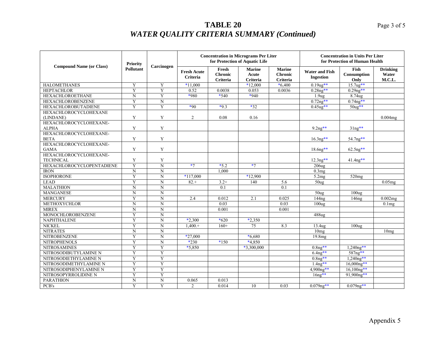|                                            | <b>Priority</b>  |                         |                                       |                                     | <b>Concentration in Micrograms Per Liter</b><br>for Protection of Aquatic Life | <b>Concentration in Units Per Liter</b><br>for Protection of Human Health |                                           |                             |                                    |
|--------------------------------------------|------------------|-------------------------|---------------------------------------|-------------------------------------|--------------------------------------------------------------------------------|---------------------------------------------------------------------------|-------------------------------------------|-----------------------------|------------------------------------|
| <b>Compound Name (or Class)</b>            | <b>Pollutant</b> | Carcinogen              | <b>Fresh Acute</b><br><b>Criteria</b> | Fresh<br><b>Chronic</b><br>Criteria | <b>Marine</b><br>Acute<br>Criteria                                             | <b>Marine</b><br><b>Chronic</b><br><b>Criteria</b>                        | <b>Water and Fish</b><br><b>Ingestion</b> | Fish<br>Consumption<br>Only | <b>Drinking</b><br>Water<br>M.C.L. |
| <b>HALOMETHANES</b>                        | Y                | Y                       | $*11.000$                             |                                     | $*12,000$                                                                      | $*6,400$                                                                  | $0.19$ ug**                               | $15.7u2**$                  |                                    |
| <b>HEPTACHLOR</b>                          | Y                | Y                       | 0.52                                  | 0.0038                              | 0.053                                                                          | 0.0036                                                                    | $0.28$ ng**                               | $0.29$ ng**                 |                                    |
| <b>HEXACHLOROETHANE</b>                    | $\mathbf N$      | Y                       | *980                                  | $*540$                              | $*940$                                                                         |                                                                           | 1.9 <sub>ug</sub>                         | 8.74ug                      |                                    |
| <b>HEXACHLOROBENZENE</b>                   | Y                | N                       |                                       |                                     |                                                                                |                                                                           | $0.72ng**$                                | $0.74$ ng**                 |                                    |
| <b>HEXACHLOROBUTADIENE</b>                 | Y                | Y                       | $*90$                                 | $*9.3$                              | $*32$                                                                          |                                                                           | $0.45$ ug**                               | $50u2**$                    |                                    |
| HEXACHLOROCYCLOHEXANE<br>(LINDANE)         | Y                | Y                       | $\overline{2}$                        | 0.08                                | 0.16                                                                           |                                                                           |                                           |                             | 0.004mg                            |
| HEXACHLOROCYCLOHEXANE-                     |                  |                         |                                       |                                     |                                                                                |                                                                           |                                           |                             |                                    |
| <b>ALPHA</b>                               | Y                | Y                       |                                       |                                     |                                                                                |                                                                           | $9.2$ ng**                                | $3\ln x$ **                 |                                    |
| HEXACHLOROCYCLOHEXANE-<br><b>BETA</b>      | Y                | Y                       |                                       |                                     |                                                                                |                                                                           | $16.3$ ng**                               | 54.7ng**                    |                                    |
| HEXACHLOROCYCLOHEXANE-<br><b>GAMA</b>      | Y                | Y                       |                                       |                                     |                                                                                |                                                                           | 18.6ng**                                  | $62.5$ ng**                 |                                    |
| HEXACHLOROCYCLOHEXANE-<br><b>TECHNICAL</b> | Y                | Y                       |                                       |                                     |                                                                                |                                                                           | $12.3$ ng**                               | $41.4$ ng**                 |                                    |
| <b>HEXACHLOROCYCLOPENTADIENE</b>           | Y                | N                       | $*7$                                  | $*5.2$                              | $*7$                                                                           |                                                                           | $206u$ g                                  |                             |                                    |
| <b>IRON</b>                                | $\mathbf N$      | $\mathbf N$             |                                       | 1,000                               |                                                                                |                                                                           | 0.3mg                                     |                             |                                    |
| <b>ISOPHORONE</b>                          | Y                | $\mathbf N$             | $*117,000$                            |                                     | $*12,900$                                                                      |                                                                           | 5.2mg                                     | 520mg                       |                                    |
| <b>LEAD</b>                                | $\overline{Y}$   | $\mathbf N$             | $82+$                                 | $3.2+$                              | 140                                                                            | 5.6                                                                       | 50 <sub>ug</sub>                          |                             | $0.05$ mg                          |
| <b>MALATHION</b>                           | $\mathbf N$      | $\overline{N}$          |                                       | 0.1                                 |                                                                                | 0.1                                                                       |                                           |                             |                                    |
| <b>MANGANESE</b>                           | $\mathbf N$      | ${\bf N}$               |                                       |                                     |                                                                                |                                                                           | 50 <sub>ug</sub>                          | 100 <sub>ug</sub>           |                                    |
| <b>MERCURY</b>                             | Y                | $\mathbf N$             | 2.4                                   | 0.012                               | 2.1                                                                            | 0.025                                                                     | 144ng                                     | 146ng                       | 0.002mg                            |
| <b>METHOXYCHLOR</b>                        | $\overline{N}$   | $\mathbf N$             |                                       | 0.03                                |                                                                                | 0.03                                                                      | 100 <sub>ug</sub>                         |                             | 0.1 <sub>mg</sub>                  |
| <b>MIREX</b>                               | $\overline{N}$   | $\overline{N}$          |                                       | 0.001                               |                                                                                | 0.001                                                                     |                                           |                             |                                    |
| <b>MONOCHLOROBENZENE</b>                   | Y                | $\mathbf N$             |                                       |                                     |                                                                                |                                                                           | 488ug                                     |                             |                                    |
| <b>NAPHTHALENE</b>                         | Y                | N                       | $*2,300$                              | $*620$                              | $*2,350$                                                                       |                                                                           |                                           |                             |                                    |
| <b>NICKEL</b>                              | Y                | $\mathbf N$             | $1,400.+$                             | $160+$                              | 75                                                                             | 8.3                                                                       | 13.4ug                                    | 100 <sub>ug</sub>           |                                    |
| <b>NITRATES</b>                            | $\mathbf N$      | $\mathbf N$             |                                       |                                     |                                                                                |                                                                           | $\overline{10}$ mg                        |                             | 10mg                               |
| <b>NITROBENZENE</b>                        | Y                | $\overline{N}$          | $*27,000$                             |                                     | $*6,680$                                                                       |                                                                           | 19.8mg                                    |                             |                                    |
| <b>NITROPHENOLS</b>                        | Y                | $\mathbf N$             | $*230$                                | $*150$                              | $*4,850$                                                                       |                                                                           |                                           |                             |                                    |
| <b>NITROSAMINES</b>                        | $\overline{Y}$   | $\overline{\mathsf{Y}}$ | $*5,850$                              |                                     | $*3,300,000$                                                                   |                                                                           | $0.8ng**$                                 | $1,240ng**$                 |                                    |
| NITROSODIBUTYLAMINE N                      | $\overline{Y}$   | $\overline{Y}$          |                                       |                                     |                                                                                |                                                                           | $6.4$ ng**                                | 587ng**                     |                                    |
| NITROSODIETHYLAMINE N                      | Y                | Y                       |                                       |                                     |                                                                                |                                                                           | $0.8ng**$                                 | $1,240ng**$                 |                                    |
| NITROSODIMETHYLAMINE N                     | Y                | $\overline{Y}$          |                                       |                                     |                                                                                |                                                                           | $1.4$ ng**                                | 16,000ng**                  |                                    |
| NITROSODIPHENYLAMINE N                     | Y                | $\overline{Y}$          |                                       |                                     |                                                                                |                                                                           | 4,900ng**                                 | $16,100ng**$                |                                    |
| NITROSOPYRROLIDINE N                       | Y                | Y                       |                                       |                                     |                                                                                |                                                                           | $16ng**$                                  | $91,900$ ng**               |                                    |
| <b>PARATHION</b>                           | $\mathbf N$      | $\mathbf N$             | 0.065                                 | 0.013                               |                                                                                |                                                                           |                                           |                             |                                    |
| PCB's                                      | $\overline{Y}$   | $\overline{Y}$          | $\overline{2}$                        | 0.014                               | 10                                                                             | 0.03                                                                      | $0.079$ ng**                              | $0.079$ ng**                |                                    |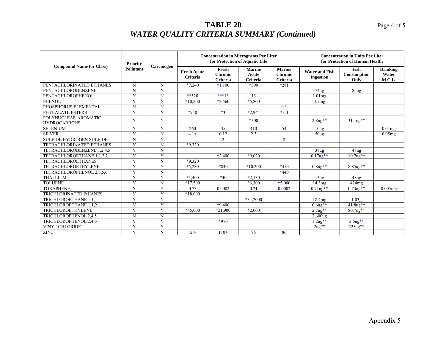# **TABLE 20 WATER QUALITY CRITERIA SUMMARY (Continued)**

|                                             | <b>Priority</b>         |                |                                       |                                     | <b>Concentration in Micrograms Per Liter</b><br>for Protection of Aquatic Life | <b>Concentration in Units Per Liter</b><br>for Protection of Human Health |                                           |                             |                                    |
|---------------------------------------------|-------------------------|----------------|---------------------------------------|-------------------------------------|--------------------------------------------------------------------------------|---------------------------------------------------------------------------|-------------------------------------------|-----------------------------|------------------------------------|
| <b>Compound Name (or Class)</b>             | <b>Pollutant</b>        | Carcinogen     | <b>Fresh Acute</b><br><b>Criteria</b> | Fresh<br><b>Chronic</b><br>Criteria | <b>Marine</b><br>Acute<br>Criteria                                             | <b>Marine</b><br><b>Chronic</b><br><b>Criteria</b>                        | <b>Water and Fish</b><br><b>Ingestion</b> | Fish<br>Consumption<br>Only | <b>Drinking</b><br>Water<br>M.C.L. |
| PENTACHLORINATED ETHANES                    | N                       | N              | $*7.240$                              | $*1,100$                            | *390                                                                           | $*281$                                                                    |                                           |                             |                                    |
| PENTACHLOROBENZENE                          | N                       | N              |                                       |                                     |                                                                                |                                                                           | 74 <sub>ug</sub>                          | 85 <sub>ug</sub>            |                                    |
| PENTACHLOROPHENOL                           | Y                       | N              | $***20$                               | $***13$                             | 13                                                                             |                                                                           | $1.01$ mg                                 |                             |                                    |
| <b>PHENOL</b>                               | Y                       | N              | $*10,200$                             | $*2,560$                            | $*5,800$                                                                       |                                                                           | 3.5mg                                     |                             |                                    |
| PHOSPHORUS ELEMENTAL                        | N                       | N              |                                       |                                     |                                                                                | 0.1                                                                       |                                           |                             |                                    |
| PHTHALATE ESTERS                            | $\overline{Y}$          | $\overline{N}$ | $*940$                                | $*3$                                | $*2,944$                                                                       | $*3.4$                                                                    |                                           |                             |                                    |
| POLYNUCLEAR AROMATIC<br><b>HYDROCARBONS</b> | Y                       | Y              |                                       |                                     | $*300$                                                                         |                                                                           | $2.8$ ng**                                | $31.1$ ng**                 |                                    |
| <b>SELENIUM</b>                             | Y                       | N              | 260                                   | 35                                  | 410                                                                            | 54                                                                        | 10 <sub>ug</sub>                          |                             | $0.01$ mg                          |
| <b>SILVER</b>                               | Y                       | N              | $4.1 +$                               | 0.12                                | 2.3                                                                            |                                                                           | 50 <sub>ug</sub>                          |                             | 0.05mg                             |
| <b>SULFIDE HYDROGEN SULFIDE</b>             | N                       | N              |                                       | $\overline{2}$                      |                                                                                | 2                                                                         |                                           |                             |                                    |
| TETRACHLORINATED ETHANES                    | Y                       | N              | $*9,320$                              |                                     |                                                                                |                                                                           |                                           |                             |                                    |
| TETRACHLOROBENZENE 1,2,4,5                  | Y                       | N              |                                       |                                     |                                                                                |                                                                           | 38 <sub>u</sub> g                         | 48 <sub>u</sub> g           |                                    |
| TETRACHLOROETHANE 1,1,2,2                   | Y                       | Y              |                                       | $*2.400$                            | $*9.020$                                                                       |                                                                           | $0.17$ ug**                               | $10.7$ ug**                 |                                    |
| <b>TETRACHLOROETHANES</b>                   | Y                       | N              | $*9,320$                              |                                     |                                                                                |                                                                           |                                           |                             |                                    |
| <b>TETRACHLOROETHYLENE</b>                  | Y                       | Y              | $*5,280$                              | *840                                | $*10,200$                                                                      | $*450$                                                                    | $0.8$ ug**                                | 8.85ug**                    |                                    |
| TETRACHLOROPHENOL 2,3,5,6                   | $\overline{\mathbf{Y}}$ | N              |                                       |                                     |                                                                                | $*440$                                                                    |                                           |                             |                                    |
| <b>THALLIUM</b>                             | Y                       | N              | $*1.400$                              | $*40$                               | $*2.130$                                                                       |                                                                           | 13u <sub>g</sub>                          | 48 <sub>ug</sub>            |                                    |
| <b>TOLUENE</b>                              | Y                       | N              | $*17,500$                             |                                     | $*6,300$                                                                       | $*5,000$                                                                  | 14.3mg                                    | 424mg                       |                                    |
| <b>TOXAPHENE</b>                            | Y                       | Y              | 0.73                                  | 0.0002                              | 0.21                                                                           | 0.0002                                                                    | $0.71$ ng**                               | $0.73$ ng**                 | 0.005mg                            |
| <b>TRICHLORINATED EtHANES</b>               | Y                       | Y              | $*18,000$                             |                                     |                                                                                |                                                                           |                                           |                             |                                    |
| TRICHLOROETHANE 1.1.1                       | Y                       | N              |                                       |                                     | $*31,2000$                                                                     |                                                                           | 18.4 <sub>mg</sub>                        | 1.03 <sub>g</sub>           |                                    |
| TRICHLOROETHANE 1,1,2                       | Y                       | Y              |                                       | $*9.400$                            |                                                                                |                                                                           | $0.6ug**$                                 | $41.8$ ug**                 |                                    |
| <b>TRICHLOROETHYLENE</b>                    | $\overline{Y}$          | Y              | $*45,000$                             | $*21.900$                           | $*2,000$                                                                       |                                                                           | $2.7u_{8}$ **                             | $80.7$ ug**                 |                                    |
| TRICHLOROPHENOL 2,4,5                       | Ñ                       | $\overline{N}$ |                                       |                                     |                                                                                |                                                                           | $\overline{2,}600$ ug                     |                             |                                    |
| TRICHLOROPHENOL 2,4,6                       | Y                       | Y              |                                       | $*970$                              |                                                                                |                                                                           | $1.2u2**$                                 | $3.6u2**$                   |                                    |
| <b>VINYL CHLORIDE</b>                       | Y                       | Y              |                                       |                                     |                                                                                |                                                                           | $2ug**$                                   | $525ug**$                   |                                    |
| <b>ZINC</b>                                 | Y                       | N              | $120+$                                | $110+$                              | 95                                                                             | 86                                                                        |                                           |                             |                                    |